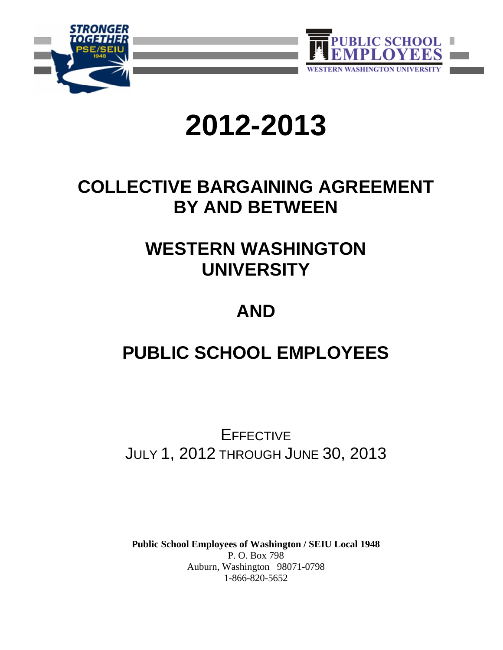



# **2012-2013**

# **COLLECTIVE BARGAINING AGREEMENT BY AND BETWEEN**

# **WESTERN WASHINGTON UNIVERSITY**

# **AND**

# **PUBLIC SCHOOL EMPLOYEES**

**EFFECTIVE** JULY 1, 2012 THROUGH JUNE 30, 2013

**Public School Employees of Washington / SEIU Local 1948** P. O. Box 798 Auburn, Washington 98071-0798 1-866-820-5652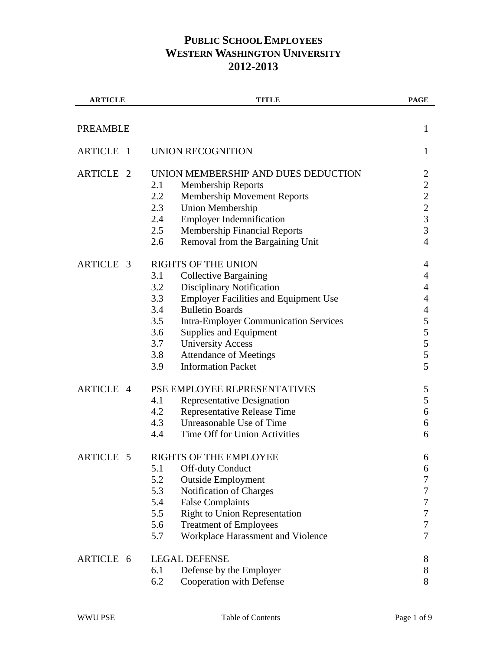| <b>ARTICLE</b>      | <b>TITLE</b>                                        | <b>PAGE</b>                                     |
|---------------------|-----------------------------------------------------|-------------------------------------------------|
| <b>PREAMBLE</b>     |                                                     | $\mathbf{1}$                                    |
|                     |                                                     |                                                 |
| <b>ARTICLE 1</b>    | UNION RECOGNITION                                   | 1                                               |
| ARTICLE 2           | UNION MEMBERSHIP AND DUES DEDUCTION                 | $\overline{c}$                                  |
|                     | 2.1<br><b>Membership Reports</b>                    | $\overline{c}$                                  |
|                     | 2.2<br><b>Membership Movement Reports</b>           |                                                 |
|                     | 2.3<br><b>Union Membership</b>                      | $\begin{array}{c} 2 \\ 2 \\ 3 \\ 3 \end{array}$ |
|                     | <b>Employer Indemnification</b><br>2.4              |                                                 |
|                     | 2.5<br><b>Membership Financial Reports</b>          |                                                 |
|                     | Removal from the Bargaining Unit<br>2.6             | $\overline{4}$                                  |
| ARTICLE 3           | <b>RIGHTS OF THE UNION</b>                          | 4                                               |
|                     | <b>Collective Bargaining</b><br>3.1                 | 4                                               |
|                     | 3.2<br><b>Disciplinary Notification</b>             | 4                                               |
|                     | 3.3<br><b>Employer Facilities and Equipment Use</b> | $\overline{4}$                                  |
|                     | <b>Bulletin Boards</b><br>3.4                       | $\overline{4}$                                  |
|                     | 3.5<br><b>Intra-Employer Communication Services</b> | 5                                               |
|                     | 3.6<br>Supplies and Equipment                       | 5                                               |
|                     | <b>University Access</b><br>3.7                     | 5                                               |
|                     | <b>Attendance of Meetings</b><br>3.8                | 5                                               |
|                     | 3.9<br><b>Information Packet</b>                    | 5                                               |
| ARTICLE 4           | PSE EMPLOYEE REPRESENTATIVES                        | 5                                               |
|                     | 4.1<br><b>Representative Designation</b>            | 5                                               |
|                     | <b>Representative Release Time</b><br>4.2           | 6                                               |
|                     | 4.3<br>Unreasonable Use of Time                     | 6                                               |
|                     | Time Off for Union Activities<br>4.4                | 6                                               |
| <b>ARTICLE</b><br>5 | RIGHTS OF THE EMPLOYEE                              | 6                                               |
|                     | 5.1<br><b>Off-duty Conduct</b>                      | 6                                               |
|                     | 5.2<br><b>Outside Employment</b>                    | 7                                               |
|                     | Notification of Charges<br>5.3                      | 7                                               |
|                     | 5.4<br><b>False Complaints</b>                      | $\boldsymbol{7}$                                |
|                     | 5.5<br><b>Right to Union Representation</b>         | $\boldsymbol{7}$                                |
|                     | 5.6<br><b>Treatment of Employees</b>                | $\overline{7}$                                  |
|                     | Workplace Harassment and Violence<br>5.7            | 7                                               |
| ARTICLE 6           | <b>LEGAL DEFENSE</b>                                | 8                                               |
|                     | 6.1<br>Defense by the Employer                      | 8                                               |
|                     | 6.2<br>Cooperation with Defense                     | 8                                               |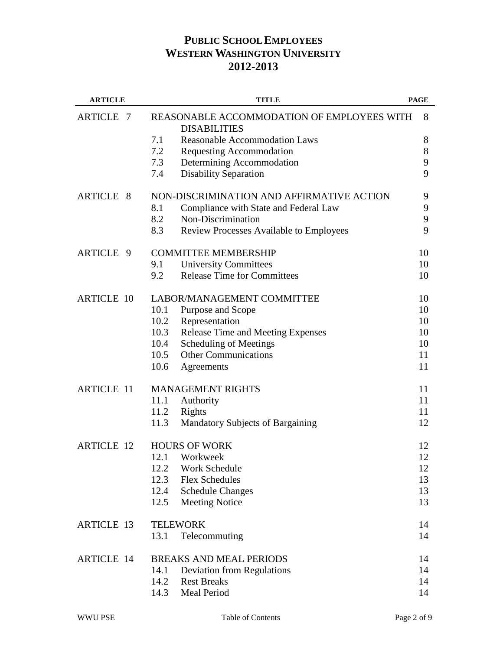| <b>ARTICLE</b>       | <b>TITLE</b>                                                      | <b>PAGE</b> |
|----------------------|-------------------------------------------------------------------|-------------|
| <b>ARTICLE</b><br>-7 | REASONABLE ACCOMMODATION OF EMPLOYEES WITH<br><b>DISABILITIES</b> | 8           |
|                      | 7.1<br><b>Reasonable Accommodation Laws</b>                       | 8           |
|                      | 7.2<br><b>Requesting Accommodation</b>                            | 8           |
|                      | Determining Accommodation<br>7.3                                  | 9           |
|                      | 7.4<br><b>Disability Separation</b>                               | 9           |
| <b>ARTICLE 8</b>     | NON-DISCRIMINATION AND AFFIRMATIVE ACTION                         | 9           |
|                      | Compliance with State and Federal Law<br>8.1                      | 9           |
|                      | 8.2<br>Non-Discrimination                                         | 9           |
|                      | 8.3<br><b>Review Processes Available to Employees</b>             | 9           |
| ARTICLE 9            | <b>COMMITTEE MEMBERSHIP</b>                                       | 10          |
|                      | 9.1<br><b>University Committees</b>                               | 10          |
|                      | <b>Release Time for Committees</b><br>9.2                         | 10          |
| <b>ARTICLE 10</b>    | LABOR/MANAGEMENT COMMITTEE                                        | 10          |
|                      | 10.1<br>Purpose and Scope                                         | 10          |
|                      | 10.2<br>Representation                                            | 10          |
|                      | 10.3<br>Release Time and Meeting Expenses                         | 10          |
|                      | Scheduling of Meetings<br>10.4                                    | 10          |
|                      | <b>Other Communications</b><br>10.5                               | 11          |
|                      | 10.6<br>Agreements                                                | 11          |
| <b>ARTICLE 11</b>    | <b>MANAGEMENT RIGHTS</b>                                          | 11          |
|                      | 11.1<br>Authority                                                 | 11          |
|                      | 11.2<br>Rights                                                    | 11          |
|                      | 11.3<br><b>Mandatory Subjects of Bargaining</b>                   | 12          |
| <b>ARTICLE 12</b>    | <b>HOURS OF WORK</b>                                              | 12          |
|                      | 12.1<br>Workweek                                                  | 12          |
|                      | Work Schedule<br>12.2                                             | 12          |
|                      | <b>Flex Schedules</b><br>12.3                                     | 13          |
|                      | 12.4<br><b>Schedule Changes</b>                                   | 13          |
|                      | 12.5<br><b>Meeting Notice</b>                                     | 13          |
| <b>ARTICLE 13</b>    | <b>TELEWORK</b>                                                   | 14          |
|                      | 13.1<br>Telecommuting                                             | 14          |
| <b>ARTICLE 14</b>    | <b>BREAKS AND MEAL PERIODS</b>                                    | 14          |
|                      | 14.1<br><b>Deviation from Regulations</b>                         | 14          |
|                      | 14.2<br><b>Rest Breaks</b>                                        | 14          |
|                      | 14.3<br>Meal Period                                               | 14          |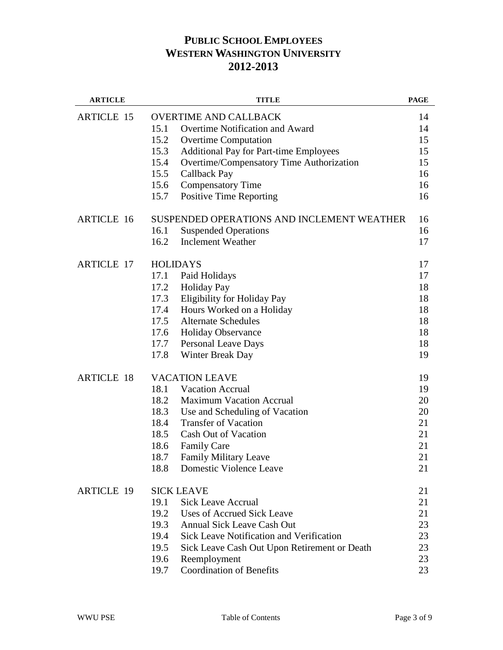| <b>ARTICLE</b>    |                 | <b>TITLE</b>                                    | <b>PAGE</b> |
|-------------------|-----------------|-------------------------------------------------|-------------|
| <b>ARTICLE 15</b> |                 | <b>OVERTIME AND CALLBACK</b>                    | 14          |
|                   | 15.1            | <b>Overtime Notification and Award</b>          | 14          |
|                   | 15.2            | <b>Overtime Computation</b>                     | 15          |
|                   | 15.3            | <b>Additional Pay for Part-time Employees</b>   | 15          |
|                   | 15.4            | Overtime/Compensatory Time Authorization        | 15          |
|                   | 15.5            | Callback Pay                                    | 16          |
|                   | 15.6            | <b>Compensatory Time</b>                        | 16          |
|                   | 15.7            | <b>Positive Time Reporting</b>                  | 16          |
| <b>ARTICLE 16</b> |                 | SUSPENDED OPERATIONS AND INCLEMENT WEATHER      | 16          |
|                   | 16.1            | <b>Suspended Operations</b>                     | 16          |
|                   | 16.2            | <b>Inclement Weather</b>                        | 17          |
| <b>ARTICLE 17</b> | <b>HOLIDAYS</b> |                                                 | 17          |
|                   | 17.1            | Paid Holidays                                   | 17          |
|                   | 17.2            | <b>Holiday Pay</b>                              | 18          |
|                   | 17.3            | Eligibility for Holiday Pay                     | 18          |
|                   | 17.4            | Hours Worked on a Holiday                       | 18          |
|                   | 17.5            | <b>Alternate Schedules</b>                      | 18          |
|                   | 17.6            | <b>Holiday Observance</b>                       | 18          |
|                   | 17.7            | Personal Leave Days                             | 18          |
|                   | 17.8            | Winter Break Day                                | 19          |
| <b>ARTICLE 18</b> |                 | <b>VACATION LEAVE</b>                           | 19          |
|                   | 18.1            | <b>Vacation Accrual</b>                         | 19          |
|                   | 18.2            | <b>Maximum Vacation Accrual</b>                 | 20          |
|                   | 18.3            | Use and Scheduling of Vacation                  | 20          |
|                   | 18.4            | <b>Transfer of Vacation</b>                     | 21          |
|                   | 18.5            | <b>Cash Out of Vacation</b>                     | 21          |
|                   | 18.6            | <b>Family Care</b>                              | 21          |
|                   | 18.7            | <b>Family Military Leave</b>                    | 21          |
|                   | 18.8            | Domestic Violence Leave                         | 21          |
| <b>ARTICLE 19</b> |                 | <b>SICK LEAVE</b>                               | 21          |
|                   | 19.1            | <b>Sick Leave Accrual</b>                       | 21          |
|                   | 19.2            | <b>Uses of Accrued Sick Leave</b>               | 21          |
|                   | 19.3            | <b>Annual Sick Leave Cash Out</b>               | 23          |
|                   | 19.4            | <b>Sick Leave Notification and Verification</b> | 23          |
|                   | 19.5            | Sick Leave Cash Out Upon Retirement or Death    | 23          |
|                   | 19.6            | Reemployment                                    | 23          |
|                   | 19.7            | <b>Coordination of Benefits</b>                 | 23          |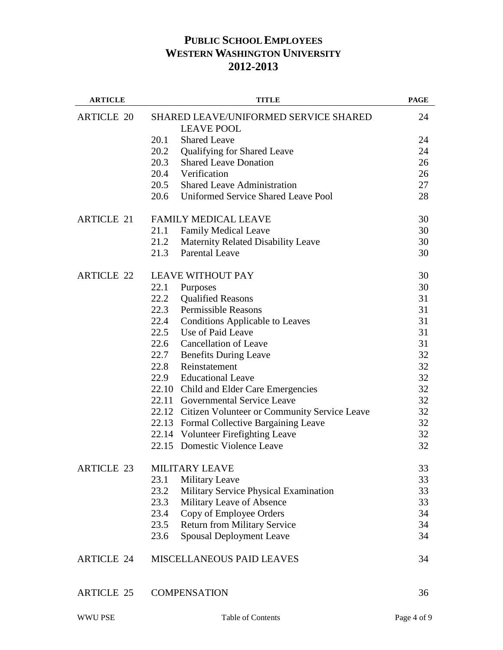| <b>ARTICLE</b>    | <b>TITLE</b>                                                      | <b>PAGE</b> |
|-------------------|-------------------------------------------------------------------|-------------|
| <b>ARTICLE 20</b> | <b>SHARED LEAVE/UNIFORMED SERVICE SHARED</b><br><b>LEAVE POOL</b> | 24          |
|                   | 20.1<br><b>Shared Leave</b>                                       | 24          |
|                   | 20.2<br>Qualifying for Shared Leave                               | 24          |
|                   | 20.3<br><b>Shared Leave Donation</b>                              | 26          |
|                   | 20.4<br>Verification                                              | 26          |
|                   | 20.5<br><b>Shared Leave Administration</b>                        | 27          |
|                   | 20.6<br><b>Uniformed Service Shared Leave Pool</b>                | 28          |
| <b>ARTICLE 21</b> | <b>FAMILY MEDICAL LEAVE</b>                                       | 30          |
|                   | 21.1<br><b>Family Medical Leave</b>                               | 30          |
|                   | 21.2<br><b>Maternity Related Disability Leave</b>                 | 30          |
|                   | 21.3<br><b>Parental Leave</b>                                     | 30          |
| <b>ARTICLE 22</b> | <b>LEAVE WITHOUT PAY</b>                                          | 30          |
|                   | 22.1<br>Purposes                                                  | 30          |
|                   | 22.2<br><b>Qualified Reasons</b>                                  | 31          |
|                   | 22.3<br><b>Permissible Reasons</b>                                | 31          |
|                   | 22.4<br><b>Conditions Applicable to Leaves</b>                    | 31          |
|                   | 22.5<br>Use of Paid Leave                                         | 31          |
|                   | 22.6<br><b>Cancellation of Leave</b>                              | 31          |
|                   | 22.7<br><b>Benefits During Leave</b>                              | 32          |
|                   | 22.8<br>Reinstatement                                             | 32          |
|                   | 22.9 Educational Leave                                            | 32          |
|                   | 22.10 Child and Elder Care Emergencies                            | 32          |
|                   | 22.11 Governmental Service Leave                                  | 32          |
|                   | 22.12 Citizen Volunteer or Community Service Leave                | 32          |
|                   | 22.13 Formal Collective Bargaining Leave                          | 32          |
|                   | 22.14 Volunteer Firefighting Leave                                | 32          |
|                   | 22.15 Domestic Violence Leave                                     | 32          |
| <b>ARTICLE 23</b> | <b>MILITARY LEAVE</b>                                             | 33          |
|                   | 23.1<br><b>Military Leave</b>                                     | 33          |
|                   | Military Service Physical Examination<br>23.2                     | 33          |
|                   | 23.3<br>Military Leave of Absence                                 | 33          |
|                   | Copy of Employee Orders<br>23.4                                   | 34          |
|                   | 23.5<br><b>Return from Military Service</b>                       | 34          |
|                   | <b>Spousal Deployment Leave</b><br>23.6                           | 34          |
| <b>ARTICLE 24</b> | <b>MISCELLANEOUS PAID LEAVES</b>                                  | 34          |
| <b>ARTICLE 25</b> | <b>COMPENSATION</b>                                               | 36          |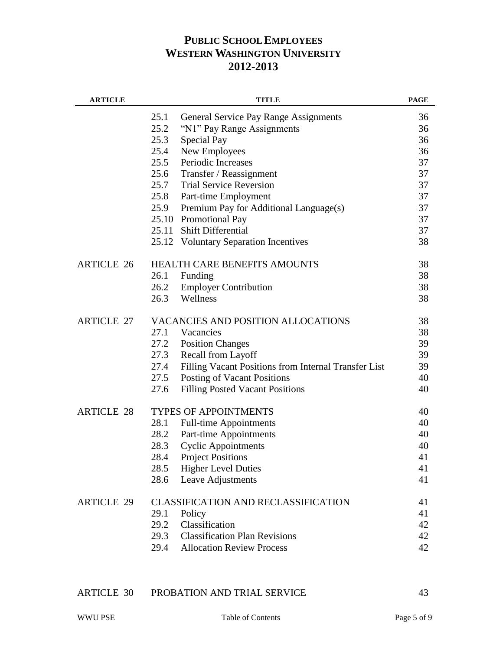| <b>ARTICLE</b>    | <b>TITLE</b>                                                 | <b>PAGE</b> |
|-------------------|--------------------------------------------------------------|-------------|
|                   | 25.1<br><b>General Service Pay Range Assignments</b>         | 36          |
|                   | 25.2<br>"N1" Pay Range Assignments                           | 36          |
|                   | 25.3<br>Special Pay                                          | 36          |
|                   | 25.4<br>New Employees                                        | 36          |
|                   | Periodic Increases<br>25.5                                   | 37          |
|                   | 25.6<br>Transfer / Reassignment                              | 37          |
|                   | <b>Trial Service Reversion</b><br>25.7                       | 37          |
|                   | 25.8<br>Part-time Employment                                 | 37          |
|                   | 25.9<br>Premium Pay for Additional Language(s)               | 37          |
|                   | 25.10 Promotional Pay                                        | 37          |
|                   | 25.11 Shift Differential                                     | 37          |
|                   | 25.12 Voluntary Separation Incentives                        | 38          |
| <b>ARTICLE 26</b> | HEALTH CARE BENEFITS AMOUNTS                                 | 38          |
|                   | Funding<br>26.1                                              | 38          |
|                   | 26.2<br><b>Employer Contribution</b>                         | 38          |
|                   | Wellness<br>26.3                                             | 38          |
| <b>ARTICLE 27</b> | <b>VACANCIES AND POSITION ALLOCATIONS</b>                    | 38          |
|                   | 27.1<br>Vacancies                                            | 38          |
|                   | 27.2<br><b>Position Changes</b>                              | 39          |
|                   | 27.3<br><b>Recall from Layoff</b>                            | 39          |
|                   | 27.4<br>Filling Vacant Positions from Internal Transfer List | 39          |
|                   | 27.5<br>Posting of Vacant Positions                          | 40          |
|                   | 27.6<br><b>Filling Posted Vacant Positions</b>               | 40          |
| <b>ARTICLE 28</b> | <b>TYPES OF APPOINTMENTS</b>                                 | 40          |
|                   | 28.1<br><b>Full-time Appointments</b>                        | 40          |
|                   | 28.2<br>Part-time Appointments                               | 40          |
|                   | 28.3<br><b>Cyclic Appointments</b>                           | 40          |
|                   | 28.4<br><b>Project Positions</b>                             | 41          |
|                   | 28.5<br><b>Higher Level Duties</b>                           | 41          |
|                   | 28.6<br>Leave Adjustments                                    | 41          |
| <b>ARTICLE 29</b> | <b>CLASSIFICATION AND RECLASSIFICATION</b>                   | 41          |
|                   | 29.1<br>Policy                                               | 41          |
|                   | Classification<br>29.2                                       | 42          |
|                   | <b>Classification Plan Revisions</b><br>29.3                 | 42          |
|                   | 29.4<br><b>Allocation Review Process</b>                     | 42          |
|                   |                                                              |             |

|  | <b>ARTICLE 30</b> | PROBATION AND TRIAL SERVICE |  |
|--|-------------------|-----------------------------|--|
|--|-------------------|-----------------------------|--|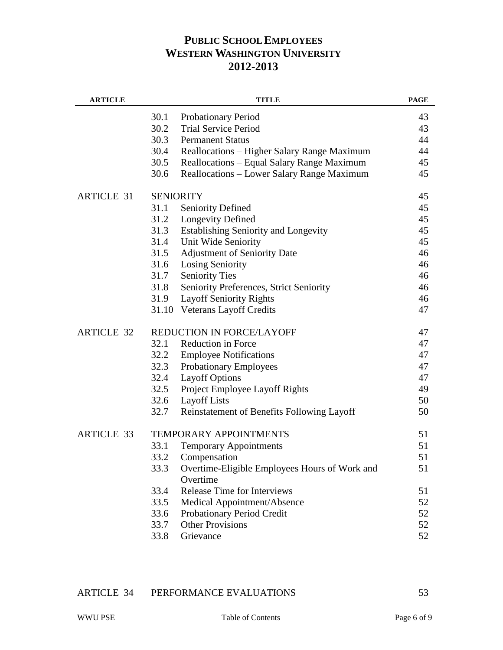| <b>ARTICLE</b>    |       | <b>TITLE</b>                                              | <b>PAGE</b> |
|-------------------|-------|-----------------------------------------------------------|-------------|
|                   | 30.1  | <b>Probationary Period</b>                                | 43          |
|                   | 30.2  | <b>Trial Service Period</b>                               | 43          |
|                   | 30.3  | <b>Permanent Status</b>                                   | 44          |
|                   | 30.4  | Reallocations - Higher Salary Range Maximum               | 44          |
|                   | 30.5  | Reallocations - Equal Salary Range Maximum                | 45          |
|                   | 30.6  | Reallocations - Lower Salary Range Maximum                | 45          |
| <b>ARTICLE 31</b> |       | <b>SENIORITY</b>                                          | 45          |
|                   | 31.1  | <b>Seniority Defined</b>                                  | 45          |
|                   | 31.2  | <b>Longevity Defined</b>                                  | 45          |
|                   | 31.3  | <b>Establishing Seniority and Longevity</b>               | 45          |
|                   | 31.4  | Unit Wide Seniority                                       | 45          |
|                   | 31.5  | <b>Adjustment of Seniority Date</b>                       | 46          |
|                   | 31.6  | <b>Losing Seniority</b>                                   | 46          |
|                   | 31.7  | <b>Seniority Ties</b>                                     | 46          |
|                   | 31.8  | Seniority Preferences, Strict Seniority                   | 46          |
|                   | 31.9  | <b>Layoff Seniority Rights</b>                            | 46          |
|                   | 31.10 | <b>Veterans Layoff Credits</b>                            | 47          |
| <b>ARTICLE 32</b> |       | REDUCTION IN FORCE/LAYOFF                                 | 47          |
|                   | 32.1  | <b>Reduction in Force</b>                                 | 47          |
|                   | 32.2  | <b>Employee Notifications</b>                             | 47          |
|                   | 32.3  | <b>Probationary Employees</b>                             | 47          |
|                   | 32.4  | <b>Layoff Options</b>                                     | 47          |
|                   | 32.5  | Project Employee Layoff Rights                            | 49          |
|                   | 32.6  | <b>Layoff Lists</b>                                       | 50          |
|                   | 32.7  | Reinstatement of Benefits Following Layoff                | 50          |
| <b>ARTICLE 33</b> |       | <b>TEMPORARY APPOINTMENTS</b>                             | 51          |
|                   | 33.1  | <b>Temporary Appointments</b>                             | 51          |
|                   | 33.2  | Compensation                                              | 51          |
|                   | 33.3  | Overtime-Eligible Employees Hours of Work and<br>Overtime | 51          |
|                   | 33.4  | <b>Release Time for Interviews</b>                        | 51          |
|                   | 33.5  | Medical Appointment/Absence                               | 52          |
|                   | 33.6  | Probationary Period Credit                                | 52          |
|                   | 33.7  | <b>Other Provisions</b>                                   | 52          |
|                   | 33.8  | Grievance                                                 | 52          |
|                   |       |                                                           |             |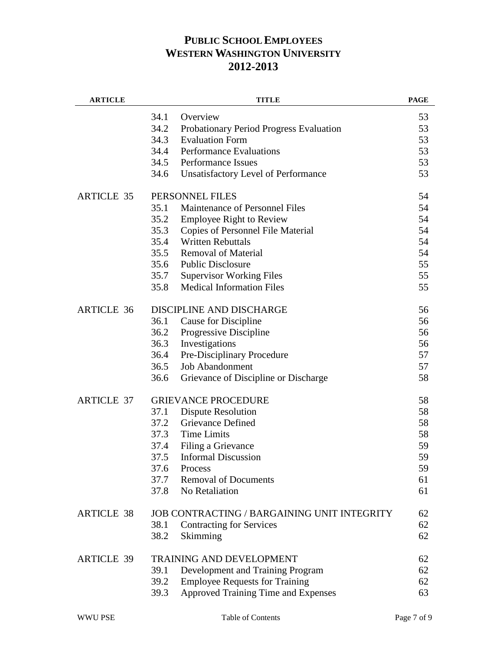| <b>ARTICLE</b>    | <b>TITLE</b>                                       | <b>PAGE</b> |
|-------------------|----------------------------------------------------|-------------|
|                   | 34.1<br>Overview                                   | 53          |
|                   | 34.2<br>Probationary Period Progress Evaluation    | 53          |
|                   | 34.3<br><b>Evaluation Form</b>                     | 53          |
|                   | 34.4<br><b>Performance Evaluations</b>             | 53          |
|                   | 34.5<br><b>Performance Issues</b>                  | 53          |
|                   | 34.6<br>Unsatisfactory Level of Performance        | 53          |
| <b>ARTICLE 35</b> | PERSONNEL FILES                                    | 54          |
|                   | 35.1<br>Maintenance of Personnel Files             | 54          |
|                   | 35.2<br><b>Employee Right to Review</b>            | 54          |
|                   | 35.3<br>Copies of Personnel File Material          | 54          |
|                   | <b>Written Rebuttals</b><br>35.4                   | 54          |
|                   | 35.5<br><b>Removal of Material</b>                 | 54          |
|                   | <b>Public Disclosure</b><br>35.6                   | 55          |
|                   | 35.7<br><b>Supervisor Working Files</b>            | 55          |
|                   | <b>Medical Information Files</b><br>35.8           | 55          |
| <b>ARTICLE 36</b> | DISCIPLINE AND DISCHARGE                           | 56          |
|                   | 36.1<br>Cause for Discipline                       | 56          |
|                   | 36.2<br>Progressive Discipline                     | 56          |
|                   | 36.3<br>Investigations                             | 56          |
|                   | 36.4<br>Pre-Disciplinary Procedure                 | 57          |
|                   | 36.5<br><b>Job Abandonment</b>                     | 57          |
|                   | 36.6<br>Grievance of Discipline or Discharge       | 58          |
| <b>ARTICLE 37</b> | <b>GRIEVANCE PROCEDURE</b>                         | 58          |
|                   | 37.1<br><b>Dispute Resolution</b>                  | 58          |
|                   | 37.2<br>Grievance Defined                          | 58          |
|                   | 37.3<br><b>Time Limits</b>                         | 58          |
|                   | 37.4<br>Filing a Grievance                         | 59          |
|                   | 37.5<br><b>Informal Discussion</b>                 | 59          |
|                   | 37.6<br>Process                                    | 59          |
|                   | 37.7<br><b>Removal of Documents</b>                | 61          |
|                   | No Retaliation<br>37.8                             | 61          |
| <b>ARTICLE 38</b> | <b>JOB CONTRACTING / BARGAINING UNIT INTEGRITY</b> | 62          |
|                   | 38.1<br><b>Contracting for Services</b>            | 62          |
|                   | 38.2<br>Skimming                                   | 62          |
| <b>ARTICLE 39</b> | <b>TRAINING AND DEVELOPMENT</b>                    | 62          |
|                   | 39.1<br>Development and Training Program           | 62          |
|                   | 39.2<br><b>Employee Requests for Training</b>      | 62          |
|                   | Approved Training Time and Expenses<br>39.3        | 63          |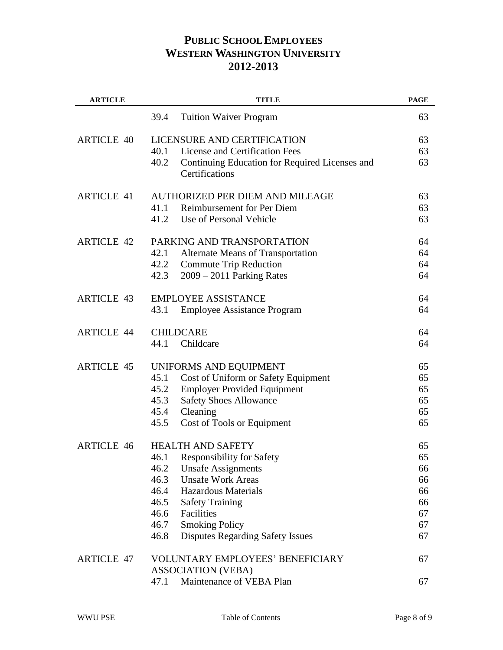| <b>ARTICLE</b>    | <b>TITLE</b>                                                             | <b>PAGE</b> |
|-------------------|--------------------------------------------------------------------------|-------------|
|                   | 39.4<br><b>Tuition Waiver Program</b>                                    | 63          |
| <b>ARTICLE 40</b> | LICENSURE AND CERTIFICATION                                              | 63          |
|                   | License and Certification Fees<br>40.1                                   | 63          |
|                   | 40.2<br>Continuing Education for Required Licenses and<br>Certifications | 63          |
| <b>ARTICLE 41</b> | AUTHORIZED PER DIEM AND MILEAGE                                          | 63          |
|                   | <b>Reimbursement for Per Diem</b><br>41.1                                | 63          |
|                   | Use of Personal Vehicle<br>41.2                                          | 63          |
| <b>ARTICLE 42</b> | PARKING AND TRANSPORTATION                                               | 64          |
|                   | 42.1<br>Alternate Means of Transportation                                | 64          |
|                   | 42.2<br><b>Commute Trip Reduction</b>                                    | 64          |
|                   | 42.3<br>$2009 - 2011$ Parking Rates                                      | 64          |
| <b>ARTICLE 43</b> | <b>EMPLOYEE ASSISTANCE</b>                                               | 64          |
|                   | 43.1<br><b>Employee Assistance Program</b>                               | 64          |
| <b>ARTICLE 44</b> | <b>CHILDCARE</b>                                                         | 64          |
|                   | Childcare<br>44.1                                                        | 64          |
| <b>ARTICLE 45</b> | UNIFORMS AND EQUIPMENT                                                   | 65          |
|                   | Cost of Uniform or Safety Equipment<br>45.1                              | 65          |
|                   | 45.2<br><b>Employer Provided Equipment</b>                               | 65          |
|                   | 45.3<br><b>Safety Shoes Allowance</b>                                    | 65          |
|                   | 45.4<br>Cleaning                                                         | 65          |
|                   | 45.5<br>Cost of Tools or Equipment                                       | 65          |
| <b>ARTICLE 46</b> | <b>HEALTH AND SAFETY</b>                                                 | 65          |
|                   | 46.1<br><b>Responsibility for Safety</b>                                 | 65          |
|                   | 46.2<br><b>Unsafe Assignments</b>                                        | 66          |
|                   | <b>Unsafe Work Areas</b><br>46.3                                         | 66          |
|                   | 46.4<br><b>Hazardous Materials</b>                                       | 66          |
|                   | 46.5<br><b>Safety Training</b>                                           | 66          |
|                   | Facilities<br>46.6                                                       | 67          |
|                   | <b>Smoking Policy</b><br>46.7                                            | 67          |
|                   | <b>Disputes Regarding Safety Issues</b><br>46.8                          | 67          |
| <b>ARTICLE 47</b> | VOLUNTARY EMPLOYEES' BENEFICIARY                                         | 67          |
|                   | <b>ASSOCIATION (VEBA)</b>                                                |             |
|                   | Maintenance of VEBA Plan<br>47.1                                         | 67          |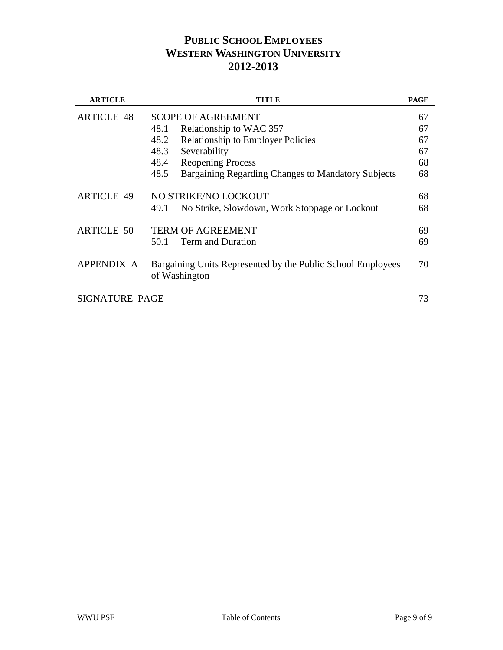| <b>ARTICLE</b>    | <b>TITLE</b>                                                                 | <b>PAGE</b> |
|-------------------|------------------------------------------------------------------------------|-------------|
| <b>ARTICLE 48</b> | <b>SCOPE OF AGREEMENT</b>                                                    | 67          |
|                   | 48.1<br>Relationship to WAC 357                                              | 67          |
|                   | 48.2<br><b>Relationship to Employer Policies</b>                             | 67          |
|                   | 48.3<br>Severability                                                         | 67          |
|                   | 48.4<br><b>Reopening Process</b>                                             | 68          |
|                   | 48.5<br>Bargaining Regarding Changes to Mandatory Subjects                   | 68          |
| <b>ARTICLE 49</b> | NO STRIKE/NO LOCKOUT                                                         | 68          |
|                   | No Strike, Slowdown, Work Stoppage or Lockout<br>49.1                        | 68          |
| <b>ARTICLE 50</b> | <b>TERM OF AGREEMENT</b>                                                     | 69          |
|                   | <b>Term and Duration</b><br>50.1                                             | 69          |
| APPENDIX A        | Bargaining Units Represented by the Public School Employees<br>of Washington | 70          |
| SIGNATURE PAGE    |                                                                              | 73          |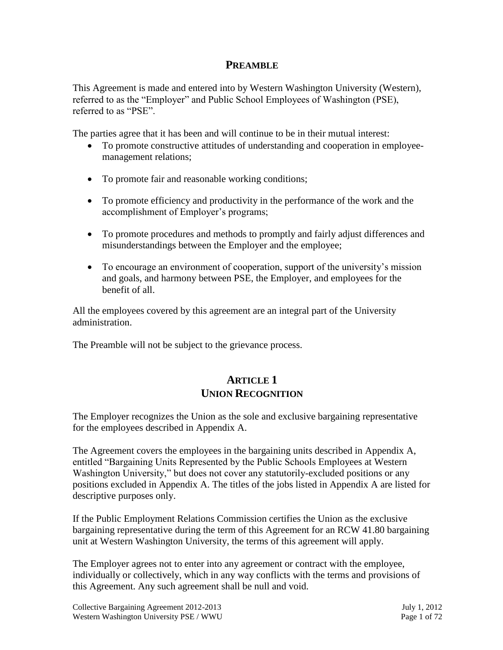# **PREAMBLE**

This Agreement is made and entered into by Western Washington University (Western), referred to as the "Employer" and Public School Employees of Washington (PSE), referred to as "PSE".

The parties agree that it has been and will continue to be in their mutual interest:

- To promote constructive attitudes of understanding and cooperation in employeemanagement relations;
- To promote fair and reasonable working conditions;
- To promote efficiency and productivity in the performance of the work and the accomplishment of Employer's programs;
- To promote procedures and methods to promptly and fairly adjust differences and misunderstandings between the Employer and the employee;
- To encourage an environment of cooperation, support of the university's mission and goals, and harmony between PSE, the Employer, and employees for the benefit of all.

All the employees covered by this agreement are an integral part of the University administration.

The Preamble will not be subject to the grievance process.

# **ARTICLE 1 UNION RECOGNITION**

The Employer recognizes the Union as the sole and exclusive bargaining representative for the employees described in Appendix A.

The Agreement covers the employees in the bargaining units described in Appendix A, entitled "Bargaining Units Represented by the Public Schools Employees at Western Washington University," but does not cover any statutorily-excluded positions or any positions excluded in Appendix A. The titles of the jobs listed in Appendix A are listed for descriptive purposes only.

If the Public Employment Relations Commission certifies the Union as the exclusive bargaining representative during the term of this Agreement for an RCW 41.80 bargaining unit at Western Washington University, the terms of this agreement will apply.

The Employer agrees not to enter into any agreement or contract with the employee, individually or collectively, which in any way conflicts with the terms and provisions of this Agreement. Any such agreement shall be null and void.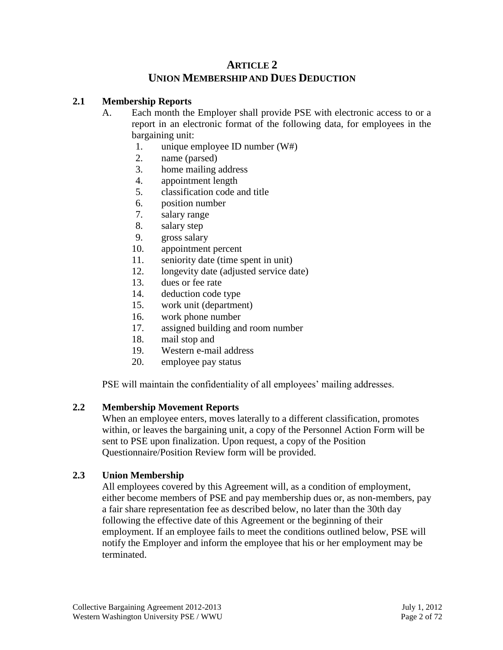# **ARTICLE 2 UNION MEMBERSHIP AND DUES DEDUCTION**

# **2.1 Membership Reports**

- A. Each month the Employer shall provide PSE with electronic access to or a report in an electronic format of the following data, for employees in the bargaining unit:
	- 1. unique employee ID number (W#)
	- 2. name (parsed)
	- 3. home mailing address
	- 4. appointment length
	- 5. classification code and title
	- 6. position number
	- 7. salary range
	- 8. salary step
	- 9. gross salary
	- 10. appointment percent
	- 11. seniority date (time spent in unit)
	- 12. longevity date (adjusted service date)
	- 13. dues or fee rate
	- 14. deduction code type
	- 15. work unit (department)
	- 16. work phone number
	- 17. assigned building and room number
	- 18. mail stop and
	- 19. Western e-mail address
	- 20. employee pay status

PSE will maintain the confidentiality of all employees' mailing addresses.

# **2.2 Membership Movement Reports**

When an employee enters, moves laterally to a different classification, promotes within, or leaves the bargaining unit, a copy of the Personnel Action Form will be sent to PSE upon finalization. Upon request, a copy of the Position Questionnaire/Position Review form will be provided.

#### **2.3 Union Membership**

All employees covered by this Agreement will, as a condition of employment, either become members of PSE and pay membership dues or, as non-members, pay a fair share representation fee as described below, no later than the 30th day following the effective date of this Agreement or the beginning of their employment. If an employee fails to meet the conditions outlined below, PSE will notify the Employer and inform the employee that his or her employment may be terminated.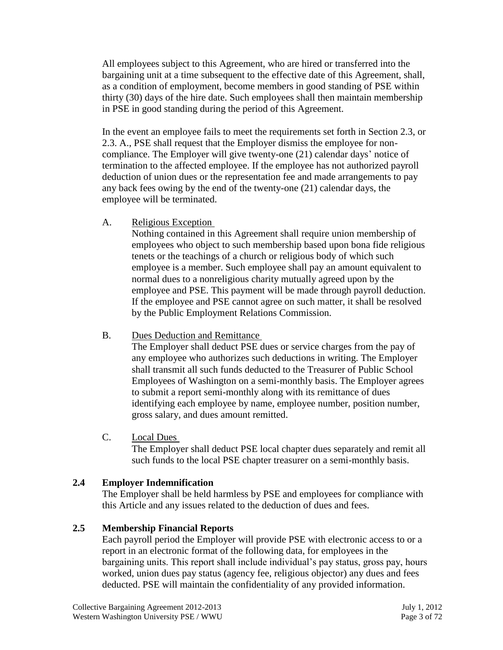All employees subject to this Agreement, who are hired or transferred into the bargaining unit at a time subsequent to the effective date of this Agreement, shall, as a condition of employment, become members in good standing of PSE within thirty (30) days of the hire date. Such employees shall then maintain membership in PSE in good standing during the period of this Agreement.

In the event an employee fails to meet the requirements set forth in Section 2.3, or 2.3. A., PSE shall request that the Employer dismiss the employee for noncompliance. The Employer will give twenty-one (21) calendar days' notice of termination to the affected employee. If the employee has not authorized payroll deduction of union dues or the representation fee and made arrangements to pay any back fees owing by the end of the twenty-one (21) calendar days, the employee will be terminated.

A. Religious Exception

Nothing contained in this Agreement shall require union membership of employees who object to such membership based upon bona fide religious tenets or the teachings of a church or religious body of which such employee is a member. Such employee shall pay an amount equivalent to normal dues to a nonreligious charity mutually agreed upon by the employee and PSE. This payment will be made through payroll deduction. If the employee and PSE cannot agree on such matter, it shall be resolved by the Public Employment Relations Commission.

B. Dues Deduction and Remittance

The Employer shall deduct PSE dues or service charges from the pay of any employee who authorizes such deductions in writing. The Employer shall transmit all such funds deducted to the Treasurer of Public School Employees of Washington on a semi-monthly basis. The Employer agrees to submit a report semi-monthly along with its remittance of dues identifying each employee by name, employee number, position number, gross salary, and dues amount remitted.

C. Local Dues

The Employer shall deduct PSE local chapter dues separately and remit all such funds to the local PSE chapter treasurer on a semi-monthly basis.

# **2.4 Employer Indemnification**

The Employer shall be held harmless by PSE and employees for compliance with this Article and any issues related to the deduction of dues and fees.

# **2.5 Membership Financial Reports**

Each payroll period the Employer will provide PSE with electronic access to or a report in an electronic format of the following data, for employees in the bargaining units. This report shall include individual's pay status, gross pay, hours worked, union dues pay status (agency fee, religious objector) any dues and fees deducted. PSE will maintain the confidentiality of any provided information.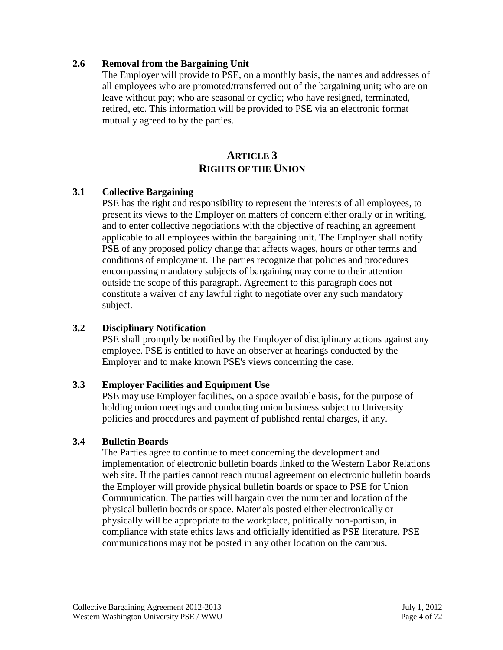# **2.6 Removal from the Bargaining Unit**

The Employer will provide to PSE, on a monthly basis, the names and addresses of all employees who are promoted/transferred out of the bargaining unit; who are on leave without pay; who are seasonal or cyclic; who have resigned, terminated, retired, etc. This information will be provided to PSE via an electronic format mutually agreed to by the parties.

# **ARTICLE 3 RIGHTS OF THE UNION**

# **3.1 Collective Bargaining**

PSE has the right and responsibility to represent the interests of all employees, to present its views to the Employer on matters of concern either orally or in writing, and to enter collective negotiations with the objective of reaching an agreement applicable to all employees within the bargaining unit. The Employer shall notify PSE of any proposed policy change that affects wages, hours or other terms and conditions of employment. The parties recognize that policies and procedures encompassing mandatory subjects of bargaining may come to their attention outside the scope of this paragraph. Agreement to this paragraph does not constitute a waiver of any lawful right to negotiate over any such mandatory subject.

# **3.2 Disciplinary Notification**

PSE shall promptly be notified by the Employer of disciplinary actions against any employee. PSE is entitled to have an observer at hearings conducted by the Employer and to make known PSE's views concerning the case.

# **3.3 Employer Facilities and Equipment Use**

PSE may use Employer facilities, on a space available basis, for the purpose of holding union meetings and conducting union business subject to University policies and procedures and payment of published rental charges, if any.

# **3.4 Bulletin Boards**

The Parties agree to continue to meet concerning the development and implementation of electronic bulletin boards linked to the Western Labor Relations web site. If the parties cannot reach mutual agreement on electronic bulletin boards the Employer will provide physical bulletin boards or space to PSE for Union Communication. The parties will bargain over the number and location of the physical bulletin boards or space. Materials posted either electronically or physically will be appropriate to the workplace, politically non-partisan, in compliance with state ethics laws and officially identified as PSE literature. PSE communications may not be posted in any other location on the campus.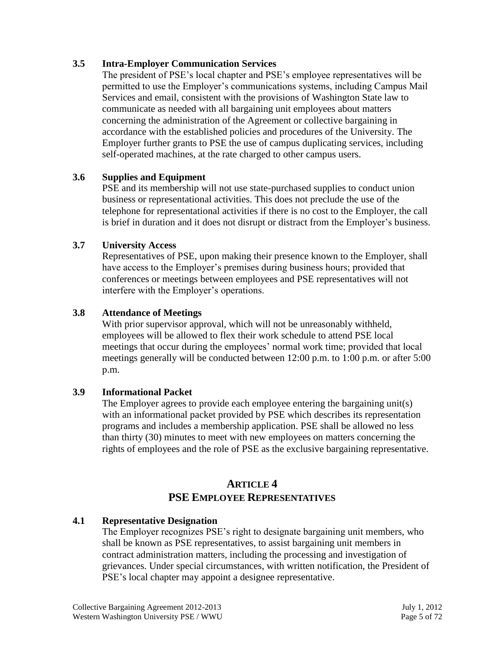# **3.5 Intra-Employer Communication Services**

The president of PSE's local chapter and PSE's employee representatives will be permitted to use the Employer's communications systems, including Campus Mail Services and email, consistent with the provisions of Washington State law to communicate as needed with all bargaining unit employees about matters concerning the administration of the Agreement or collective bargaining in accordance with the established policies and procedures of the University. The Employer further grants to PSE the use of campus duplicating services, including self-operated machines, at the rate charged to other campus users.

# **3.6 Supplies and Equipment**

PSE and its membership will not use state-purchased supplies to conduct union business or representational activities. This does not preclude the use of the telephone for representational activities if there is no cost to the Employer, the call is brief in duration and it does not disrupt or distract from the Employer's business.

# **3.7 University Access**

Representatives of PSE, upon making their presence known to the Employer, shall have access to the Employer's premises during business hours; provided that conferences or meetings between employees and PSE representatives will not interfere with the Employer's operations.

# **3.8 Attendance of Meetings**

With prior supervisor approval, which will not be unreasonably withheld, employees will be allowed to flex their work schedule to attend PSE local meetings that occur during the employees' normal work time; provided that local meetings generally will be conducted between 12:00 p.m. to 1:00 p.m. or after 5:00 p.m.

# **3.9 Informational Packet**

The Employer agrees to provide each employee entering the bargaining unit(s) with an informational packet provided by PSE which describes its representation programs and includes a membership application. PSE shall be allowed no less than thirty (30) minutes to meet with new employees on matters concerning the rights of employees and the role of PSE as the exclusive bargaining representative.

# **ARTICLE 4 PSE EMPLOYEE REPRESENTATIVES**

# **4.1 Representative Designation**

The Employer recognizes PSE's right to designate bargaining unit members, who shall be known as PSE representatives, to assist bargaining unit members in contract administration matters, including the processing and investigation of grievances. Under special circumstances, with written notification, the President of PSE's local chapter may appoint a designee representative.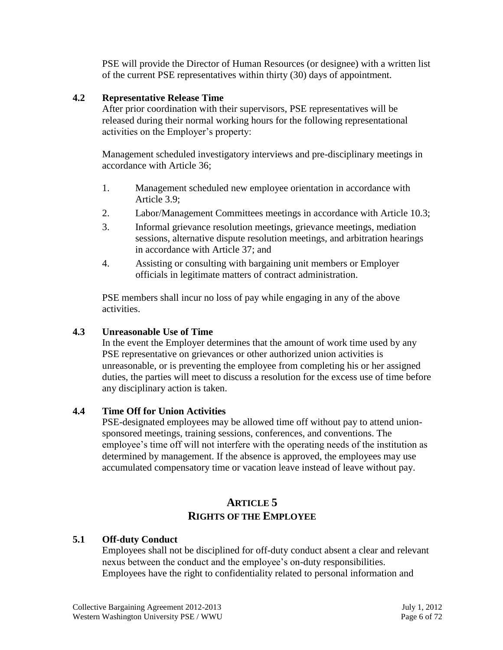PSE will provide the Director of Human Resources (or designee) with a written list of the current PSE representatives within thirty (30) days of appointment.

# **4.2 Representative Release Time**

After prior coordination with their supervisors, PSE representatives will be released during their normal working hours for the following representational activities on the Employer's property:

Management scheduled investigatory interviews and pre-disciplinary meetings in accordance with Article 36;

- 1. Management scheduled new employee orientation in accordance with Article 3.9;
- 2. Labor/Management Committees meetings in accordance with Article 10.3;
- 3. Informal grievance resolution meetings, grievance meetings, mediation sessions, alternative dispute resolution meetings, and arbitration hearings in accordance with Article 37; and
- 4. Assisting or consulting with bargaining unit members or Employer officials in legitimate matters of contract administration.

PSE members shall incur no loss of pay while engaging in any of the above activities.

# **4.3 Unreasonable Use of Time**

In the event the Employer determines that the amount of work time used by any PSE representative on grievances or other authorized union activities is unreasonable, or is preventing the employee from completing his or her assigned duties, the parties will meet to discuss a resolution for the excess use of time before any disciplinary action is taken.

# **4.4 Time Off for Union Activities**

PSE-designated employees may be allowed time off without pay to attend unionsponsored meetings, training sessions, conferences, and conventions. The employee's time off will not interfere with the operating needs of the institution as determined by management. If the absence is approved, the employees may use accumulated compensatory time or vacation leave instead of leave without pay.

# **ARTICLE 5 RIGHTS OF THE EMPLOYEE**

# **5.1 Off-duty Conduct**

Employees shall not be disciplined for off-duty conduct absent a clear and relevant nexus between the conduct and the employee's on-duty responsibilities. Employees have the right to confidentiality related to personal information and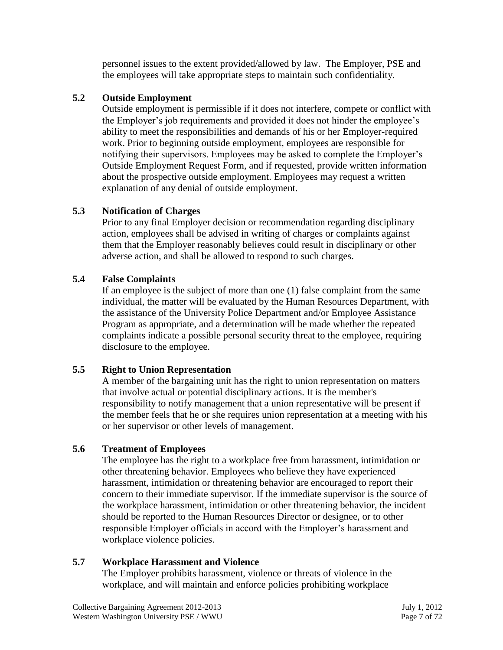personnel issues to the extent provided/allowed by law. The Employer, PSE and the employees will take appropriate steps to maintain such confidentiality.

# **5.2 Outside Employment**

Outside employment is permissible if it does not interfere, compete or conflict with the Employer's job requirements and provided it does not hinder the employee's ability to meet the responsibilities and demands of his or her Employer-required work. Prior to beginning outside employment, employees are responsible for notifying their supervisors. Employees may be asked to complete the Employer's Outside Employment Request Form, and if requested, provide written information about the prospective outside employment. Employees may request a written explanation of any denial of outside employment.

# **5.3 Notification of Charges**

Prior to any final Employer decision or recommendation regarding disciplinary action, employees shall be advised in writing of charges or complaints against them that the Employer reasonably believes could result in disciplinary or other adverse action, and shall be allowed to respond to such charges.

# **5.4 False Complaints**

If an employee is the subject of more than one (1) false complaint from the same individual, the matter will be evaluated by the Human Resources Department, with the assistance of the University Police Department and/or Employee Assistance Program as appropriate, and a determination will be made whether the repeated complaints indicate a possible personal security threat to the employee, requiring disclosure to the employee.

# **5.5 Right to Union Representation**

A member of the bargaining unit has the right to union representation on matters that involve actual or potential disciplinary actions. It is the member's responsibility to notify management that a union representative will be present if the member feels that he or she requires union representation at a meeting with his or her supervisor or other levels of management.

# **5.6 Treatment of Employees**

The employee has the right to a workplace free from harassment, intimidation or other threatening behavior. Employees who believe they have experienced harassment, intimidation or threatening behavior are encouraged to report their concern to their immediate supervisor. If the immediate supervisor is the source of the workplace harassment, intimidation or other threatening behavior, the incident should be reported to the Human Resources Director or designee, or to other responsible Employer officials in accord with the Employer's harassment and workplace violence policies.

# **5.7 Workplace Harassment and Violence**

The Employer prohibits harassment, violence or threats of violence in the workplace, and will maintain and enforce policies prohibiting workplace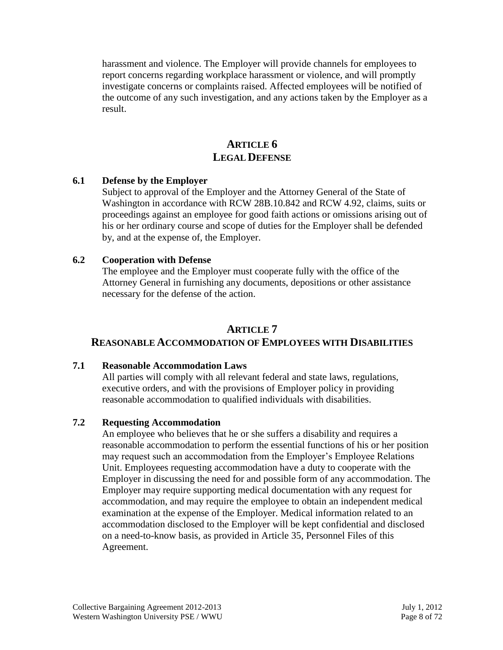harassment and violence. The Employer will provide channels for employees to report concerns regarding workplace harassment or violence, and will promptly investigate concerns or complaints raised. Affected employees will be notified of the outcome of any such investigation, and any actions taken by the Employer as a result.

# **ARTICLE 6 LEGAL DEFENSE**

# **6.1 Defense by the Employer**

Subject to approval of the Employer and the Attorney General of the State of Washington in accordance with RCW 28B.10.842 and RCW 4.92, claims, suits or proceedings against an employee for good faith actions or omissions arising out of his or her ordinary course and scope of duties for the Employer shall be defended by, and at the expense of, the Employer.

# **6.2 Cooperation with Defense**

The employee and the Employer must cooperate fully with the office of the Attorney General in furnishing any documents, depositions or other assistance necessary for the defense of the action.

# **ARTICLE 7**

# **REASONABLE ACCOMMODATION OF EMPLOYEES WITH DISABILITIES**

# **7.1 Reasonable Accommodation Laws**

All parties will comply with all relevant federal and state laws, regulations, executive orders, and with the provisions of Employer policy in providing reasonable accommodation to qualified individuals with disabilities.

# **7.2 Requesting Accommodation**

An employee who believes that he or she suffers a disability and requires a reasonable accommodation to perform the essential functions of his or her position may request such an accommodation from the Employer's Employee Relations Unit. Employees requesting accommodation have a duty to cooperate with the Employer in discussing the need for and possible form of any accommodation. The Employer may require supporting medical documentation with any request for accommodation, and may require the employee to obtain an independent medical examination at the expense of the Employer. Medical information related to an accommodation disclosed to the Employer will be kept confidential and disclosed on a need-to-know basis, as provided in Article 35, Personnel Files of this Agreement.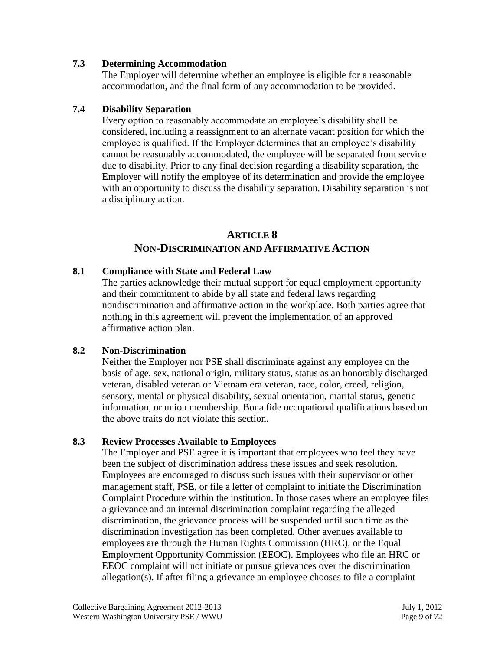#### **7.3 Determining Accommodation**

The Employer will determine whether an employee is eligible for a reasonable accommodation, and the final form of any accommodation to be provided.

#### **7.4 Disability Separation**

Every option to reasonably accommodate an employee's disability shall be considered, including a reassignment to an alternate vacant position for which the employee is qualified. If the Employer determines that an employee's disability cannot be reasonably accommodated, the employee will be separated from service due to disability. Prior to any final decision regarding a disability separation, the Employer will notify the employee of its determination and provide the employee with an opportunity to discuss the disability separation. Disability separation is not a disciplinary action.

# **ARTICLE 8 NON-DISCRIMINATION AND AFFIRMATIVE ACTION**

#### **8.1 Compliance with State and Federal Law**

The parties acknowledge their mutual support for equal employment opportunity and their commitment to abide by all state and federal laws regarding nondiscrimination and affirmative action in the workplace. Both parties agree that nothing in this agreement will prevent the implementation of an approved affirmative action plan.

# **8.2 Non-Discrimination**

Neither the Employer nor PSE shall discriminate against any employee on the basis of age, sex, national origin, military status, status as an honorably discharged veteran, disabled veteran or Vietnam era veteran, race, color, creed, religion, sensory, mental or physical disability, sexual orientation, marital status, genetic information, or union membership. Bona fide occupational qualifications based on the above traits do not violate this section.

# **8.3 Review Processes Available to Employees**

The Employer and PSE agree it is important that employees who feel they have been the subject of discrimination address these issues and seek resolution. Employees are encouraged to discuss such issues with their supervisor or other management staff, PSE, or file a letter of complaint to initiate the Discrimination Complaint Procedure within the institution. In those cases where an employee files a grievance and an internal discrimination complaint regarding the alleged discrimination, the grievance process will be suspended until such time as the discrimination investigation has been completed. Other avenues available to employees are through the Human Rights Commission (HRC), or the Equal Employment Opportunity Commission (EEOC). Employees who file an HRC or EEOC complaint will not initiate or pursue grievances over the discrimination allegation(s). If after filing a grievance an employee chooses to file a complaint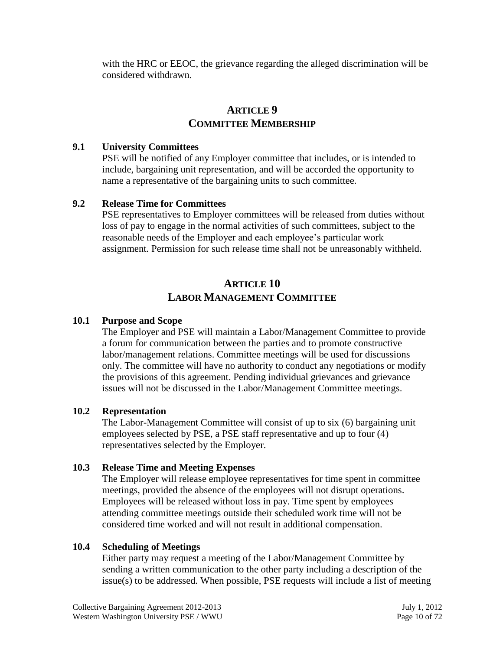with the HRC or EEOC, the grievance regarding the alleged discrimination will be considered withdrawn.

# **ARTICLE 9 COMMITTEE MEMBERSHIP**

# **9.1 University Committees**

PSE will be notified of any Employer committee that includes, or is intended to include, bargaining unit representation, and will be accorded the opportunity to name a representative of the bargaining units to such committee.

# **9.2 Release Time for Committees**

PSE representatives to Employer committees will be released from duties without loss of pay to engage in the normal activities of such committees, subject to the reasonable needs of the Employer and each employee's particular work assignment. Permission for such release time shall not be unreasonably withheld.

# **ARTICLE 10 LABOR MANAGEMENT COMMITTEE**

# **10.1 Purpose and Scope**

The Employer and PSE will maintain a Labor/Management Committee to provide a forum for communication between the parties and to promote constructive labor/management relations. Committee meetings will be used for discussions only. The committee will have no authority to conduct any negotiations or modify the provisions of this agreement. Pending individual grievances and grievance issues will not be discussed in the Labor/Management Committee meetings.

# **10.2 Representation**

The Labor-Management Committee will consist of up to six (6) bargaining unit employees selected by PSE, a PSE staff representative and up to four (4) representatives selected by the Employer.

# **10.3 Release Time and Meeting Expenses**

The Employer will release employee representatives for time spent in committee meetings, provided the absence of the employees will not disrupt operations. Employees will be released without loss in pay. Time spent by employees attending committee meetings outside their scheduled work time will not be considered time worked and will not result in additional compensation.

# **10.4 Scheduling of Meetings**

Either party may request a meeting of the Labor/Management Committee by sending a written communication to the other party including a description of the issue(s) to be addressed. When possible, PSE requests will include a list of meeting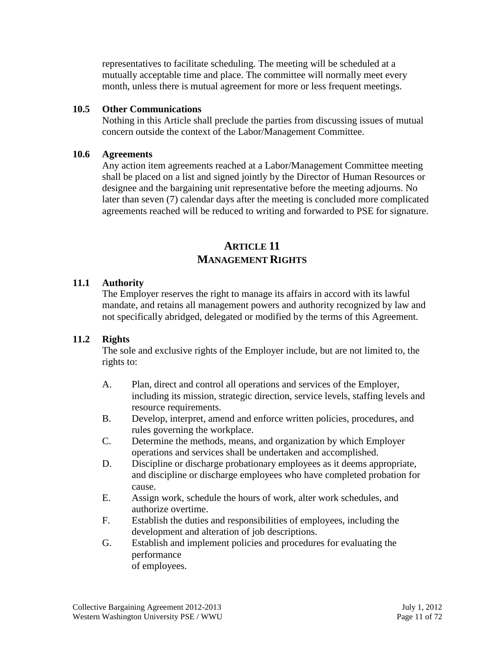representatives to facilitate scheduling. The meeting will be scheduled at a mutually acceptable time and place. The committee will normally meet every month, unless there is mutual agreement for more or less frequent meetings.

#### **10.5 Other Communications**

Nothing in this Article shall preclude the parties from discussing issues of mutual concern outside the context of the Labor/Management Committee.

#### **10.6 Agreements**

Any action item agreements reached at a Labor/Management Committee meeting shall be placed on a list and signed jointly by the Director of Human Resources or designee and the bargaining unit representative before the meeting adjourns. No later than seven (7) calendar days after the meeting is concluded more complicated agreements reached will be reduced to writing and forwarded to PSE for signature.

# **ARTICLE 11 MANAGEMENT RIGHTS**

# **11.1 Authority**

The Employer reserves the right to manage its affairs in accord with its lawful mandate, and retains all management powers and authority recognized by law and not specifically abridged, delegated or modified by the terms of this Agreement.

# **11.2 Rights**

The sole and exclusive rights of the Employer include, but are not limited to, the rights to:

- A. Plan, direct and control all operations and services of the Employer, including its mission, strategic direction, service levels, staffing levels and resource requirements.
- B. Develop, interpret, amend and enforce written policies, procedures, and rules governing the workplace.
- C. Determine the methods, means, and organization by which Employer operations and services shall be undertaken and accomplished.
- D. Discipline or discharge probationary employees as it deems appropriate, and discipline or discharge employees who have completed probation for cause.
- E. Assign work, schedule the hours of work, alter work schedules, and authorize overtime.
- F. Establish the duties and responsibilities of employees, including the development and alteration of job descriptions.
- G. Establish and implement policies and procedures for evaluating the performance of employees.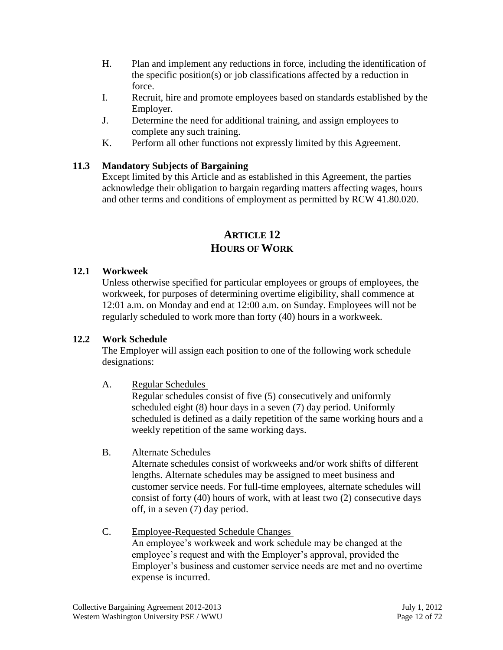- H. Plan and implement any reductions in force, including the identification of the specific position(s) or job classifications affected by a reduction in force.
- I. Recruit, hire and promote employees based on standards established by the Employer.
- J. Determine the need for additional training, and assign employees to complete any such training.
- K. Perform all other functions not expressly limited by this Agreement.

# **11.3 Mandatory Subjects of Bargaining**

Except limited by this Article and as established in this Agreement, the parties acknowledge their obligation to bargain regarding matters affecting wages, hours and other terms and conditions of employment as permitted by RCW 41.80.020.

# **ARTICLE 12 HOURS OF WORK**

# **12.1 Workweek**

Unless otherwise specified for particular employees or groups of employees, the workweek, for purposes of determining overtime eligibility, shall commence at 12:01 a.m. on Monday and end at 12:00 a.m. on Sunday. Employees will not be regularly scheduled to work more than forty (40) hours in a workweek.

# **12.2 Work Schedule**

The Employer will assign each position to one of the following work schedule designations:

# A. Regular Schedules

Regular schedules consist of five (5) consecutively and uniformly scheduled eight (8) hour days in a seven (7) day period. Uniformly scheduled is defined as a daily repetition of the same working hours and a weekly repetition of the same working days.

B. Alternate Schedules

Alternate schedules consist of workweeks and/or work shifts of different lengths. Alternate schedules may be assigned to meet business and customer service needs. For full-time employees, alternate schedules will consist of forty (40) hours of work, with at least two (2) consecutive days off, in a seven (7) day period.

C. Employee-Requested Schedule Changes An employee's workweek and work schedule may be changed at the employee's request and with the Employer's approval, provided the Employer's business and customer service needs are met and no overtime expense is incurred.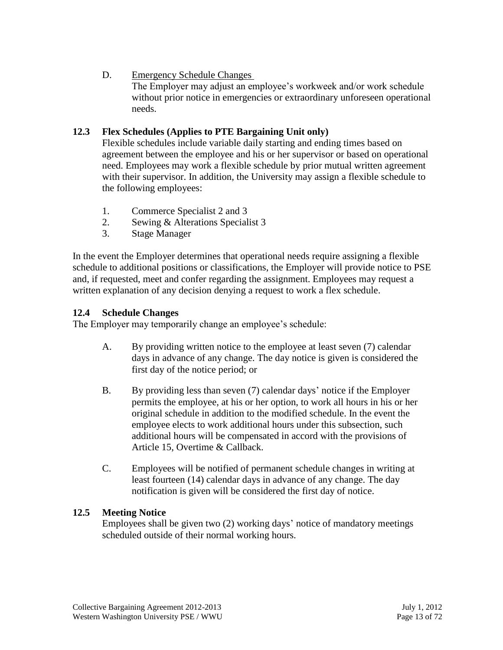# D. Emergency Schedule Changes

The Employer may adjust an employee's workweek and/or work schedule without prior notice in emergencies or extraordinary unforeseen operational needs.

# **12.3 Flex Schedules (Applies to PTE Bargaining Unit only)**

Flexible schedules include variable daily starting and ending times based on agreement between the employee and his or her supervisor or based on operational need. Employees may work a flexible schedule by prior mutual written agreement with their supervisor. In addition, the University may assign a flexible schedule to the following employees:

- 1. Commerce Specialist 2 and 3
- 2. Sewing & Alterations Specialist 3
- 3. Stage Manager

In the event the Employer determines that operational needs require assigning a flexible schedule to additional positions or classifications, the Employer will provide notice to PSE and, if requested, meet and confer regarding the assignment. Employees may request a written explanation of any decision denying a request to work a flex schedule.

# **12.4 Schedule Changes**

The Employer may temporarily change an employee's schedule:

- A. By providing written notice to the employee at least seven (7) calendar days in advance of any change. The day notice is given is considered the first day of the notice period; or
- B. By providing less than seven (7) calendar days' notice if the Employer permits the employee, at his or her option, to work all hours in his or her original schedule in addition to the modified schedule. In the event the employee elects to work additional hours under this subsection, such additional hours will be compensated in accord with the provisions of Article 15, Overtime & Callback.
- C. Employees will be notified of permanent schedule changes in writing at least fourteen (14) calendar days in advance of any change. The day notification is given will be considered the first day of notice.

# **12.5 Meeting Notice**

Employees shall be given two (2) working days' notice of mandatory meetings scheduled outside of their normal working hours.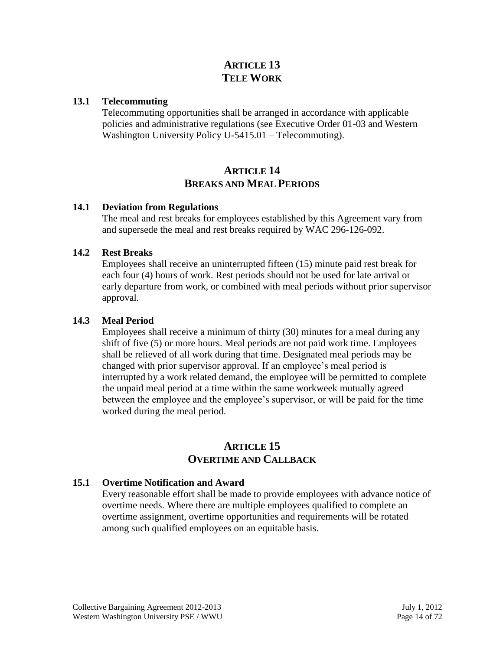# **ARTICLE 13 TELE WORK**

# **13.1 Telecommuting**

Telecommuting opportunities shall be arranged in accordance with applicable policies and administrative regulations (see Executive Order 01-03 and Western Washington University Policy U-5415.01 – Telecommuting).

# **ARTICLE 14 BREAKS AND MEAL PERIODS**

#### **14.1 Deviation from Regulations**

The meal and rest breaks for employees established by this Agreement vary from and supersede the meal and rest breaks required by WAC 296-126-092.

#### **14.2 Rest Breaks**

Employees shall receive an uninterrupted fifteen (15) minute paid rest break for each four (4) hours of work. Rest periods should not be used for late arrival or early departure from work, or combined with meal periods without prior supervisor approval.

#### **14.3 Meal Period**

Employees shall receive a minimum of thirty (30) minutes for a meal during any shift of five (5) or more hours. Meal periods are not paid work time. Employees shall be relieved of all work during that time. Designated meal periods may be changed with prior supervisor approval. If an employee's meal period is interrupted by a work related demand, the employee will be permitted to complete the unpaid meal period at a time within the same workweek mutually agreed between the employee and the employee's supervisor, or will be paid for the time worked during the meal period.

# **ARTICLE 15 OVERTIME AND CALLBACK**

# **15.1 Overtime Notification and Award**

Every reasonable effort shall be made to provide employees with advance notice of overtime needs. Where there are multiple employees qualified to complete an overtime assignment, overtime opportunities and requirements will be rotated among such qualified employees on an equitable basis.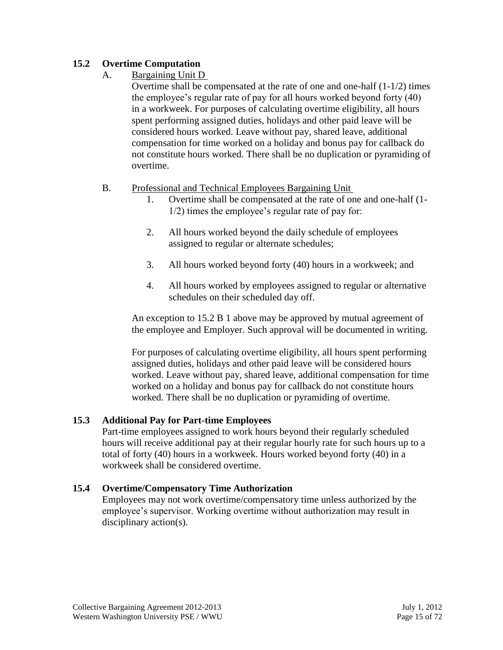# **15.2 Overtime Computation**

A. Bargaining Unit D

Overtime shall be compensated at the rate of one and one-half (1-1/2) times the employee's regular rate of pay for all hours worked beyond forty (40) in a workweek. For purposes of calculating overtime eligibility, all hours spent performing assigned duties, holidays and other paid leave will be considered hours worked. Leave without pay, shared leave, additional compensation for time worked on a holiday and bonus pay for callback do not constitute hours worked. There shall be no duplication or pyramiding of overtime.

# B. Professional and Technical Employees Bargaining Unit

- 1. Overtime shall be compensated at the rate of one and one-half (1- 1/2) times the employee's regular rate of pay for:
- 2. All hours worked beyond the daily schedule of employees assigned to regular or alternate schedules;
- 3. All hours worked beyond forty (40) hours in a workweek; and
- 4. All hours worked by employees assigned to regular or alternative schedules on their scheduled day off.

An exception to 15.2 B 1 above may be approved by mutual agreement of the employee and Employer. Such approval will be documented in writing.

For purposes of calculating overtime eligibility, all hours spent performing assigned duties, holidays and other paid leave will be considered hours worked. Leave without pay, shared leave, additional compensation for time worked on a holiday and bonus pay for callback do not constitute hours worked. There shall be no duplication or pyramiding of overtime.

# **15.3 Additional Pay for Part-time Employees**

Part-time employees assigned to work hours beyond their regularly scheduled hours will receive additional pay at their regular hourly rate for such hours up to a total of forty (40) hours in a workweek. Hours worked beyond forty (40) in a workweek shall be considered overtime.

# **15.4 Overtime/Compensatory Time Authorization**

Employees may not work overtime/compensatory time unless authorized by the employee's supervisor. Working overtime without authorization may result in disciplinary action(s).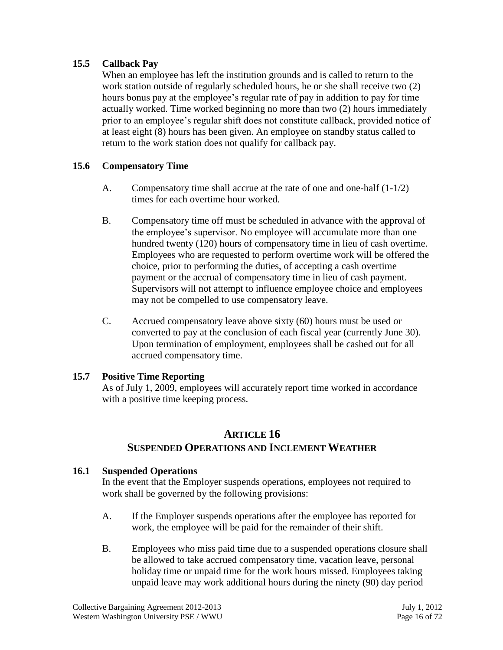# **15.5 Callback Pay**

When an employee has left the institution grounds and is called to return to the work station outside of regularly scheduled hours, he or she shall receive two (2) hours bonus pay at the employee's regular rate of pay in addition to pay for time actually worked. Time worked beginning no more than two (2) hours immediately prior to an employee's regular shift does not constitute callback, provided notice of at least eight (8) hours has been given. An employee on standby status called to return to the work station does not qualify for callback pay.

# **15.6 Compensatory Time**

- A. Compensatory time shall accrue at the rate of one and one-half  $(1-1/2)$ times for each overtime hour worked.
- B. Compensatory time off must be scheduled in advance with the approval of the employee's supervisor. No employee will accumulate more than one hundred twenty (120) hours of compensatory time in lieu of cash overtime. Employees who are requested to perform overtime work will be offered the choice, prior to performing the duties, of accepting a cash overtime payment or the accrual of compensatory time in lieu of cash payment. Supervisors will not attempt to influence employee choice and employees may not be compelled to use compensatory leave.
- C. Accrued compensatory leave above sixty (60) hours must be used or converted to pay at the conclusion of each fiscal year (currently June 30). Upon termination of employment, employees shall be cashed out for all accrued compensatory time.

# **15.7 Positive Time Reporting**

As of July 1, 2009, employees will accurately report time worked in accordance with a positive time keeping process.

# **ARTICLE 16 SUSPENDED OPERATIONS AND INCLEMENT WEATHER**

# **16.1 Suspended Operations**

In the event that the Employer suspends operations, employees not required to work shall be governed by the following provisions:

- A. If the Employer suspends operations after the employee has reported for work, the employee will be paid for the remainder of their shift.
- B. Employees who miss paid time due to a suspended operations closure shall be allowed to take accrued compensatory time, vacation leave, personal holiday time or unpaid time for the work hours missed. Employees taking unpaid leave may work additional hours during the ninety (90) day period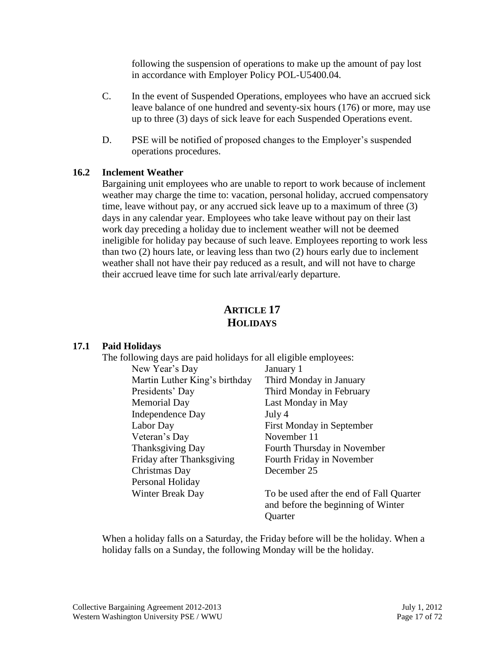following the suspension of operations to make up the amount of pay lost in accordance with Employer Policy POL-U5400.04.

- C. In the event of Suspended Operations, employees who have an accrued sick leave balance of one hundred and seventy-six hours (176) or more, may use up to three (3) days of sick leave for each Suspended Operations event.
- D. PSE will be notified of proposed changes to the Employer's suspended operations procedures.

#### **16.2 Inclement Weather**

Bargaining unit employees who are unable to report to work because of inclement weather may charge the time to: vacation, personal holiday, accrued compensatory time, leave without pay, or any accrued sick leave up to a maximum of three (3) days in any calendar year. Employees who take leave without pay on their last work day preceding a holiday due to inclement weather will not be deemed ineligible for holiday pay because of such leave. Employees reporting to work less than two (2) hours late, or leaving less than two (2) hours early due to inclement weather shall not have their pay reduced as a result, and will not have to charge their accrued leave time for such late arrival/early departure.

# **ARTICLE 17 HOLIDAYS**

#### **17.1 Paid Holidays**

| The following days are paid holidays for all eligible employees: |                                                                                |
|------------------------------------------------------------------|--------------------------------------------------------------------------------|
| New Year's Day                                                   | January 1                                                                      |
| Martin Luther King's birthday                                    | Third Monday in January                                                        |
| Presidents' Day                                                  | Third Monday in February                                                       |
| <b>Memorial Day</b>                                              | Last Monday in May                                                             |
| Independence Day                                                 | July 4                                                                         |
| Labor Day                                                        | First Monday in September                                                      |
| Veteran's Day                                                    | November 11                                                                    |
| Thanksgiving Day                                                 | Fourth Thursday in November                                                    |
| Friday after Thanksgiving                                        | Fourth Friday in November                                                      |
| Christmas Day                                                    | December 25                                                                    |
| Personal Holiday                                                 |                                                                                |
| Winter Break Day                                                 | To be used after the end of Fall Quarter<br>and before the beginning of Winter |
|                                                                  | Quarter                                                                        |

When a holiday falls on a Saturday, the Friday before will be the holiday. When a holiday falls on a Sunday, the following Monday will be the holiday.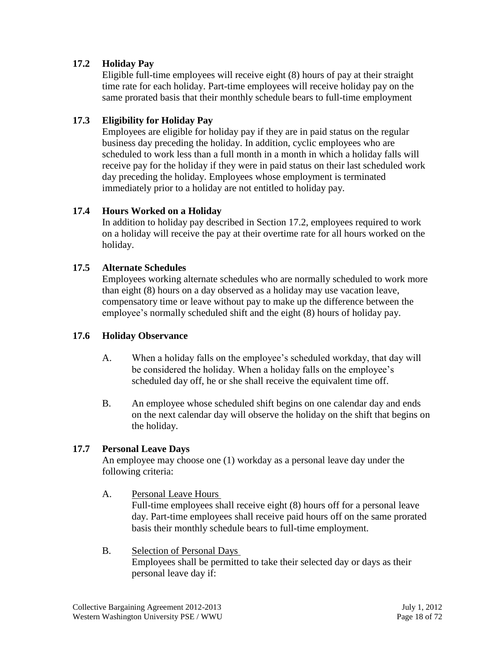# **17.2 Holiday Pay**

Eligible full-time employees will receive eight (8) hours of pay at their straight time rate for each holiday. Part-time employees will receive holiday pay on the same prorated basis that their monthly schedule bears to full-time employment

# **17.3 Eligibility for Holiday Pay**

Employees are eligible for holiday pay if they are in paid status on the regular business day preceding the holiday. In addition, cyclic employees who are scheduled to work less than a full month in a month in which a holiday falls will receive pay for the holiday if they were in paid status on their last scheduled work day preceding the holiday. Employees whose employment is terminated immediately prior to a holiday are not entitled to holiday pay.

# **17.4 Hours Worked on a Holiday**

In addition to holiday pay described in Section 17.2, employees required to work on a holiday will receive the pay at their overtime rate for all hours worked on the holiday.

# **17.5 Alternate Schedules**

Employees working alternate schedules who are normally scheduled to work more than eight (8) hours on a day observed as a holiday may use vacation leave, compensatory time or leave without pay to make up the difference between the employee's normally scheduled shift and the eight (8) hours of holiday pay.

# **17.6 Holiday Observance**

- A. When a holiday falls on the employee's scheduled workday, that day will be considered the holiday. When a holiday falls on the employee's scheduled day off, he or she shall receive the equivalent time off.
- B. An employee whose scheduled shift begins on one calendar day and ends on the next calendar day will observe the holiday on the shift that begins on the holiday.

# **17.7 Personal Leave Days**

An employee may choose one (1) workday as a personal leave day under the following criteria:

A. Personal Leave Hours

Full-time employees shall receive eight (8) hours off for a personal leave day. Part-time employees shall receive paid hours off on the same prorated basis their monthly schedule bears to full-time employment.

B. Selection of Personal Days Employees shall be permitted to take their selected day or days as their personal leave day if: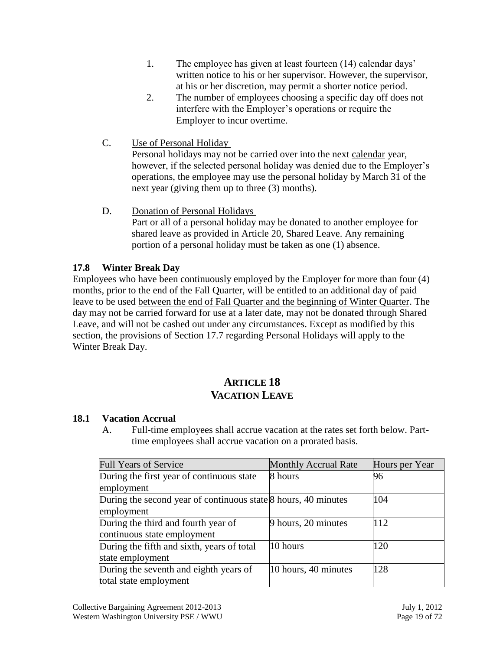- 1. The employee has given at least fourteen (14) calendar days' written notice to his or her supervisor. However, the supervisor, at his or her discretion, may permit a shorter notice period.
- 2. The number of employees choosing a specific day off does not interfere with the Employer's operations or require the Employer to incur overtime.
- C. Use of Personal Holiday

Personal holidays may not be carried over into the next calendar year, however, if the selected personal holiday was denied due to the Employer's operations, the employee may use the personal holiday by March 31 of the next year (giving them up to three (3) months).

D. Donation of Personal Holidays Part or all of a personal holiday may be donated to another employee for shared leave as provided in Article 20, Shared Leave. Any remaining portion of a personal holiday must be taken as one (1) absence.

# **17.8 Winter Break Day**

Employees who have been continuously employed by the Employer for more than four (4) months, prior to the end of the Fall Quarter, will be entitled to an additional day of paid leave to be used between the end of Fall Quarter and the beginning of Winter Quarter. The day may not be carried forward for use at a later date, may not be donated through Shared Leave, and will not be cashed out under any circumstances. Except as modified by this section, the provisions of Section 17.7 regarding Personal Holidays will apply to the Winter Break Day.

# **ARTICLE 18 VACATION LEAVE**

# **18.1 Vacation Accrual**

A. Full-time employees shall accrue vacation at the rates set forth below. Parttime employees shall accrue vacation on a prorated basis.

| <b>Full Years of Service</b>                                         | <b>Monthly Accrual Rate</b> | Hours per Year |
|----------------------------------------------------------------------|-----------------------------|----------------|
| During the first year of continuous state                            | 8 hours                     | 96             |
| employment                                                           |                             |                |
| During the second year of continuous state $\beta$ hours, 40 minutes |                             | 104            |
| employment                                                           |                             |                |
| During the third and fourth year of                                  | 9 hours, 20 minutes         | 112            |
| continuous state employment                                          |                             |                |
| During the fifth and sixth, years of total                           | 10 hours                    | 120            |
| state employment                                                     |                             |                |
| During the seventh and eighth years of                               | 10 hours, 40 minutes        | 128            |
| total state employment                                               |                             |                |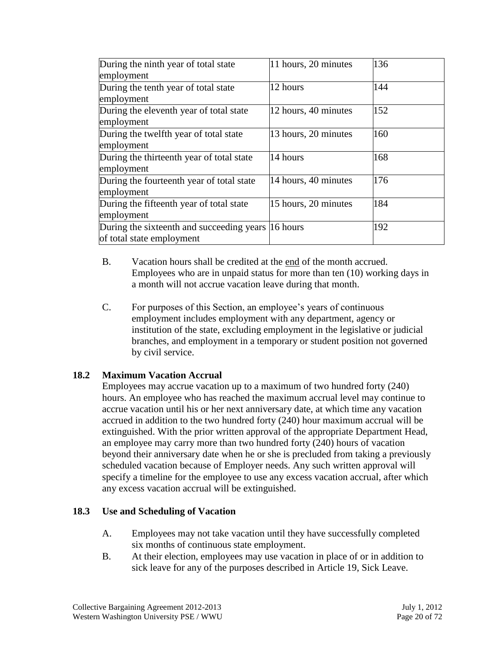| During the ninth year of total state               | 11 hours, 20 minutes | 136 |
|----------------------------------------------------|----------------------|-----|
| employment                                         |                      |     |
| During the tenth year of total state               | 12 hours             | 144 |
| employment                                         |                      |     |
| During the eleventh year of total state            | 12 hours, 40 minutes | 152 |
| employment                                         |                      |     |
| During the twelfth year of total state             | 13 hours, 20 minutes | 160 |
| employment                                         |                      |     |
| During the thirteenth year of total state          | 14 hours             | 168 |
| employment                                         |                      |     |
| During the fourteenth year of total state          | 14 hours, 40 minutes | 176 |
| employment                                         |                      |     |
| During the fifteenth year of total state           | 15 hours, 20 minutes | 184 |
| employment                                         |                      |     |
| During the sixteenth and succeeding years 16 hours |                      | 192 |
| of total state employment                          |                      |     |

- B. Vacation hours shall be credited at the end of the month accrued. Employees who are in unpaid status for more than ten (10) working days in a month will not accrue vacation leave during that month.
- C. For purposes of this Section, an employee's years of continuous employment includes employment with any department, agency or institution of the state, excluding employment in the legislative or judicial branches, and employment in a temporary or student position not governed by civil service.

# **18.2 Maximum Vacation Accrual**

Employees may accrue vacation up to a maximum of two hundred forty (240) hours. An employee who has reached the maximum accrual level may continue to accrue vacation until his or her next anniversary date, at which time any vacation accrued in addition to the two hundred forty (240) hour maximum accrual will be extinguished. With the prior written approval of the appropriate Department Head, an employee may carry more than two hundred forty (240) hours of vacation beyond their anniversary date when he or she is precluded from taking a previously scheduled vacation because of Employer needs. Any such written approval will specify a timeline for the employee to use any excess vacation accrual, after which any excess vacation accrual will be extinguished.

# **18.3 Use and Scheduling of Vacation**

- A. Employees may not take vacation until they have successfully completed six months of continuous state employment.
- B. At their election, employees may use vacation in place of or in addition to sick leave for any of the purposes described in Article 19, Sick Leave.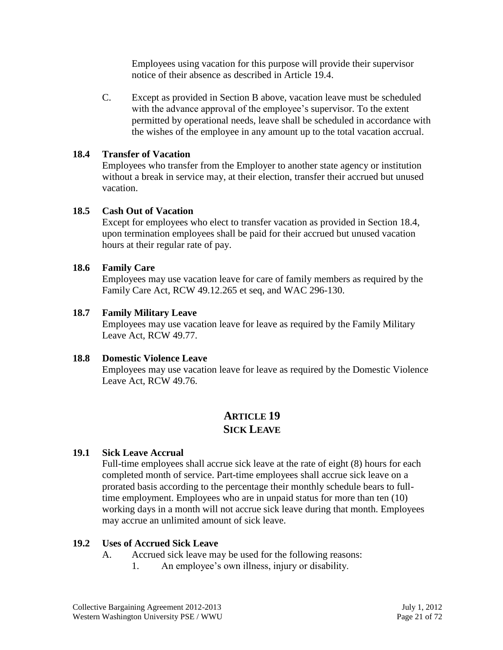Employees using vacation for this purpose will provide their supervisor notice of their absence as described in Article 19.4.

C. Except as provided in Section B above, vacation leave must be scheduled with the advance approval of the employee's supervisor. To the extent permitted by operational needs, leave shall be scheduled in accordance with the wishes of the employee in any amount up to the total vacation accrual.

#### **18.4 Transfer of Vacation**

Employees who transfer from the Employer to another state agency or institution without a break in service may, at their election, transfer their accrued but unused vacation.

#### **18.5 Cash Out of Vacation**

Except for employees who elect to transfer vacation as provided in Section 18.4, upon termination employees shall be paid for their accrued but unused vacation hours at their regular rate of pay.

#### **18.6 Family Care**

Employees may use vacation leave for care of family members as required by the Family Care Act, RCW 49.12.265 et seq, and WAC 296-130.

#### **18.7 Family Military Leave**

Employees may use vacation leave for leave as required by the Family Military Leave Act, RCW 49.77.

#### **18.8 Domestic Violence Leave**

Employees may use vacation leave for leave as required by the Domestic Violence Leave Act, RCW 49.76.

# **ARTICLE 19 SICK LEAVE**

# **19.1 Sick Leave Accrual**

Full-time employees shall accrue sick leave at the rate of eight (8) hours for each completed month of service. Part-time employees shall accrue sick leave on a prorated basis according to the percentage their monthly schedule bears to fulltime employment. Employees who are in unpaid status for more than ten (10) working days in a month will not accrue sick leave during that month. Employees may accrue an unlimited amount of sick leave.

#### **19.2 Uses of Accrued Sick Leave**

- A. Accrued sick leave may be used for the following reasons:
	- 1. An employee's own illness, injury or disability.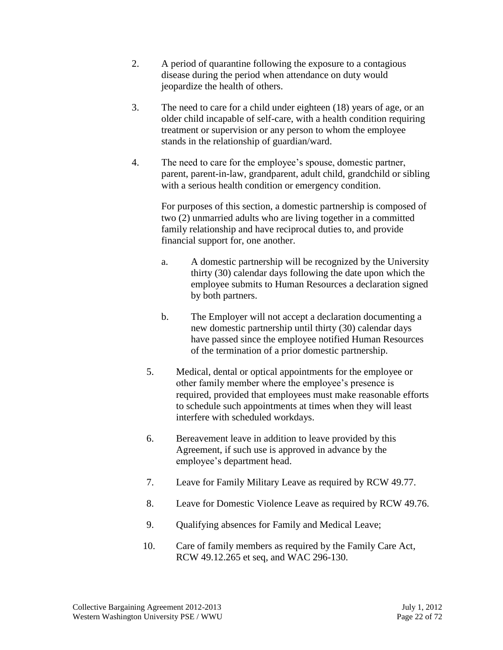- 2. A period of quarantine following the exposure to a contagious disease during the period when attendance on duty would jeopardize the health of others.
- 3. The need to care for a child under eighteen (18) years of age, or an older child incapable of self-care, with a health condition requiring treatment or supervision or any person to whom the employee stands in the relationship of guardian/ward.
- 4. The need to care for the employee's spouse, domestic partner, parent, parent-in-law, grandparent, adult child, grandchild or sibling with a serious health condition or emergency condition.

For purposes of this section, a domestic partnership is composed of two (2) unmarried adults who are living together in a committed family relationship and have reciprocal duties to, and provide financial support for, one another.

- a. A domestic partnership will be recognized by the University thirty (30) calendar days following the date upon which the employee submits to Human Resources a declaration signed by both partners.
- b. The Employer will not accept a declaration documenting a new domestic partnership until thirty (30) calendar days have passed since the employee notified Human Resources of the termination of a prior domestic partnership.
- 5. Medical, dental or optical appointments for the employee or other family member where the employee's presence is required, provided that employees must make reasonable efforts to schedule such appointments at times when they will least interfere with scheduled workdays.
- 6. Bereavement leave in addition to leave provided by this Agreement, if such use is approved in advance by the employee's department head.
- 7. Leave for Family Military Leave as required by RCW 49.77.
- 8. Leave for Domestic Violence Leave as required by RCW 49.76.
- 9. Qualifying absences for Family and Medical Leave;
- 10. Care of family members as required by the Family Care Act, RCW 49.12.265 et seq, and WAC 296-130.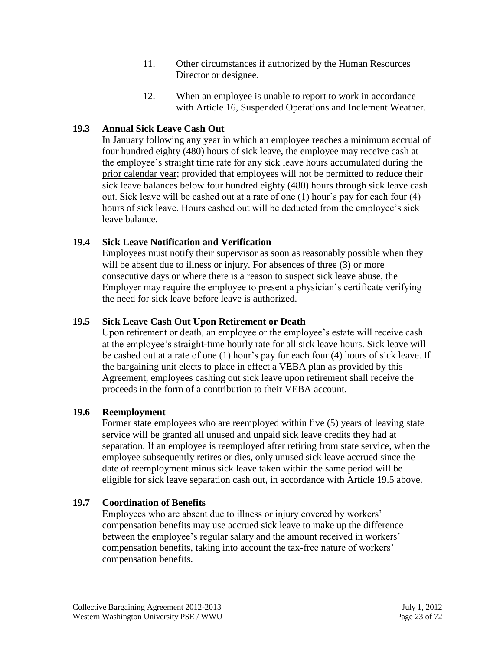- 11. Other circumstances if authorized by the Human Resources Director or designee.
- 12. When an employee is unable to report to work in accordance with Article 16, Suspended Operations and Inclement Weather.

# **19.3 Annual Sick Leave Cash Out**

In January following any year in which an employee reaches a minimum accrual of four hundred eighty (480) hours of sick leave, the employee may receive cash at the employee's straight time rate for any sick leave hours accumulated during the prior calendar year; provided that employees will not be permitted to reduce their sick leave balances below four hundred eighty (480) hours through sick leave cash out. Sick leave will be cashed out at a rate of one (1) hour's pay for each four (4) hours of sick leave. Hours cashed out will be deducted from the employee's sick leave balance.

# **19.4 Sick Leave Notification and Verification**

Employees must notify their supervisor as soon as reasonably possible when they will be absent due to illness or injury. For absences of three  $(3)$  or more consecutive days or where there is a reason to suspect sick leave abuse, the Employer may require the employee to present a physician's certificate verifying the need for sick leave before leave is authorized.

# **19.5 Sick Leave Cash Out Upon Retirement or Death**

Upon retirement or death, an employee or the employee's estate will receive cash at the employee's straight-time hourly rate for all sick leave hours. Sick leave will be cashed out at a rate of one (1) hour's pay for each four (4) hours of sick leave. If the bargaining unit elects to place in effect a VEBA plan as provided by this Agreement, employees cashing out sick leave upon retirement shall receive the proceeds in the form of a contribution to their VEBA account.

# **19.6 Reemployment**

Former state employees who are reemployed within five (5) years of leaving state service will be granted all unused and unpaid sick leave credits they had at separation. If an employee is reemployed after retiring from state service, when the employee subsequently retires or dies, only unused sick leave accrued since the date of reemployment minus sick leave taken within the same period will be eligible for sick leave separation cash out, in accordance with Article 19.5 above.

# **19.7 Coordination of Benefits**

Employees who are absent due to illness or injury covered by workers' compensation benefits may use accrued sick leave to make up the difference between the employee's regular salary and the amount received in workers' compensation benefits, taking into account the tax-free nature of workers' compensation benefits.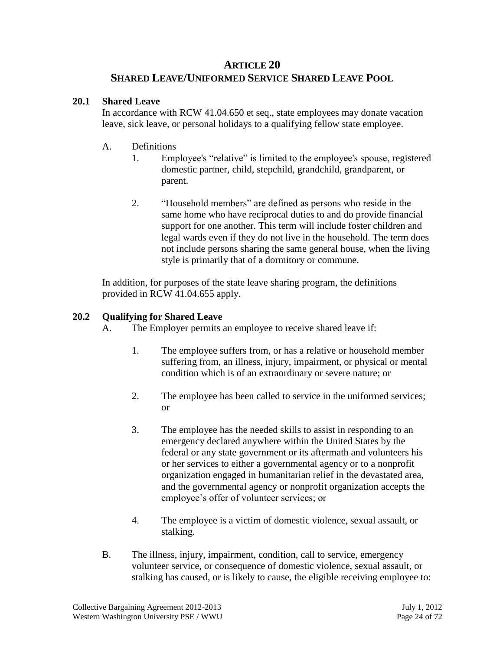# **ARTICLE 20**

# **SHARED LEAVE/UNIFORMED SERVICE SHARED LEAVE POOL**

# **20.1 Shared Leave**

In accordance with RCW 41.04.650 et seq., state employees may donate vacation leave, sick leave, or personal holidays to a qualifying fellow state employee.

# A. Definitions

- 1. Employee's "relative" is limited to the employee's spouse, registered domestic partner, child, stepchild, grandchild, grandparent, or parent.
- 2. "Household members" are defined as persons who reside in the same home who have reciprocal duties to and do provide financial support for one another. This term will include foster children and legal wards even if they do not live in the household. The term does not include persons sharing the same general house, when the living style is primarily that of a dormitory or commune.

In addition, for purposes of the state leave sharing program, the definitions provided in RCW 41.04.655 apply.

# **20.2 Qualifying for Shared Leave**

- A. The Employer permits an employee to receive shared leave if:
	- 1. The employee suffers from, or has a relative or household member suffering from, an illness, injury, impairment, or physical or mental condition which is of an extraordinary or severe nature; or
	- 2. The employee has been called to service in the uniformed services; or
	- 3. The employee has the needed skills to assist in responding to an emergency declared anywhere within the United States by the federal or any state government or its aftermath and volunteers his or her services to either a governmental agency or to a nonprofit organization engaged in humanitarian relief in the devastated area, and the governmental agency or nonprofit organization accepts the employee's offer of volunteer services; or
	- 4. The employee is a victim of domestic violence, sexual assault, or stalking.
- B. The illness, injury, impairment, condition, call to service, emergency volunteer service, or consequence of domestic violence, sexual assault, or stalking has caused, or is likely to cause, the eligible receiving employee to: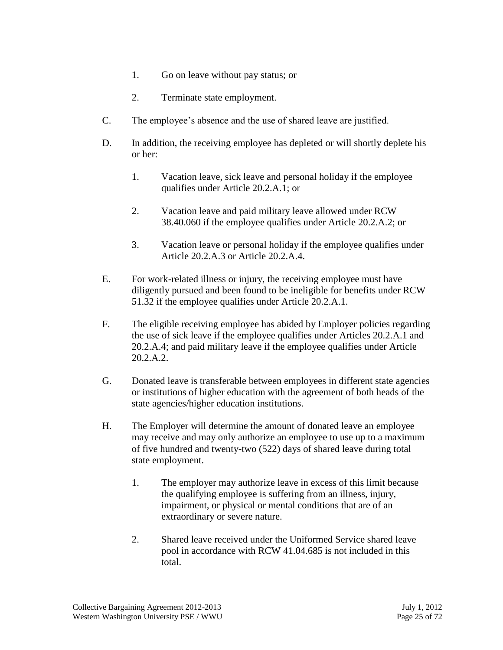- 1. Go on leave without pay status; or
- 2. Terminate state employment.
- C. The employee's absence and the use of shared leave are justified.
- D. In addition, the receiving employee has depleted or will shortly deplete his or her:
	- 1. Vacation leave, sick leave and personal holiday if the employee qualifies under Article 20.2.A.1; or
	- 2. Vacation leave and paid military leave allowed under RCW 38.40.060 if the employee qualifies under Article 20.2.A.2; or
	- 3. Vacation leave or personal holiday if the employee qualifies under Article 20.2.A.3 or Article 20.2.A.4.
- E. For work-related illness or injury, the receiving employee must have diligently pursued and been found to be ineligible for benefits under RCW 51.32 if the employee qualifies under Article 20.2.A.1.
- F. The eligible receiving employee has abided by Employer policies regarding the use of sick leave if the employee qualifies under Articles 20.2.A.1 and 20.2.A.4; and paid military leave if the employee qualifies under Article 20.2.A.2.
- G. Donated leave is transferable between employees in different state agencies or institutions of higher education with the agreement of both heads of the state agencies/higher education institutions.
- H. The Employer will determine the amount of donated leave an employee may receive and may only authorize an employee to use up to a maximum of five hundred and twenty-two (522) days of shared leave during total state employment.
	- 1. The employer may authorize leave in excess of this limit because the qualifying employee is suffering from an illness, injury, impairment, or physical or mental conditions that are of an extraordinary or severe nature.
	- 2. Shared leave received under the Uniformed Service shared leave pool in accordance with RCW 41.04.685 is not included in this total.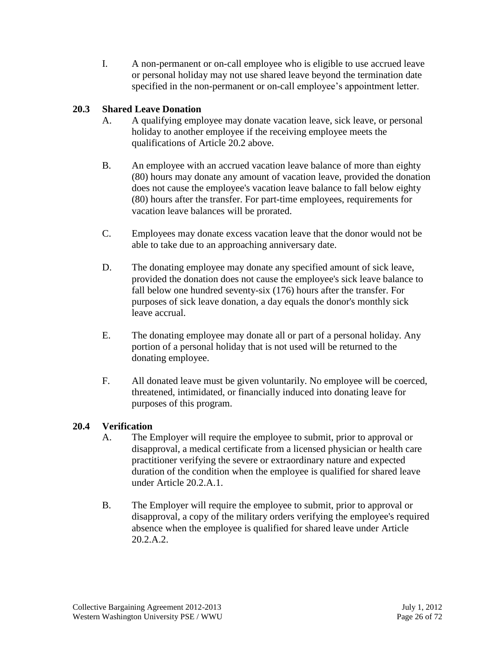I. A non-permanent or on-call employee who is eligible to use accrued leave or personal holiday may not use shared leave beyond the termination date specified in the non-permanent or on-call employee's appointment letter.

# **20.3 Shared Leave Donation**

- A. A qualifying employee may donate vacation leave, sick leave, or personal holiday to another employee if the receiving employee meets the qualifications of Article 20.2 above.
- B. An employee with an accrued vacation leave balance of more than eighty (80) hours may donate any amount of vacation leave, provided the donation does not cause the employee's vacation leave balance to fall below eighty (80) hours after the transfer. For part-time employees, requirements for vacation leave balances will be prorated.
- C. Employees may donate excess vacation leave that the donor would not be able to take due to an approaching anniversary date.
- D. The donating employee may donate any specified amount of sick leave, provided the donation does not cause the employee's sick leave balance to fall below one hundred seventy-six (176) hours after the transfer. For purposes of sick leave donation, a day equals the donor's monthly sick leave accrual.
- E. The donating employee may donate all or part of a personal holiday. Any portion of a personal holiday that is not used will be returned to the donating employee.
- F. All donated leave must be given voluntarily. No employee will be coerced, threatened, intimidated, or financially induced into donating leave for purposes of this program.

# **20.4 Verification**

- A. The Employer will require the employee to submit, prior to approval or disapproval, a medical certificate from a licensed physician or health care practitioner verifying the severe or extraordinary nature and expected duration of the condition when the employee is qualified for shared leave under Article 20.2.A.1.
- B. The Employer will require the employee to submit, prior to approval or disapproval, a copy of the military orders verifying the employee's required absence when the employee is qualified for shared leave under Article 20.2.A.2.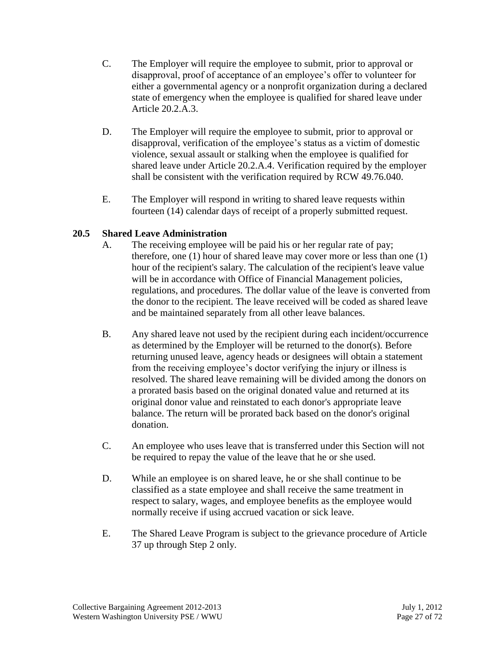- C. The Employer will require the employee to submit, prior to approval or disapproval, proof of acceptance of an employee's offer to volunteer for either a governmental agency or a nonprofit organization during a declared state of emergency when the employee is qualified for shared leave under Article 20.2.A.3.
- D. The Employer will require the employee to submit, prior to approval or disapproval, verification of the employee's status as a victim of domestic violence, sexual assault or stalking when the employee is qualified for shared leave under Article 20.2.A.4. Verification required by the employer shall be consistent with the verification required by RCW 49.76.040.
- E. The Employer will respond in writing to shared leave requests within fourteen (14) calendar days of receipt of a properly submitted request.

## **20.5 Shared Leave Administration**

- A. The receiving employee will be paid his or her regular rate of pay; therefore, one (1) hour of shared leave may cover more or less than one (1) hour of the recipient's salary. The calculation of the recipient's leave value will be in accordance with Office of Financial Management policies, regulations, and procedures. The dollar value of the leave is converted from the donor to the recipient. The leave received will be coded as shared leave and be maintained separately from all other leave balances.
- B. Any shared leave not used by the recipient during each incident/occurrence as determined by the Employer will be returned to the donor(s). Before returning unused leave, agency heads or designees will obtain a statement from the receiving employee's doctor verifying the injury or illness is resolved. The shared leave remaining will be divided among the donors on a prorated basis based on the original donated value and returned at its original donor value and reinstated to each donor's appropriate leave balance. The return will be prorated back based on the donor's original donation.
- C. An employee who uses leave that is transferred under this Section will not be required to repay the value of the leave that he or she used.
- D. While an employee is on shared leave, he or she shall continue to be classified as a state employee and shall receive the same treatment in respect to salary, wages, and employee benefits as the employee would normally receive if using accrued vacation or sick leave.
- E. The Shared Leave Program is subject to the grievance procedure of Article 37 up through Step 2 only.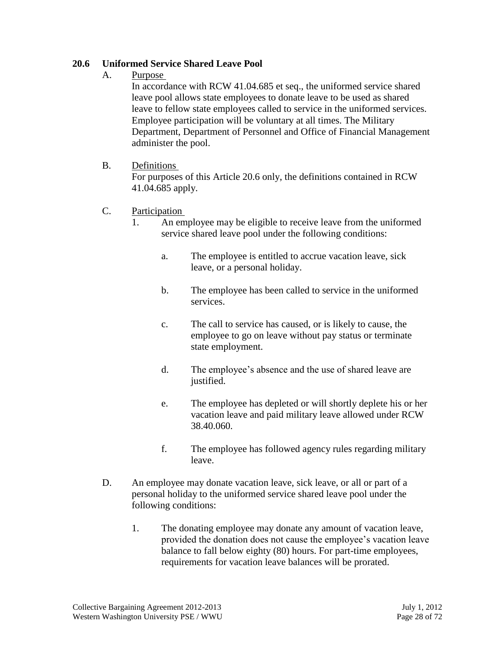## **20.6 Uniformed Service Shared Leave Pool**

A. Purpose

In accordance with RCW 41.04.685 et seq., the uniformed service shared leave pool allows state employees to donate leave to be used as shared leave to fellow state employees called to service in the uniformed services. Employee participation will be voluntary at all times. The Military Department, Department of Personnel and Office of Financial Management administer the pool.

B. Definitions

For purposes of this Article 20.6 only, the definitions contained in RCW 41.04.685 apply.

- C. Participation
	- 1. An employee may be eligible to receive leave from the uniformed service shared leave pool under the following conditions:
		- a. The employee is entitled to accrue vacation leave, sick leave, or a personal holiday.
		- b. The employee has been called to service in the uniformed services.
		- c. The call to service has caused, or is likely to cause, the employee to go on leave without pay status or terminate state employment.
		- d. The employee's absence and the use of shared leave are justified.
		- e. The employee has depleted or will shortly deplete his or her vacation leave and paid military leave allowed under RCW 38.40.060.
		- f. The employee has followed agency rules regarding military leave.
- D. An employee may donate vacation leave, sick leave, or all or part of a personal holiday to the uniformed service shared leave pool under the following conditions:
	- 1. The donating employee may donate any amount of vacation leave, provided the donation does not cause the employee's vacation leave balance to fall below eighty (80) hours. For part-time employees, requirements for vacation leave balances will be prorated.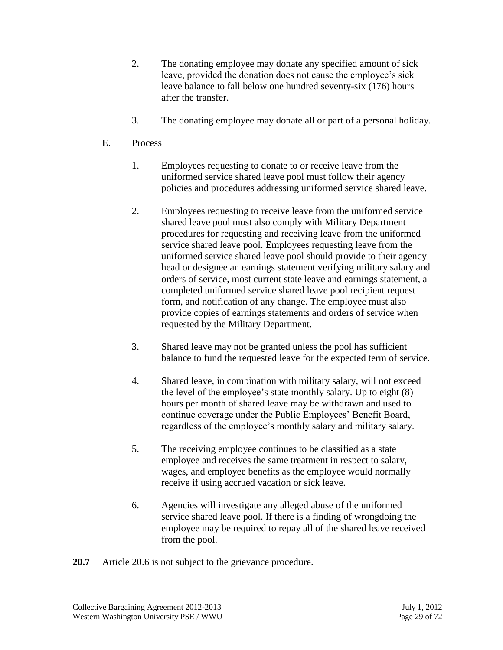- 2. The donating employee may donate any specified amount of sick leave, provided the donation does not cause the employee's sick leave balance to fall below one hundred seventy-six (176) hours after the transfer.
- 3. The donating employee may donate all or part of a personal holiday.
- E. Process
	- 1. Employees requesting to donate to or receive leave from the uniformed service shared leave pool must follow their agency policies and procedures addressing uniformed service shared leave.
	- 2. Employees requesting to receive leave from the uniformed service shared leave pool must also comply with Military Department procedures for requesting and receiving leave from the uniformed service shared leave pool. Employees requesting leave from the uniformed service shared leave pool should provide to their agency head or designee an earnings statement verifying military salary and orders of service, most current state leave and earnings statement, a completed uniformed service shared leave pool recipient request form, and notification of any change. The employee must also provide copies of earnings statements and orders of service when requested by the Military Department.
	- 3. Shared leave may not be granted unless the pool has sufficient balance to fund the requested leave for the expected term of service.
	- 4. Shared leave, in combination with military salary, will not exceed the level of the employee's state monthly salary. Up to eight (8) hours per month of shared leave may be withdrawn and used to continue coverage under the Public Employees' Benefit Board, regardless of the employee's monthly salary and military salary.
	- 5. The receiving employee continues to be classified as a state employee and receives the same treatment in respect to salary, wages, and employee benefits as the employee would normally receive if using accrued vacation or sick leave.
	- 6. Agencies will investigate any alleged abuse of the uniformed service shared leave pool. If there is a finding of wrongdoing the employee may be required to repay all of the shared leave received from the pool.
- **20.7** Article 20.6 is not subject to the grievance procedure.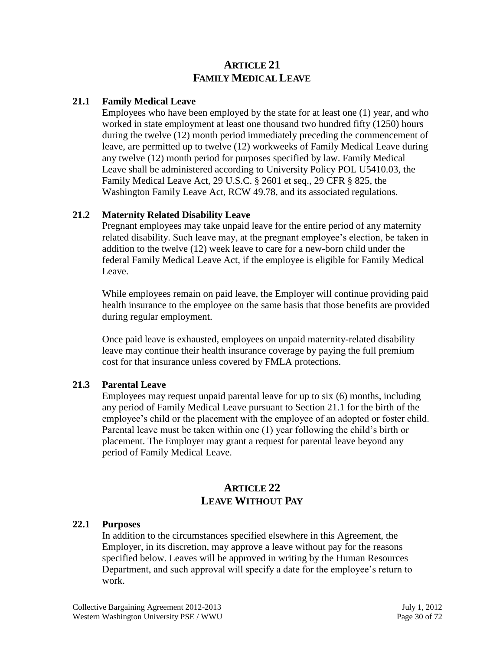# **ARTICLE 21 FAMILY MEDICAL LEAVE**

## **21.1 Family Medical Leave**

Employees who have been employed by the state for at least one (1) year, and who worked in state employment at least one thousand two hundred fifty (1250) hours during the twelve (12) month period immediately preceding the commencement of leave, are permitted up to twelve (12) workweeks of Family Medical Leave during any twelve (12) month period for purposes specified by law. Family Medical Leave shall be administered according to University Policy POL U5410.03, the Family Medical Leave Act, 29 U.S.C. § 2601 et seq., 29 CFR § 825, the Washington Family Leave Act, RCW 49.78, and its associated regulations.

## **21.2 Maternity Related Disability Leave**

Pregnant employees may take unpaid leave for the entire period of any maternity related disability. Such leave may, at the pregnant employee's election, be taken in addition to the twelve (12) week leave to care for a new-born child under the federal Family Medical Leave Act, if the employee is eligible for Family Medical Leave.

While employees remain on paid leave, the Employer will continue providing paid health insurance to the employee on the same basis that those benefits are provided during regular employment.

Once paid leave is exhausted, employees on unpaid maternity-related disability leave may continue their health insurance coverage by paying the full premium cost for that insurance unless covered by FMLA protections.

## **21.3 Parental Leave**

Employees may request unpaid parental leave for up to six (6) months, including any period of Family Medical Leave pursuant to Section 21.1 for the birth of the employee's child or the placement with the employee of an adopted or foster child. Parental leave must be taken within one (1) year following the child's birth or placement. The Employer may grant a request for parental leave beyond any period of Family Medical Leave.

# **ARTICLE 22 LEAVE WITHOUT PAY**

## **22.1 Purposes**

In addition to the circumstances specified elsewhere in this Agreement, the Employer, in its discretion, may approve a leave without pay for the reasons specified below. Leaves will be approved in writing by the Human Resources Department, and such approval will specify a date for the employee's return to work.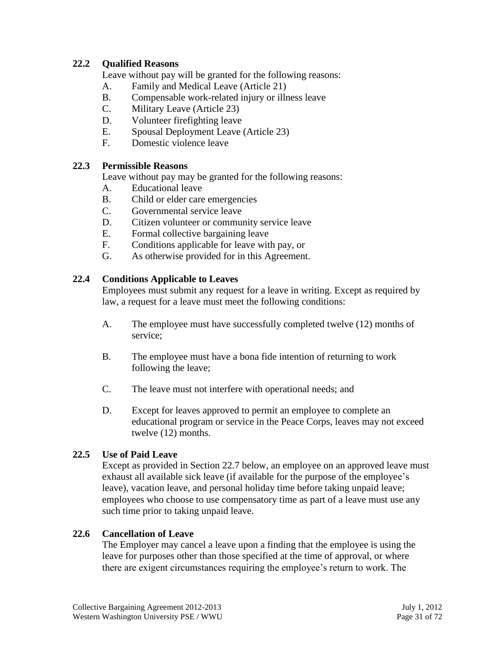## **22.2 Qualified Reasons**

Leave without pay will be granted for the following reasons:

- A. Family and Medical Leave (Article 21)
- B. Compensable work-related injury or illness leave
- C. Military Leave (Article 23)
- D. Volunteer firefighting leave
- E. Spousal Deployment Leave (Article 23)
- F. Domestic violence leave

## **22.3 Permissible Reasons**

Leave without pay may be granted for the following reasons:

- A. Educational leave
- B. Child or elder care emergencies
- C. Governmental service leave
- D. Citizen volunteer or community service leave
- E. Formal collective bargaining leave
- F. Conditions applicable for leave with pay, or
- G. As otherwise provided for in this Agreement.

## **22.4 Conditions Applicable to Leaves**

Employees must submit any request for a leave in writing. Except as required by law, a request for a leave must meet the following conditions:

- A. The employee must have successfully completed twelve (12) months of service;
- B. The employee must have a bona fide intention of returning to work following the leave;
- C. The leave must not interfere with operational needs; and
- D. Except for leaves approved to permit an employee to complete an educational program or service in the Peace Corps, leaves may not exceed twelve (12) months.

## **22.5 Use of Paid Leave**

Except as provided in Section 22.7 below, an employee on an approved leave must exhaust all available sick leave (if available for the purpose of the employee's leave), vacation leave, and personal holiday time before taking unpaid leave; employees who choose to use compensatory time as part of a leave must use any such time prior to taking unpaid leave.

## **22.6 Cancellation of Leave**

The Employer may cancel a leave upon a finding that the employee is using the leave for purposes other than those specified at the time of approval, or where there are exigent circumstances requiring the employee's return to work. The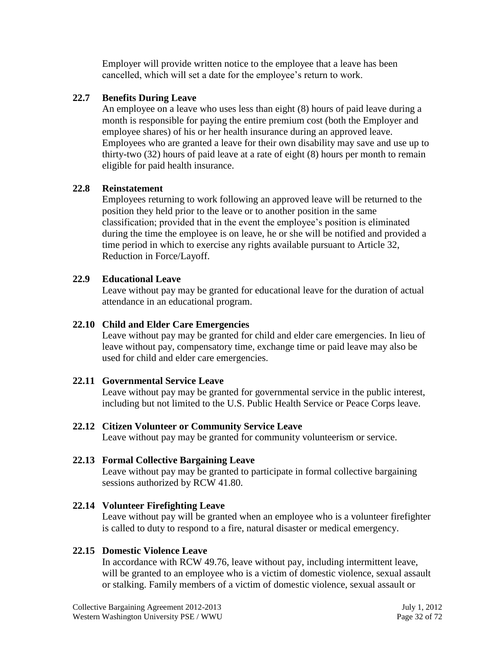Employer will provide written notice to the employee that a leave has been cancelled, which will set a date for the employee's return to work.

## **22.7 Benefits During Leave**

An employee on a leave who uses less than eight (8) hours of paid leave during a month is responsible for paying the entire premium cost (both the Employer and employee shares) of his or her health insurance during an approved leave. Employees who are granted a leave for their own disability may save and use up to thirty-two (32) hours of paid leave at a rate of eight (8) hours per month to remain eligible for paid health insurance.

## **22.8 Reinstatement**

Employees returning to work following an approved leave will be returned to the position they held prior to the leave or to another position in the same classification; provided that in the event the employee's position is eliminated during the time the employee is on leave, he or she will be notified and provided a time period in which to exercise any rights available pursuant to Article 32, Reduction in Force/Layoff.

## **22.9 Educational Leave**

Leave without pay may be granted for educational leave for the duration of actual attendance in an educational program.

## **22.10 Child and Elder Care Emergencies**

Leave without pay may be granted for child and elder care emergencies. In lieu of leave without pay, compensatory time, exchange time or paid leave may also be used for child and elder care emergencies.

## **22.11 Governmental Service Leave**

Leave without pay may be granted for governmental service in the public interest, including but not limited to the U.S. Public Health Service or Peace Corps leave.

## **22.12 Citizen Volunteer or Community Service Leave**

Leave without pay may be granted for community volunteerism or service.

# **22.13 Formal Collective Bargaining Leave**

Leave without pay may be granted to participate in formal collective bargaining sessions authorized by RCW 41.80.

# **22.14 Volunteer Firefighting Leave**

Leave without pay will be granted when an employee who is a volunteer firefighter is called to duty to respond to a fire, natural disaster or medical emergency.

# **22.15 Domestic Violence Leave**

In accordance with RCW 49.76, leave without pay, including intermittent leave, will be granted to an employee who is a victim of domestic violence, sexual assault or stalking. Family members of a victim of domestic violence, sexual assault or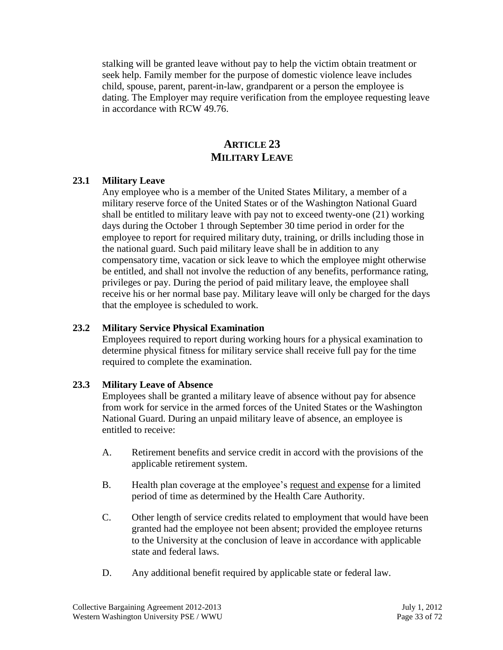stalking will be granted leave without pay to help the victim obtain treatment or seek help. Family member for the purpose of domestic violence leave includes child, spouse, parent, parent-in-law, grandparent or a person the employee is dating. The Employer may require verification from the employee requesting leave in accordance with RCW 49.76.

# **ARTICLE 23 MILITARY LEAVE**

## **23.1 Military Leave**

Any employee who is a member of the United States Military, a member of a military reserve force of the United States or of the Washington National Guard shall be entitled to military leave with pay not to exceed twenty-one (21) working days during the October 1 through September 30 time period in order for the employee to report for required military duty, training, or drills including those in the national guard. Such paid military leave shall be in addition to any compensatory time, vacation or sick leave to which the employee might otherwise be entitled, and shall not involve the reduction of any benefits, performance rating, privileges or pay. During the period of paid military leave, the employee shall receive his or her normal base pay. Military leave will only be charged for the days that the employee is scheduled to work.

## **23.2 Military Service Physical Examination**

Employees required to report during working hours for a physical examination to determine physical fitness for military service shall receive full pay for the time required to complete the examination.

# **23.3 Military Leave of Absence**

Employees shall be granted a military leave of absence without pay for absence from work for service in the armed forces of the United States or the Washington National Guard. During an unpaid military leave of absence, an employee is entitled to receive:

- A. Retirement benefits and service credit in accord with the provisions of the applicable retirement system.
- B. Health plan coverage at the employee's request and expense for a limited period of time as determined by the Health Care Authority.
- C. Other length of service credits related to employment that would have been granted had the employee not been absent; provided the employee returns to the University at the conclusion of leave in accordance with applicable state and federal laws.
- D. Any additional benefit required by applicable state or federal law.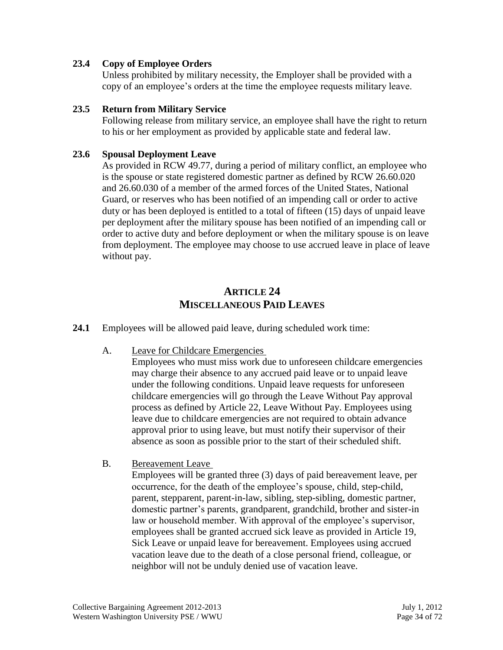## **23.4 Copy of Employee Orders**

Unless prohibited by military necessity, the Employer shall be provided with a copy of an employee's orders at the time the employee requests military leave.

#### **23.5 Return from Military Service**

Following release from military service, an employee shall have the right to return to his or her employment as provided by applicable state and federal law.

#### **23.6 Spousal Deployment Leave**

As provided in RCW 49.77, during a period of military conflict, an employee who is the spouse or state registered domestic partner as defined by RCW 26.60.020 and 26.60.030 of a member of the armed forces of the United States, National Guard, or reserves who has been notified of an impending call or order to active duty or has been deployed is entitled to a total of fifteen (15) days of unpaid leave per deployment after the military spouse has been notified of an impending call or order to active duty and before deployment or when the military spouse is on leave from deployment. The employee may choose to use accrued leave in place of leave without pay.

# **ARTICLE 24 MISCELLANEOUS PAID LEAVES**

- **24.1** Employees will be allowed paid leave, during scheduled work time:
	- A. Leave for Childcare Emergencies

Employees who must miss work due to unforeseen childcare emergencies may charge their absence to any accrued paid leave or to unpaid leave under the following conditions. Unpaid leave requests for unforeseen childcare emergencies will go through the Leave Without Pay approval process as defined by Article 22, Leave Without Pay. Employees using leave due to childcare emergencies are not required to obtain advance approval prior to using leave, but must notify their supervisor of their absence as soon as possible prior to the start of their scheduled shift.

B. Bereavement Leave

Employees will be granted three (3) days of paid bereavement leave, per occurrence, for the death of the employee's spouse, child, step-child, parent, stepparent, parent-in-law, sibling, step-sibling, domestic partner, domestic partner's parents, grandparent, grandchild, brother and sister-in law or household member. With approval of the employee's supervisor, employees shall be granted accrued sick leave as provided in Article 19, Sick Leave or unpaid leave for bereavement. Employees using accrued vacation leave due to the death of a close personal friend, colleague, or neighbor will not be unduly denied use of vacation leave.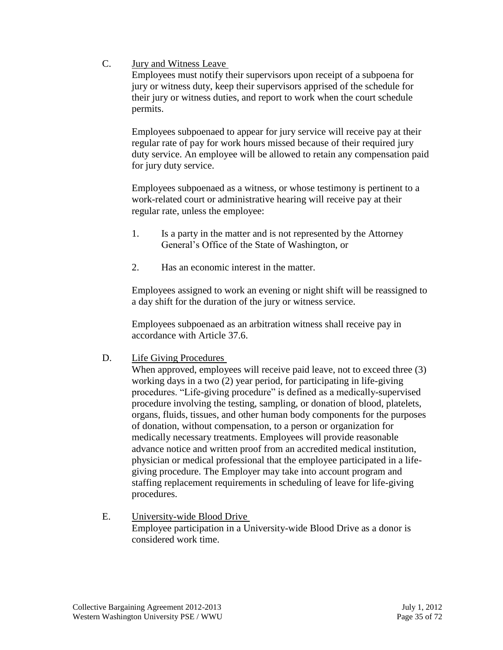C. Jury and Witness Leave

Employees must notify their supervisors upon receipt of a subpoena for jury or witness duty, keep their supervisors apprised of the schedule for their jury or witness duties, and report to work when the court schedule permits.

Employees subpoenaed to appear for jury service will receive pay at their regular rate of pay for work hours missed because of their required jury duty service. An employee will be allowed to retain any compensation paid for jury duty service.

Employees subpoenaed as a witness, or whose testimony is pertinent to a work-related court or administrative hearing will receive pay at their regular rate, unless the employee:

- 1. Is a party in the matter and is not represented by the Attorney General's Office of the State of Washington, or
- 2. Has an economic interest in the matter.

Employees assigned to work an evening or night shift will be reassigned to a day shift for the duration of the jury or witness service.

Employees subpoenaed as an arbitration witness shall receive pay in accordance with Article 37.6.

D. Life Giving Procedures

When approved, employees will receive paid leave, not to exceed three  $(3)$ working days in a two (2) year period, for participating in life-giving procedures. "Life-giving procedure" is defined as a medically-supervised procedure involving the testing, sampling, or donation of blood, platelets, organs, fluids, tissues, and other human body components for the purposes of donation, without compensation, to a person or organization for medically necessary treatments. Employees will provide reasonable advance notice and written proof from an accredited medical institution, physician or medical professional that the employee participated in a lifegiving procedure. The Employer may take into account program and staffing replacement requirements in scheduling of leave for life-giving procedures.

E. University-wide Blood Drive Employee participation in a University-wide Blood Drive as a donor is considered work time.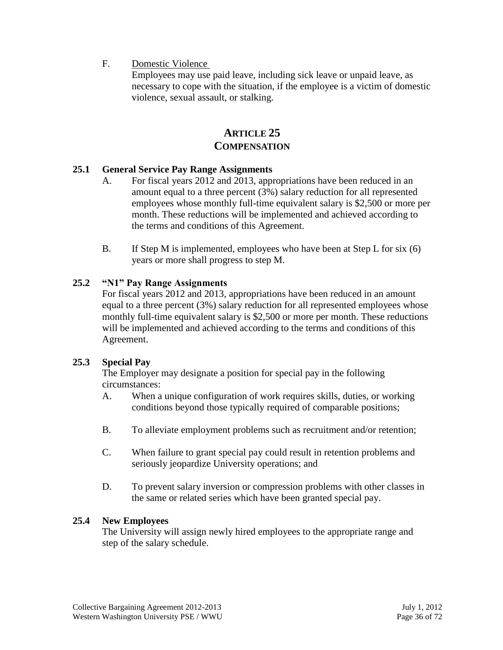F. Domestic Violence

Employees may use paid leave, including sick leave or unpaid leave, as necessary to cope with the situation, if the employee is a victim of domestic violence, sexual assault, or stalking.

# **ARTICLE 25 COMPENSATION**

## **25.1 General Service Pay Range Assignments**

- A. For fiscal years 2012 and 2013, appropriations have been reduced in an amount equal to a three percent (3%) salary reduction for all represented employees whose monthly full-time equivalent salary is \$2,500 or more per month. These reductions will be implemented and achieved according to the terms and conditions of this Agreement.
- B. If Step M is implemented, employees who have been at Step L for six (6) years or more shall progress to step M.

## **25.2 "N1" Pay Range Assignments**

For fiscal years 2012 and 2013, appropriations have been reduced in an amount equal to a three percent (3%) salary reduction for all represented employees whose monthly full-time equivalent salary is \$2,500 or more per month. These reductions will be implemented and achieved according to the terms and conditions of this Agreement.

## **25.3 Special Pay**

The Employer may designate a position for special pay in the following circumstances:

- A. When a unique configuration of work requires skills, duties, or working conditions beyond those typically required of comparable positions;
- B. To alleviate employment problems such as recruitment and/or retention;
- C. When failure to grant special pay could result in retention problems and seriously jeopardize University operations; and
- D. To prevent salary inversion or compression problems with other classes in the same or related series which have been granted special pay.

#### **25.4 New Employees**

The University will assign newly hired employees to the appropriate range and step of the salary schedule.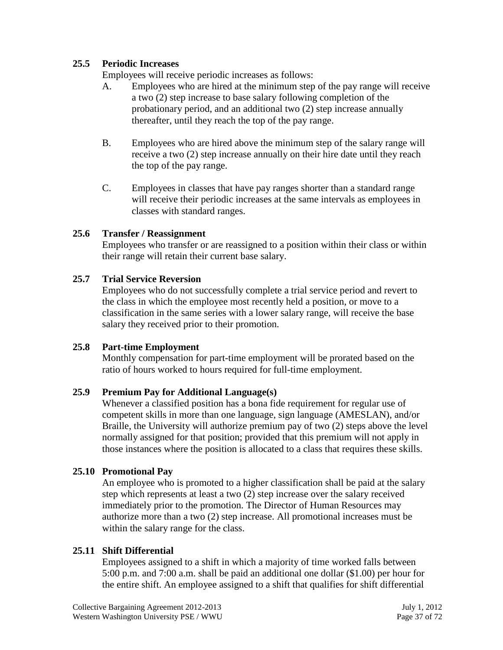## **25.5 Periodic Increases**

Employees will receive periodic increases as follows:

- A. Employees who are hired at the minimum step of the pay range will receive a two (2) step increase to base salary following completion of the probationary period, and an additional two (2) step increase annually thereafter, until they reach the top of the pay range.
- B. Employees who are hired above the minimum step of the salary range will receive a two (2) step increase annually on their hire date until they reach the top of the pay range.
- C. Employees in classes that have pay ranges shorter than a standard range will receive their periodic increases at the same intervals as employees in classes with standard ranges.

## **25.6 Transfer / Reassignment**

Employees who transfer or are reassigned to a position within their class or within their range will retain their current base salary.

#### **25.7 Trial Service Reversion**

Employees who do not successfully complete a trial service period and revert to the class in which the employee most recently held a position, or move to a classification in the same series with a lower salary range, will receive the base salary they received prior to their promotion.

#### **25.8 Part-time Employment**

Monthly compensation for part-time employment will be prorated based on the ratio of hours worked to hours required for full-time employment.

## **25.9 Premium Pay for Additional Language(s)**

Whenever a classified position has a bona fide requirement for regular use of competent skills in more than one language, sign language (AMESLAN), and/or Braille, the University will authorize premium pay of two (2) steps above the level normally assigned for that position; provided that this premium will not apply in those instances where the position is allocated to a class that requires these skills.

#### **25.10 Promotional Pay**

An employee who is promoted to a higher classification shall be paid at the salary step which represents at least a two (2) step increase over the salary received immediately prior to the promotion. The Director of Human Resources may authorize more than a two (2) step increase. All promotional increases must be within the salary range for the class.

## **25.11 Shift Differential**

Employees assigned to a shift in which a majority of time worked falls between 5:00 p.m. and 7:00 a.m. shall be paid an additional one dollar (\$1.00) per hour for the entire shift. An employee assigned to a shift that qualifies for shift differential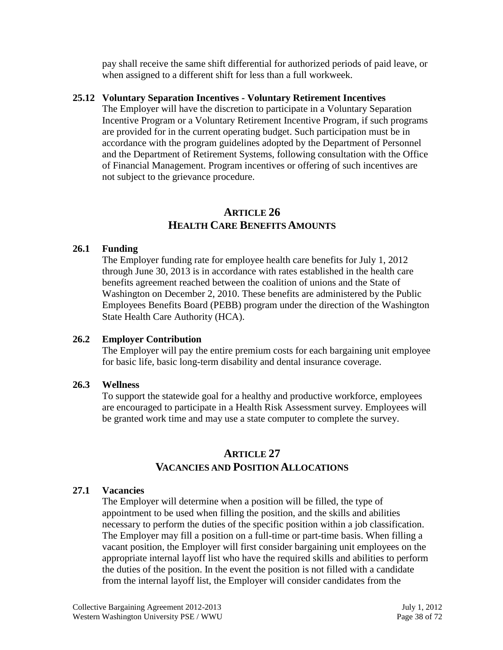pay shall receive the same shift differential for authorized periods of paid leave, or when assigned to a different shift for less than a full workweek.

#### **25.12 Voluntary Separation Incentives - Voluntary Retirement Incentives**

The Employer will have the discretion to participate in a Voluntary Separation Incentive Program or a Voluntary Retirement Incentive Program, if such programs are provided for in the current operating budget. Such participation must be in accordance with the program guidelines adopted by the Department of Personnel and the Department of Retirement Systems, following consultation with the Office of Financial Management. Program incentives or offering of such incentives are not subject to the grievance procedure.

# **ARTICLE 26 HEALTH CARE BENEFITS AMOUNTS**

## **26.1 Funding**

The Employer funding rate for employee health care benefits for July 1, 2012 through June 30, 2013 is in accordance with rates established in the health care benefits agreement reached between the coalition of unions and the State of Washington on December 2, 2010. These benefits are administered by the Public Employees Benefits Board (PEBB) program under the direction of the Washington State Health Care Authority (HCA).

## **26.2 Employer Contribution**

The Employer will pay the entire premium costs for each bargaining unit employee for basic life, basic long-term disability and dental insurance coverage.

## **26.3 Wellness**

To support the statewide goal for a healthy and productive workforce, employees are encouraged to participate in a Health Risk Assessment survey. Employees will be granted work time and may use a state computer to complete the survey.

# **ARTICLE 27 VACANCIES AND POSITION ALLOCATIONS**

# **27.1 Vacancies**

The Employer will determine when a position will be filled, the type of appointment to be used when filling the position, and the skills and abilities necessary to perform the duties of the specific position within a job classification. The Employer may fill a position on a full-time or part-time basis. When filling a vacant position, the Employer will first consider bargaining unit employees on the appropriate internal layoff list who have the required skills and abilities to perform the duties of the position. In the event the position is not filled with a candidate from the internal layoff list, the Employer will consider candidates from the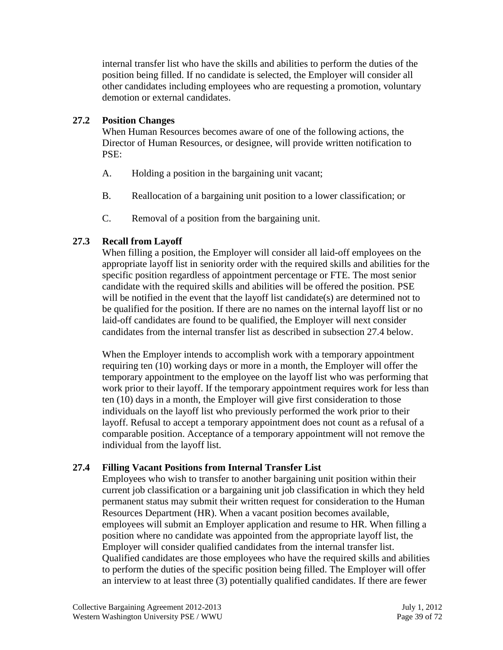internal transfer list who have the skills and abilities to perform the duties of the position being filled. If no candidate is selected, the Employer will consider all other candidates including employees who are requesting a promotion, voluntary demotion or external candidates.

## **27.2 Position Changes**

When Human Resources becomes aware of one of the following actions, the Director of Human Resources, or designee, will provide written notification to PSE:

- A. Holding a position in the bargaining unit vacant;
- B. Reallocation of a bargaining unit position to a lower classification; or
- C. Removal of a position from the bargaining unit.

# **27.3 Recall from Layoff**

When filling a position, the Employer will consider all laid-off employees on the appropriate layoff list in seniority order with the required skills and abilities for the specific position regardless of appointment percentage or FTE. The most senior candidate with the required skills and abilities will be offered the position. PSE will be notified in the event that the layoff list candidate(s) are determined not to be qualified for the position. If there are no names on the internal layoff list or no laid-off candidates are found to be qualified, the Employer will next consider candidates from the internal transfer list as described in subsection 27.4 below.

When the Employer intends to accomplish work with a temporary appointment requiring ten (10) working days or more in a month, the Employer will offer the temporary appointment to the employee on the layoff list who was performing that work prior to their layoff. If the temporary appointment requires work for less than ten (10) days in a month, the Employer will give first consideration to those individuals on the layoff list who previously performed the work prior to their layoff. Refusal to accept a temporary appointment does not count as a refusal of a comparable position. Acceptance of a temporary appointment will not remove the individual from the layoff list.

# **27.4 Filling Vacant Positions from Internal Transfer List**

Employees who wish to transfer to another bargaining unit position within their current job classification or a bargaining unit job classification in which they held permanent status may submit their written request for consideration to the Human Resources Department (HR). When a vacant position becomes available, employees will submit an Employer application and resume to HR. When filling a position where no candidate was appointed from the appropriate layoff list, the Employer will consider qualified candidates from the internal transfer list. Qualified candidates are those employees who have the required skills and abilities to perform the duties of the specific position being filled. The Employer will offer an interview to at least three (3) potentially qualified candidates. If there are fewer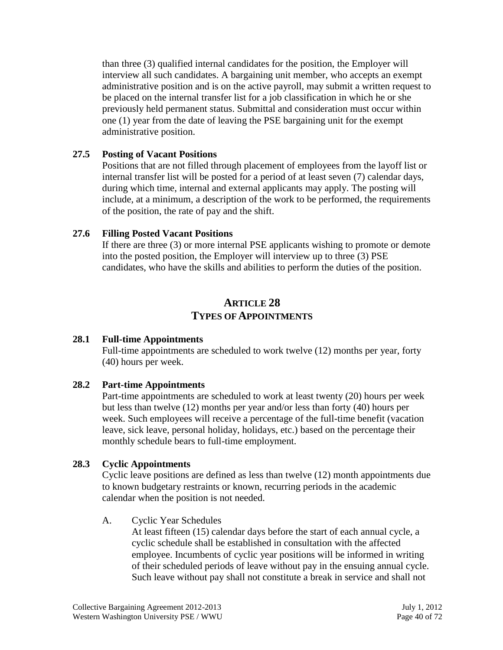than three (3) qualified internal candidates for the position, the Employer will interview all such candidates. A bargaining unit member, who accepts an exempt administrative position and is on the active payroll, may submit a written request to be placed on the internal transfer list for a job classification in which he or she previously held permanent status. Submittal and consideration must occur within one (1) year from the date of leaving the PSE bargaining unit for the exempt administrative position.

## **27.5 Posting of Vacant Positions**

Positions that are not filled through placement of employees from the layoff list or internal transfer list will be posted for a period of at least seven (7) calendar days, during which time, internal and external applicants may apply. The posting will include, at a minimum, a description of the work to be performed, the requirements of the position, the rate of pay and the shift.

## **27.6 Filling Posted Vacant Positions**

If there are three (3) or more internal PSE applicants wishing to promote or demote into the posted position, the Employer will interview up to three (3) PSE candidates, who have the skills and abilities to perform the duties of the position.

# **ARTICLE 28 TYPES OF APPOINTMENTS**

## **28.1 Full-time Appointments**

Full-time appointments are scheduled to work twelve (12) months per year, forty (40) hours per week.

# **28.2 Part-time Appointments**

Part-time appointments are scheduled to work at least twenty (20) hours per week but less than twelve (12) months per year and/or less than forty (40) hours per week. Such employees will receive a percentage of the full-time benefit (vacation leave, sick leave, personal holiday, holidays, etc.) based on the percentage their monthly schedule bears to full-time employment.

# **28.3 Cyclic Appointments**

Cyclic leave positions are defined as less than twelve (12) month appointments due to known budgetary restraints or known, recurring periods in the academic calendar when the position is not needed.

## A. Cyclic Year Schedules

At least fifteen (15) calendar days before the start of each annual cycle, a cyclic schedule shall be established in consultation with the affected employee. Incumbents of cyclic year positions will be informed in writing of their scheduled periods of leave without pay in the ensuing annual cycle. Such leave without pay shall not constitute a break in service and shall not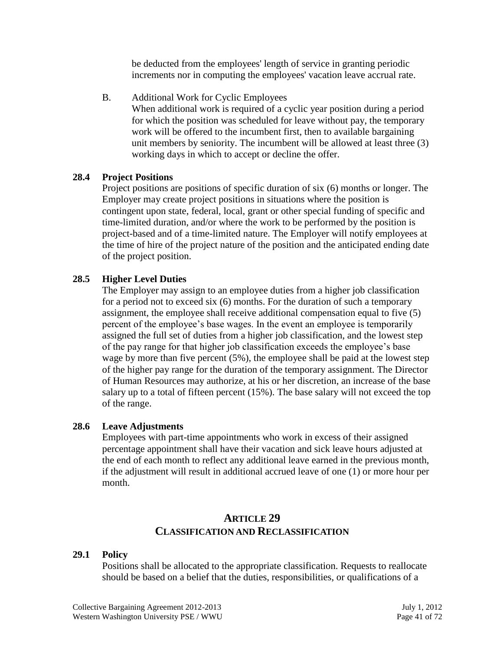be deducted from the employees' length of service in granting periodic increments nor in computing the employees' vacation leave accrual rate.

B. Additional Work for Cyclic Employees

When additional work is required of a cyclic year position during a period for which the position was scheduled for leave without pay, the temporary work will be offered to the incumbent first, then to available bargaining unit members by seniority. The incumbent will be allowed at least three (3) working days in which to accept or decline the offer.

## **28.4 Project Positions**

Project positions are positions of specific duration of six (6) months or longer. The Employer may create project positions in situations where the position is contingent upon state, federal, local, grant or other special funding of specific and time-limited duration, and/or where the work to be performed by the position is project-based and of a time-limited nature. The Employer will notify employees at the time of hire of the project nature of the position and the anticipated ending date of the project position.

## **28.5 Higher Level Duties**

The Employer may assign to an employee duties from a higher job classification for a period not to exceed six (6) months. For the duration of such a temporary assignment, the employee shall receive additional compensation equal to five (5) percent of the employee's base wages. In the event an employee is temporarily assigned the full set of duties from a higher job classification, and the lowest step of the pay range for that higher job classification exceeds the employee's base wage by more than five percent (5%), the employee shall be paid at the lowest step of the higher pay range for the duration of the temporary assignment. The Director of Human Resources may authorize, at his or her discretion, an increase of the base salary up to a total of fifteen percent (15%). The base salary will not exceed the top of the range.

## **28.6 Leave Adjustments**

Employees with part-time appointments who work in excess of their assigned percentage appointment shall have their vacation and sick leave hours adjusted at the end of each month to reflect any additional leave earned in the previous month, if the adjustment will result in additional accrued leave of one (1) or more hour per month.

# **ARTICLE 29 CLASSIFICATION AND RECLASSIFICATION**

## **29.1 Policy**

Positions shall be allocated to the appropriate classification. Requests to reallocate should be based on a belief that the duties, responsibilities, or qualifications of a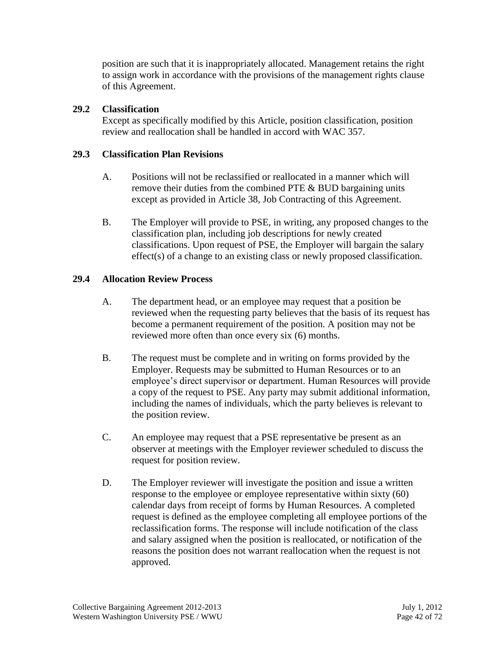position are such that it is inappropriately allocated. Management retains the right to assign work in accordance with the provisions of the management rights clause of this Agreement.

## **29.2 Classification**

Except as specifically modified by this Article, position classification, position review and reallocation shall be handled in accord with WAC 357.

## **29.3 Classification Plan Revisions**

- A. Positions will not be reclassified or reallocated in a manner which will remove their duties from the combined PTE & BUD bargaining units except as provided in Article 38, Job Contracting of this Agreement.
- B. The Employer will provide to PSE, in writing, any proposed changes to the classification plan, including job descriptions for newly created classifications. Upon request of PSE, the Employer will bargain the salary effect(s) of a change to an existing class or newly proposed classification.

# **29.4 Allocation Review Process**

- A. The department head, or an employee may request that a position be reviewed when the requesting party believes that the basis of its request has become a permanent requirement of the position. A position may not be reviewed more often than once every six (6) months.
- B. The request must be complete and in writing on forms provided by the Employer. Requests may be submitted to Human Resources or to an employee's direct supervisor or department. Human Resources will provide a copy of the request to PSE. Any party may submit additional information, including the names of individuals, which the party believes is relevant to the position review.
- C. An employee may request that a PSE representative be present as an observer at meetings with the Employer reviewer scheduled to discuss the request for position review.
- D. The Employer reviewer will investigate the position and issue a written response to the employee or employee representative within sixty (60) calendar days from receipt of forms by Human Resources. A completed request is defined as the employee completing all employee portions of the reclassification forms. The response will include notification of the class and salary assigned when the position is reallocated, or notification of the reasons the position does not warrant reallocation when the request is not approved.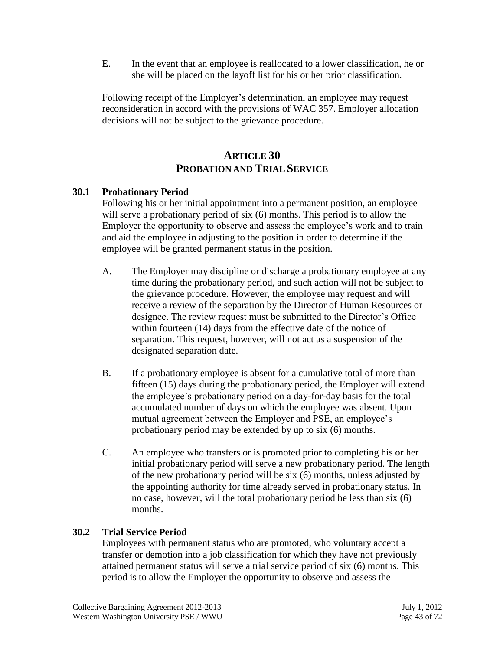E. In the event that an employee is reallocated to a lower classification, he or she will be placed on the layoff list for his or her prior classification.

Following receipt of the Employer's determination, an employee may request reconsideration in accord with the provisions of WAC 357. Employer allocation decisions will not be subject to the grievance procedure.

# **ARTICLE 30 PROBATION AND TRIAL SERVICE**

## **30.1 Probationary Period**

Following his or her initial appointment into a permanent position, an employee will serve a probationary period of six (6) months. This period is to allow the Employer the opportunity to observe and assess the employee's work and to train and aid the employee in adjusting to the position in order to determine if the employee will be granted permanent status in the position.

- A. The Employer may discipline or discharge a probationary employee at any time during the probationary period, and such action will not be subject to the grievance procedure. However, the employee may request and will receive a review of the separation by the Director of Human Resources or designee. The review request must be submitted to the Director's Office within fourteen (14) days from the effective date of the notice of separation. This request, however, will not act as a suspension of the designated separation date.
- B. If a probationary employee is absent for a cumulative total of more than fifteen (15) days during the probationary period, the Employer will extend the employee's probationary period on a day-for-day basis for the total accumulated number of days on which the employee was absent. Upon mutual agreement between the Employer and PSE, an employee's probationary period may be extended by up to six (6) months.
- C. An employee who transfers or is promoted prior to completing his or her initial probationary period will serve a new probationary period. The length of the new probationary period will be six (6) months, unless adjusted by the appointing authority for time already served in probationary status. In no case, however, will the total probationary period be less than six (6) months.

## **30.2 Trial Service Period**

Employees with permanent status who are promoted, who voluntary accept a transfer or demotion into a job classification for which they have not previously attained permanent status will serve a trial service period of six (6) months. This period is to allow the Employer the opportunity to observe and assess the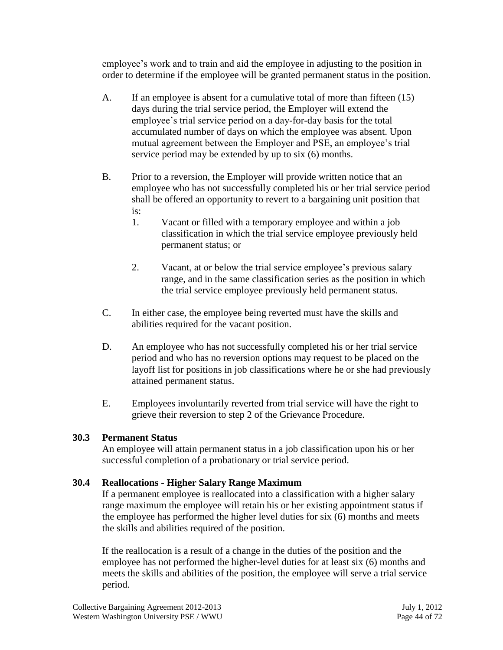employee's work and to train and aid the employee in adjusting to the position in order to determine if the employee will be granted permanent status in the position.

- A. If an employee is absent for a cumulative total of more than fifteen (15) days during the trial service period, the Employer will extend the employee's trial service period on a day-for-day basis for the total accumulated number of days on which the employee was absent. Upon mutual agreement between the Employer and PSE, an employee's trial service period may be extended by up to six (6) months.
- B. Prior to a reversion, the Employer will provide written notice that an employee who has not successfully completed his or her trial service period shall be offered an opportunity to revert to a bargaining unit position that is:
	- 1. Vacant or filled with a temporary employee and within a job classification in which the trial service employee previously held permanent status; or
	- 2. Vacant, at or below the trial service employee's previous salary range, and in the same classification series as the position in which the trial service employee previously held permanent status.
- C. In either case, the employee being reverted must have the skills and abilities required for the vacant position.
- D. An employee who has not successfully completed his or her trial service period and who has no reversion options may request to be placed on the layoff list for positions in job classifications where he or she had previously attained permanent status.
- E. Employees involuntarily reverted from trial service will have the right to grieve their reversion to step 2 of the Grievance Procedure.

# **30.3 Permanent Status**

An employee will attain permanent status in a job classification upon his or her successful completion of a probationary or trial service period.

## **30.4 Reallocations - Higher Salary Range Maximum**

If a permanent employee is reallocated into a classification with a higher salary range maximum the employee will retain his or her existing appointment status if the employee has performed the higher level duties for six (6) months and meets the skills and abilities required of the position.

If the reallocation is a result of a change in the duties of the position and the employee has not performed the higher-level duties for at least six (6) months and meets the skills and abilities of the position, the employee will serve a trial service period.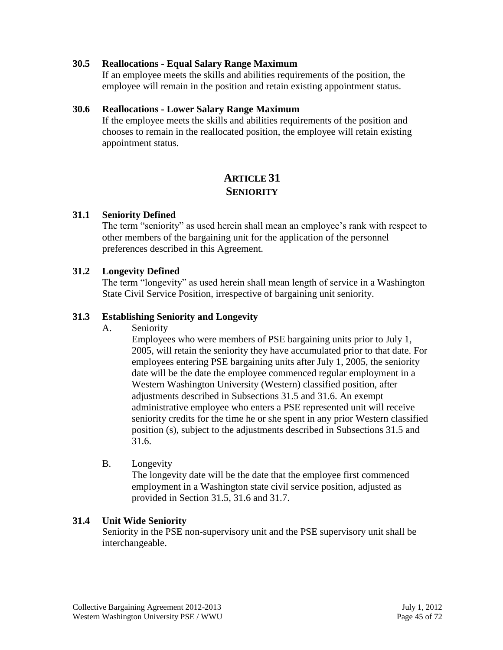#### **30.5 Reallocations - Equal Salary Range Maximum**

If an employee meets the skills and abilities requirements of the position, the employee will remain in the position and retain existing appointment status.

#### **30.6 Reallocations - Lower Salary Range Maximum**

If the employee meets the skills and abilities requirements of the position and chooses to remain in the reallocated position, the employee will retain existing appointment status.

# **ARTICLE 31 SENIORITY**

#### **31.1 Seniority Defined**

The term "seniority" as used herein shall mean an employee's rank with respect to other members of the bargaining unit for the application of the personnel preferences described in this Agreement.

#### **31.2 Longevity Defined**

The term "longevity" as used herein shall mean length of service in a Washington State Civil Service Position, irrespective of bargaining unit seniority.

## **31.3 Establishing Seniority and Longevity**

A. Seniority

Employees who were members of PSE bargaining units prior to July 1, 2005, will retain the seniority they have accumulated prior to that date. For employees entering PSE bargaining units after July 1, 2005, the seniority date will be the date the employee commenced regular employment in a Western Washington University (Western) classified position, after adjustments described in Subsections 31.5 and 31.6. An exempt administrative employee who enters a PSE represented unit will receive seniority credits for the time he or she spent in any prior Western classified position (s), subject to the adjustments described in Subsections 31.5 and 31.6.

B. Longevity

The longevity date will be the date that the employee first commenced employment in a Washington state civil service position, adjusted as provided in Section 31.5, 31.6 and 31.7.

## **31.4 Unit Wide Seniority**

Seniority in the PSE non-supervisory unit and the PSE supervisory unit shall be interchangeable.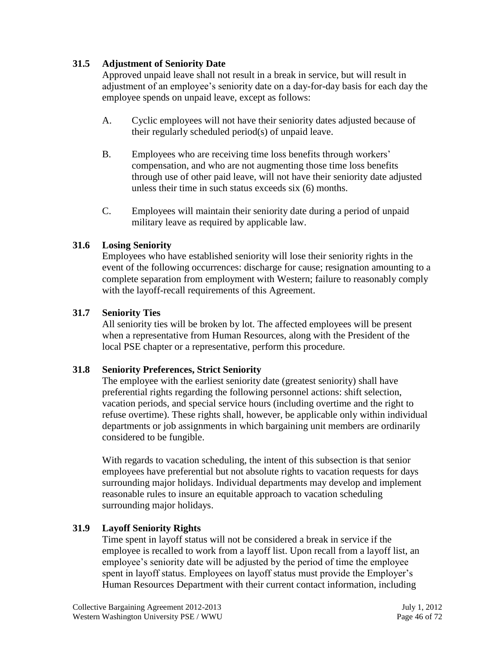## **31.5 Adjustment of Seniority Date**

Approved unpaid leave shall not result in a break in service, but will result in adjustment of an employee's seniority date on a day-for-day basis for each day the employee spends on unpaid leave, except as follows:

- A. Cyclic employees will not have their seniority dates adjusted because of their regularly scheduled period(s) of unpaid leave.
- B. Employees who are receiving time loss benefits through workers' compensation, and who are not augmenting those time loss benefits through use of other paid leave, will not have their seniority date adjusted unless their time in such status exceeds six (6) months.
- C. Employees will maintain their seniority date during a period of unpaid military leave as required by applicable law.

## **31.6 Losing Seniority**

Employees who have established seniority will lose their seniority rights in the event of the following occurrences: discharge for cause; resignation amounting to a complete separation from employment with Western; failure to reasonably comply with the layoff-recall requirements of this Agreement.

## **31.7 Seniority Ties**

All seniority ties will be broken by lot. The affected employees will be present when a representative from Human Resources, along with the President of the local PSE chapter or a representative, perform this procedure.

## **31.8 Seniority Preferences, Strict Seniority**

The employee with the earliest seniority date (greatest seniority) shall have preferential rights regarding the following personnel actions: shift selection, vacation periods, and special service hours (including overtime and the right to refuse overtime). These rights shall, however, be applicable only within individual departments or job assignments in which bargaining unit members are ordinarily considered to be fungible.

With regards to vacation scheduling, the intent of this subsection is that senior employees have preferential but not absolute rights to vacation requests for days surrounding major holidays. Individual departments may develop and implement reasonable rules to insure an equitable approach to vacation scheduling surrounding major holidays.

## **31.9 Layoff Seniority Rights**

Time spent in layoff status will not be considered a break in service if the employee is recalled to work from a layoff list. Upon recall from a layoff list, an employee's seniority date will be adjusted by the period of time the employee spent in layoff status. Employees on layoff status must provide the Employer's Human Resources Department with their current contact information, including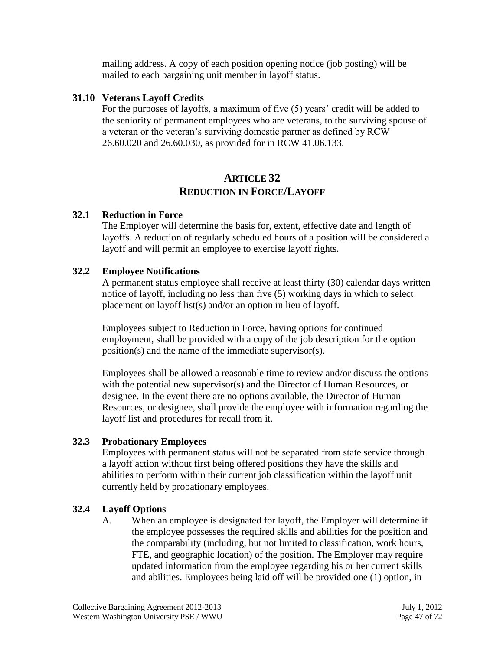mailing address. A copy of each position opening notice (job posting) will be mailed to each bargaining unit member in layoff status.

## **31.10 Veterans Layoff Credits**

For the purposes of layoffs, a maximum of five (5) years' credit will be added to the seniority of permanent employees who are veterans, to the surviving spouse of a veteran or the veteran's surviving domestic partner as defined by RCW 26.60.020 and 26.60.030, as provided for in RCW 41.06.133.

# **ARTICLE 32 REDUCTION IN FORCE/LAYOFF**

## **32.1 Reduction in Force**

The Employer will determine the basis for, extent, effective date and length of layoffs. A reduction of regularly scheduled hours of a position will be considered a layoff and will permit an employee to exercise layoff rights.

## **32.2 Employee Notifications**

A permanent status employee shall receive at least thirty (30) calendar days written notice of layoff, including no less than five (5) working days in which to select placement on layoff list(s) and/or an option in lieu of layoff.

Employees subject to Reduction in Force, having options for continued employment, shall be provided with a copy of the job description for the option position(s) and the name of the immediate supervisor(s).

Employees shall be allowed a reasonable time to review and/or discuss the options with the potential new supervisor(s) and the Director of Human Resources, or designee. In the event there are no options available, the Director of Human Resources, or designee, shall provide the employee with information regarding the layoff list and procedures for recall from it.

## **32.3 Probationary Employees**

Employees with permanent status will not be separated from state service through a layoff action without first being offered positions they have the skills and abilities to perform within their current job classification within the layoff unit currently held by probationary employees.

# **32.4 Layoff Options**

A. When an employee is designated for layoff, the Employer will determine if the employee possesses the required skills and abilities for the position and the comparability (including, but not limited to classification, work hours, FTE, and geographic location) of the position. The Employer may require updated information from the employee regarding his or her current skills and abilities. Employees being laid off will be provided one (1) option, in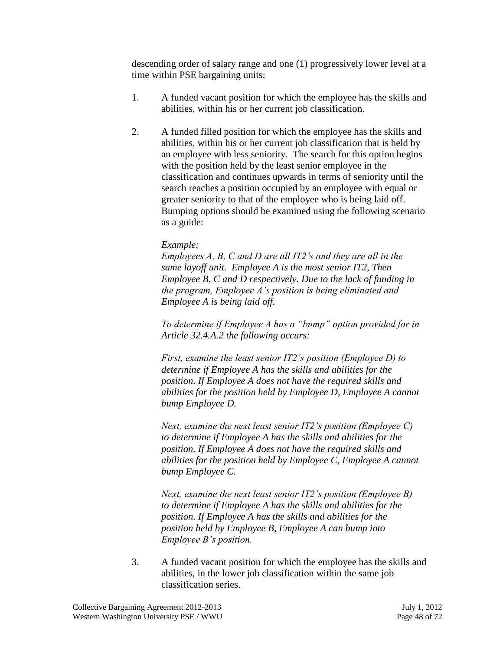descending order of salary range and one (1) progressively lower level at a time within PSE bargaining units:

- 1. A funded vacant position for which the employee has the skills and abilities, within his or her current job classification.
- 2. A funded filled position for which the employee has the skills and abilities, within his or her current job classification that is held by an employee with less seniority. The search for this option begins with the position held by the least senior employee in the classification and continues upwards in terms of seniority until the search reaches a position occupied by an employee with equal or greater seniority to that of the employee who is being laid off. Bumping options should be examined using the following scenario as a guide:

## *Example:*

*Employees A, B, C and D are all IT2's and they are all in the same layoff unit. Employee A is the most senior IT2, Then Employee B, C and D respectively. Due to the lack of funding in the program, Employee A's position is being eliminated and Employee A is being laid off.*

*To determine if Employee A has a "bump" option provided for in Article 32.4.A.2 the following occurs:*

*First, examine the least senior IT2's position (Employee D) to determine if Employee A has the skills and abilities for the position. If Employee A does not have the required skills and abilities for the position held by Employee D, Employee A cannot bump Employee D.*

*Next, examine the next least senior IT2's position (Employee C) to determine if Employee A has the skills and abilities for the position. If Employee A does not have the required skills and abilities for the position held by Employee C, Employee A cannot bump Employee C.*

*Next, examine the next least senior IT2's position (Employee B) to determine if Employee A has the skills and abilities for the position. If Employee A has the skills and abilities for the position held by Employee B, Employee A can bump into Employee B's position.*

3. A funded vacant position for which the employee has the skills and abilities, in the lower job classification within the same job classification series.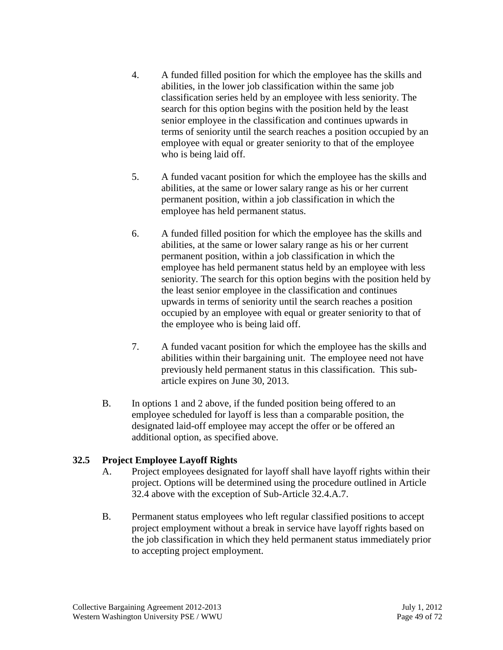- 4. A funded filled position for which the employee has the skills and abilities, in the lower job classification within the same job classification series held by an employee with less seniority. The search for this option begins with the position held by the least senior employee in the classification and continues upwards in terms of seniority until the search reaches a position occupied by an employee with equal or greater seniority to that of the employee who is being laid off.
- 5. A funded vacant position for which the employee has the skills and abilities, at the same or lower salary range as his or her current permanent position, within a job classification in which the employee has held permanent status.
- 6. A funded filled position for which the employee has the skills and abilities, at the same or lower salary range as his or her current permanent position, within a job classification in which the employee has held permanent status held by an employee with less seniority. The search for this option begins with the position held by the least senior employee in the classification and continues upwards in terms of seniority until the search reaches a position occupied by an employee with equal or greater seniority to that of the employee who is being laid off.
- 7. A funded vacant position for which the employee has the skills and abilities within their bargaining unit. The employee need not have previously held permanent status in this classification. This subarticle expires on June 30, 2013.
- B. In options 1 and 2 above, if the funded position being offered to an employee scheduled for layoff is less than a comparable position, the designated laid-off employee may accept the offer or be offered an additional option, as specified above.

## **32.5 Project Employee Layoff Rights**

- A. Project employees designated for layoff shall have layoff rights within their project. Options will be determined using the procedure outlined in Article 32.4 above with the exception of Sub-Article 32.4.A.7.
- B. Permanent status employees who left regular classified positions to accept project employment without a break in service have layoff rights based on the job classification in which they held permanent status immediately prior to accepting project employment.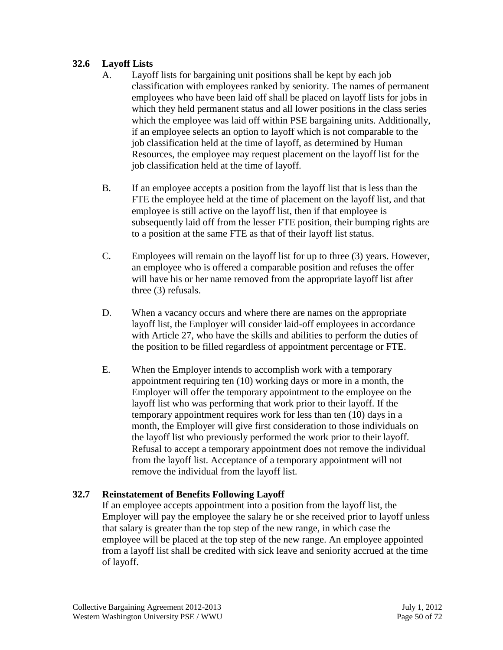## **32.6 Layoff Lists**

- A. Layoff lists for bargaining unit positions shall be kept by each job classification with employees ranked by seniority. The names of permanent employees who have been laid off shall be placed on layoff lists for jobs in which they held permanent status and all lower positions in the class series which the employee was laid off within PSE bargaining units. Additionally, if an employee selects an option to layoff which is not comparable to the job classification held at the time of layoff, as determined by Human Resources, the employee may request placement on the layoff list for the job classification held at the time of layoff.
- B. If an employee accepts a position from the layoff list that is less than the FTE the employee held at the time of placement on the layoff list, and that employee is still active on the layoff list, then if that employee is subsequently laid off from the lesser FTE position, their bumping rights are to a position at the same FTE as that of their layoff list status.
- C. Employees will remain on the layoff list for up to three (3) years. However, an employee who is offered a comparable position and refuses the offer will have his or her name removed from the appropriate layoff list after three (3) refusals.
- D. When a vacancy occurs and where there are names on the appropriate layoff list, the Employer will consider laid-off employees in accordance with Article 27, who have the skills and abilities to perform the duties of the position to be filled regardless of appointment percentage or FTE.
- E. When the Employer intends to accomplish work with a temporary appointment requiring ten (10) working days or more in a month, the Employer will offer the temporary appointment to the employee on the layoff list who was performing that work prior to their layoff. If the temporary appointment requires work for less than ten (10) days in a month, the Employer will give first consideration to those individuals on the layoff list who previously performed the work prior to their layoff. Refusal to accept a temporary appointment does not remove the individual from the layoff list. Acceptance of a temporary appointment will not remove the individual from the layoff list.

# **32.7 Reinstatement of Benefits Following Layoff**

If an employee accepts appointment into a position from the layoff list, the Employer will pay the employee the salary he or she received prior to layoff unless that salary is greater than the top step of the new range, in which case the employee will be placed at the top step of the new range. An employee appointed from a layoff list shall be credited with sick leave and seniority accrued at the time of layoff.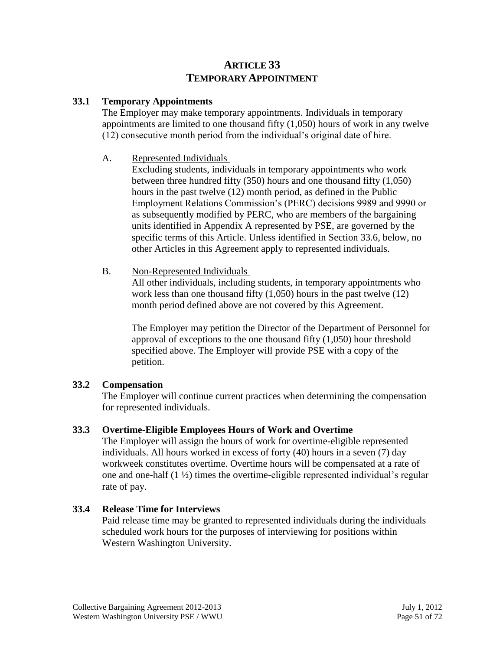# **ARTICLE 33 TEMPORARY APPOINTMENT**

## **33.1 Temporary Appointments**

The Employer may make temporary appointments. Individuals in temporary appointments are limited to one thousand fifty (1,050) hours of work in any twelve (12) consecutive month period from the individual's original date of hire.

## A. Represented Individuals

Excluding students, individuals in temporary appointments who work between three hundred fifty (350) hours and one thousand fifty (1,050) hours in the past twelve (12) month period, as defined in the Public Employment Relations Commission's (PERC) decisions 9989 and 9990 or as subsequently modified by PERC, who are members of the bargaining units identified in Appendix A represented by PSE, are governed by the specific terms of this Article. Unless identified in Section 33.6, below, no other Articles in this Agreement apply to represented individuals.

## B. Non-Represented Individuals

All other individuals, including students, in temporary appointments who work less than one thousand fifty (1,050) hours in the past twelve (12) month period defined above are not covered by this Agreement.

The Employer may petition the Director of the Department of Personnel for approval of exceptions to the one thousand fifty (1,050) hour threshold specified above. The Employer will provide PSE with a copy of the petition.

# **33.2 Compensation**

The Employer will continue current practices when determining the compensation for represented individuals.

# **33.3 Overtime-Eligible Employees Hours of Work and Overtime**

The Employer will assign the hours of work for overtime-eligible represented individuals. All hours worked in excess of forty (40) hours in a seven (7) day workweek constitutes overtime. Overtime hours will be compensated at a rate of one and one-half  $(1 \frac{1}{2})$  times the overtime-eligible represented individual's regular rate of pay.

## **33.4 Release Time for Interviews**

Paid release time may be granted to represented individuals during the individuals scheduled work hours for the purposes of interviewing for positions within Western Washington University.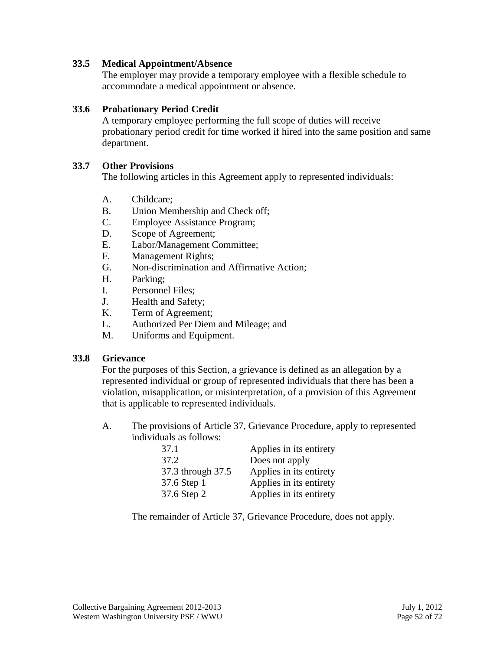#### **33.5 Medical Appointment/Absence**

The employer may provide a temporary employee with a flexible schedule to accommodate a medical appointment or absence.

#### **33.6 Probationary Period Credit**

A temporary employee performing the full scope of duties will receive probationary period credit for time worked if hired into the same position and same department.

#### **33.7 Other Provisions**

The following articles in this Agreement apply to represented individuals:

- A. Childcare;
- B. Union Membership and Check off;
- C. Employee Assistance Program;
- D. Scope of Agreement;
- E. Labor/Management Committee;
- F. Management Rights;
- G. Non-discrimination and Affirmative Action;
- H. Parking;
- I. Personnel Files;
- J. Health and Safety;
- K. Term of Agreement;
- L. Authorized Per Diem and Mileage; and
- M. Uniforms and Equipment.

#### **33.8 Grievance**

For the purposes of this Section, a grievance is defined as an allegation by a represented individual or group of represented individuals that there has been a violation, misapplication, or misinterpretation, of a provision of this Agreement that is applicable to represented individuals.

A. The provisions of Article 37, Grievance Procedure, apply to represented individuals as follows:

| 37.1              | Applies in its entirety |
|-------------------|-------------------------|
| 37.2              | Does not apply          |
| 37.3 through 37.5 | Applies in its entirety |
| 37.6 Step 1       | Applies in its entirety |
| 37.6 Step 2       | Applies in its entirety |

The remainder of Article 37, Grievance Procedure, does not apply.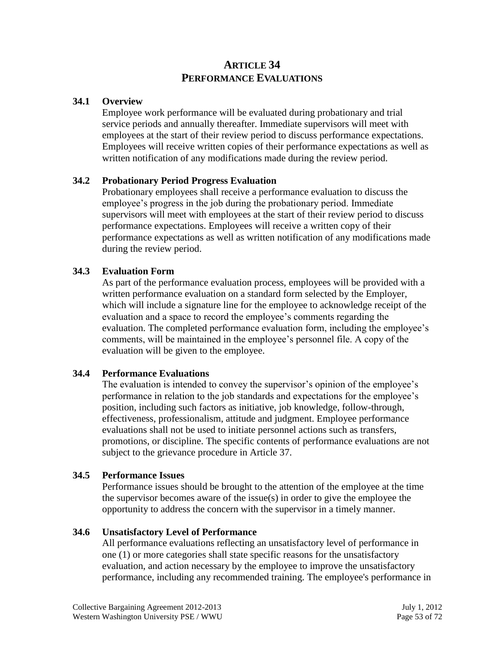# **ARTICLE 34 PERFORMANCE EVALUATIONS**

#### **34.1 Overview**

Employee work performance will be evaluated during probationary and trial service periods and annually thereafter. Immediate supervisors will meet with employees at the start of their review period to discuss performance expectations. Employees will receive written copies of their performance expectations as well as written notification of any modifications made during the review period.

#### **34.2 Probationary Period Progress Evaluation**

Probationary employees shall receive a performance evaluation to discuss the employee's progress in the job during the probationary period. Immediate supervisors will meet with employees at the start of their review period to discuss performance expectations. Employees will receive a written copy of their performance expectations as well as written notification of any modifications made during the review period.

#### **34.3 Evaluation Form**

As part of the performance evaluation process, employees will be provided with a written performance evaluation on a standard form selected by the Employer, which will include a signature line for the employee to acknowledge receipt of the evaluation and a space to record the employee's comments regarding the evaluation. The completed performance evaluation form, including the employee's comments, will be maintained in the employee's personnel file. A copy of the evaluation will be given to the employee.

#### **34.4 Performance Evaluations**

The evaluation is intended to convey the supervisor's opinion of the employee's performance in relation to the job standards and expectations for the employee's position, including such factors as initiative, job knowledge, follow-through, effectiveness, professionalism, attitude and judgment. Employee performance evaluations shall not be used to initiate personnel actions such as transfers, promotions, or discipline. The specific contents of performance evaluations are not subject to the grievance procedure in Article 37.

#### **34.5 Performance Issues**

Performance issues should be brought to the attention of the employee at the time the supervisor becomes aware of the issue(s) in order to give the employee the opportunity to address the concern with the supervisor in a timely manner.

## **34.6 Unsatisfactory Level of Performance**

All performance evaluations reflecting an unsatisfactory level of performance in one (1) or more categories shall state specific reasons for the unsatisfactory evaluation, and action necessary by the employee to improve the unsatisfactory performance, including any recommended training. The employee's performance in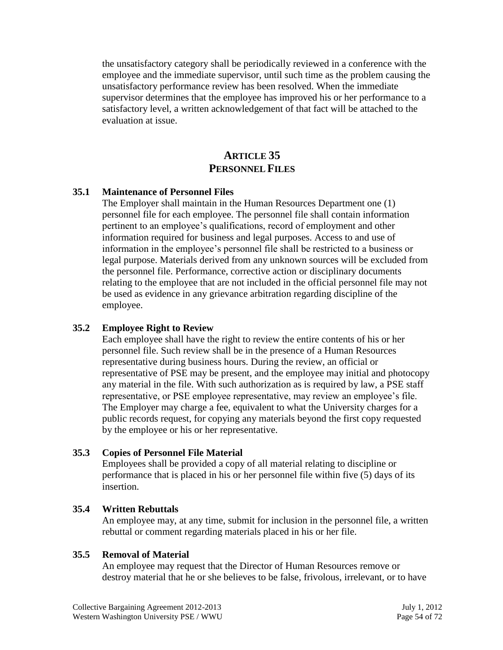the unsatisfactory category shall be periodically reviewed in a conference with the employee and the immediate supervisor, until such time as the problem causing the unsatisfactory performance review has been resolved. When the immediate supervisor determines that the employee has improved his or her performance to a satisfactory level, a written acknowledgement of that fact will be attached to the evaluation at issue.

# **ARTICLE 35 PERSONNEL FILES**

#### **35.1 Maintenance of Personnel Files**

The Employer shall maintain in the Human Resources Department one (1) personnel file for each employee. The personnel file shall contain information pertinent to an employee's qualifications, record of employment and other information required for business and legal purposes. Access to and use of information in the employee's personnel file shall be restricted to a business or legal purpose. Materials derived from any unknown sources will be excluded from the personnel file. Performance, corrective action or disciplinary documents relating to the employee that are not included in the official personnel file may not be used as evidence in any grievance arbitration regarding discipline of the employee.

#### **35.2 Employee Right to Review**

Each employee shall have the right to review the entire contents of his or her personnel file. Such review shall be in the presence of a Human Resources representative during business hours. During the review, an official or representative of PSE may be present, and the employee may initial and photocopy any material in the file. With such authorization as is required by law, a PSE staff representative, or PSE employee representative, may review an employee's file. The Employer may charge a fee, equivalent to what the University charges for a public records request, for copying any materials beyond the first copy requested by the employee or his or her representative.

#### **35.3 Copies of Personnel File Material**

Employees shall be provided a copy of all material relating to discipline or performance that is placed in his or her personnel file within five (5) days of its insertion.

#### **35.4 Written Rebuttals**

An employee may, at any time, submit for inclusion in the personnel file, a written rebuttal or comment regarding materials placed in his or her file.

#### **35.5 Removal of Material**

An employee may request that the Director of Human Resources remove or destroy material that he or she believes to be false, frivolous, irrelevant, or to have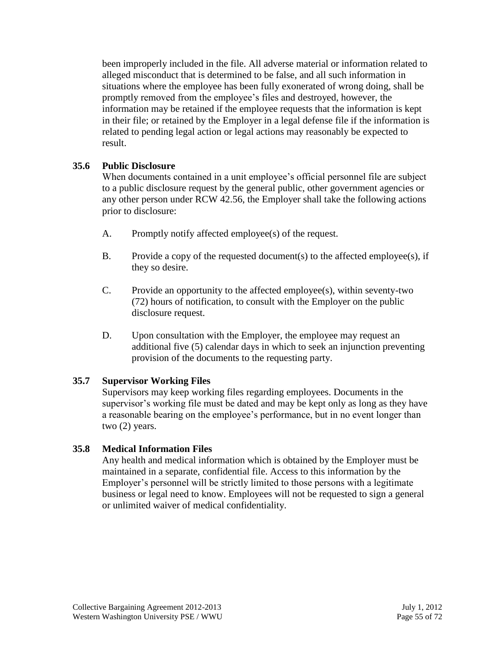been improperly included in the file. All adverse material or information related to alleged misconduct that is determined to be false, and all such information in situations where the employee has been fully exonerated of wrong doing, shall be promptly removed from the employee's files and destroyed, however, the information may be retained if the employee requests that the information is kept in their file; or retained by the Employer in a legal defense file if the information is related to pending legal action or legal actions may reasonably be expected to result.

## **35.6 Public Disclosure**

When documents contained in a unit employee's official personnel file are subject to a public disclosure request by the general public, other government agencies or any other person under RCW 42.56, the Employer shall take the following actions prior to disclosure:

- A. Promptly notify affected employee(s) of the request.
- B. Provide a copy of the requested document(s) to the affected employee(s), if they so desire.
- C. Provide an opportunity to the affected employee(s), within seventy-two (72) hours of notification, to consult with the Employer on the public disclosure request.
- D. Upon consultation with the Employer, the employee may request an additional five (5) calendar days in which to seek an injunction preventing provision of the documents to the requesting party.

# **35.7 Supervisor Working Files**

Supervisors may keep working files regarding employees. Documents in the supervisor's working file must be dated and may be kept only as long as they have a reasonable bearing on the employee's performance, but in no event longer than two (2) years.

# **35.8 Medical Information Files**

Any health and medical information which is obtained by the Employer must be maintained in a separate, confidential file. Access to this information by the Employer's personnel will be strictly limited to those persons with a legitimate business or legal need to know. Employees will not be requested to sign a general or unlimited waiver of medical confidentiality.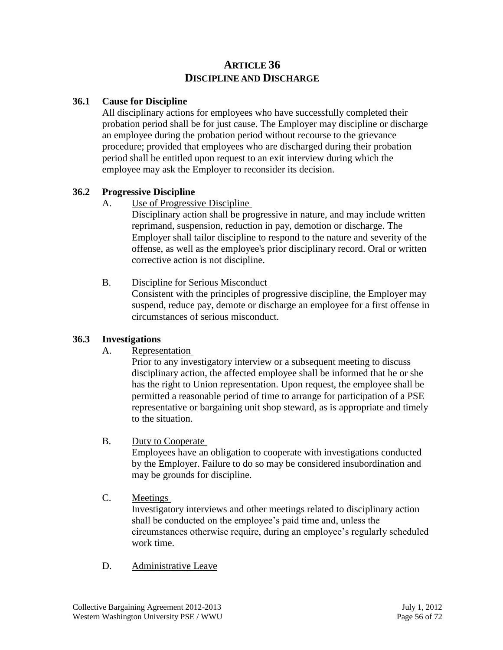# **ARTICLE 36 DISCIPLINE AND DISCHARGE**

## **36.1 Cause for Discipline**

All disciplinary actions for employees who have successfully completed their probation period shall be for just cause. The Employer may discipline or discharge an employee during the probation period without recourse to the grievance procedure; provided that employees who are discharged during their probation period shall be entitled upon request to an exit interview during which the employee may ask the Employer to reconsider its decision.

#### **36.2 Progressive Discipline**

## A. Use of Progressive Discipline

Disciplinary action shall be progressive in nature, and may include written reprimand, suspension, reduction in pay, demotion or discharge. The Employer shall tailor discipline to respond to the nature and severity of the offense, as well as the employee's prior disciplinary record. Oral or written corrective action is not discipline.

#### B. Discipline for Serious Misconduct

Consistent with the principles of progressive discipline, the Employer may suspend, reduce pay, demote or discharge an employee for a first offense in circumstances of serious misconduct.

#### **36.3 Investigations**

A. Representation

Prior to any investigatory interview or a subsequent meeting to discuss disciplinary action, the affected employee shall be informed that he or she has the right to Union representation. Upon request, the employee shall be permitted a reasonable period of time to arrange for participation of a PSE representative or bargaining unit shop steward, as is appropriate and timely to the situation.

B. Duty to Cooperate

Employees have an obligation to cooperate with investigations conducted by the Employer. Failure to do so may be considered insubordination and may be grounds for discipline.

## C. Meetings

Investigatory interviews and other meetings related to disciplinary action shall be conducted on the employee's paid time and, unless the circumstances otherwise require, during an employee's regularly scheduled work time.

D. Administrative Leave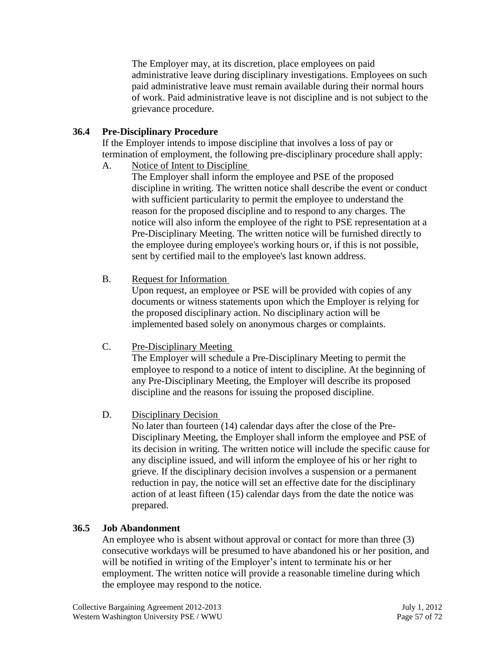The Employer may, at its discretion, place employees on paid administrative leave during disciplinary investigations. Employees on such paid administrative leave must remain available during their normal hours of work. Paid administrative leave is not discipline and is not subject to the grievance procedure.

## **36.4 Pre-Disciplinary Procedure**

If the Employer intends to impose discipline that involves a loss of pay or termination of employment, the following pre-disciplinary procedure shall apply:

A. Notice of Intent to Discipline

The Employer shall inform the employee and PSE of the proposed discipline in writing. The written notice shall describe the event or conduct with sufficient particularity to permit the employee to understand the reason for the proposed discipline and to respond to any charges. The notice will also inform the employee of the right to PSE representation at a Pre-Disciplinary Meeting. The written notice will be furnished directly to the employee during employee's working hours or, if this is not possible, sent by certified mail to the employee's last known address.

B. Request for Information

Upon request, an employee or PSE will be provided with copies of any documents or witness statements upon which the Employer is relying for the proposed disciplinary action. No disciplinary action will be implemented based solely on anonymous charges or complaints.

C. Pre-Disciplinary Meeting

The Employer will schedule a Pre-Disciplinary Meeting to permit the employee to respond to a notice of intent to discipline. At the beginning of any Pre-Disciplinary Meeting, the Employer will describe its proposed discipline and the reasons for issuing the proposed discipline.

D. Disciplinary Decision

No later than fourteen (14) calendar days after the close of the Pre-Disciplinary Meeting, the Employer shall inform the employee and PSE of its decision in writing. The written notice will include the specific cause for any discipline issued, and will inform the employee of his or her right to grieve. If the disciplinary decision involves a suspension or a permanent reduction in pay, the notice will set an effective date for the disciplinary action of at least fifteen (15) calendar days from the date the notice was prepared.

# **36.5 Job Abandonment**

An employee who is absent without approval or contact for more than three (3) consecutive workdays will be presumed to have abandoned his or her position, and will be notified in writing of the Employer's intent to terminate his or her employment. The written notice will provide a reasonable timeline during which the employee may respond to the notice.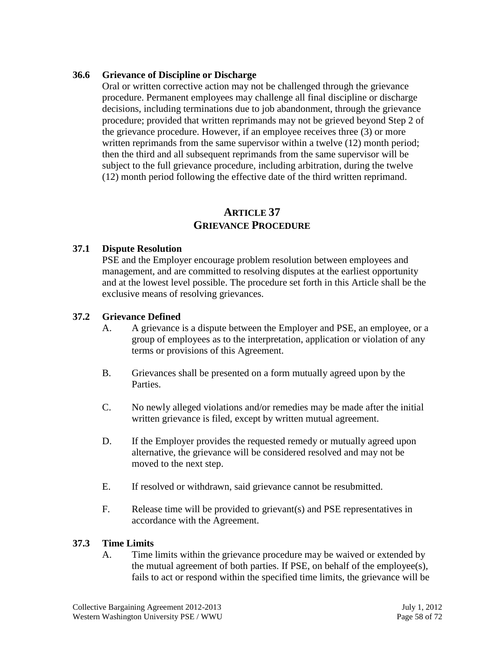#### **36.6 Grievance of Discipline or Discharge**

Oral or written corrective action may not be challenged through the grievance procedure. Permanent employees may challenge all final discipline or discharge decisions, including terminations due to job abandonment, through the grievance procedure; provided that written reprimands may not be grieved beyond Step 2 of the grievance procedure. However, if an employee receives three (3) or more written reprimands from the same supervisor within a twelve (12) month period; then the third and all subsequent reprimands from the same supervisor will be subject to the full grievance procedure, including arbitration, during the twelve (12) month period following the effective date of the third written reprimand.

# **ARTICLE 37 GRIEVANCE PROCEDURE**

#### **37.1 Dispute Resolution**

PSE and the Employer encourage problem resolution between employees and management, and are committed to resolving disputes at the earliest opportunity and at the lowest level possible. The procedure set forth in this Article shall be the exclusive means of resolving grievances.

#### **37.2 Grievance Defined**

- A. A grievance is a dispute between the Employer and PSE, an employee, or a group of employees as to the interpretation, application or violation of any terms or provisions of this Agreement.
- B. Grievances shall be presented on a form mutually agreed upon by the Parties.
- C. No newly alleged violations and/or remedies may be made after the initial written grievance is filed, except by written mutual agreement.
- D. If the Employer provides the requested remedy or mutually agreed upon alternative, the grievance will be considered resolved and may not be moved to the next step.
- E. If resolved or withdrawn, said grievance cannot be resubmitted.
- F. Release time will be provided to grievant(s) and PSE representatives in accordance with the Agreement.

#### **37.3 Time Limits**

A. Time limits within the grievance procedure may be waived or extended by the mutual agreement of both parties. If PSE, on behalf of the employee(s), fails to act or respond within the specified time limits, the grievance will be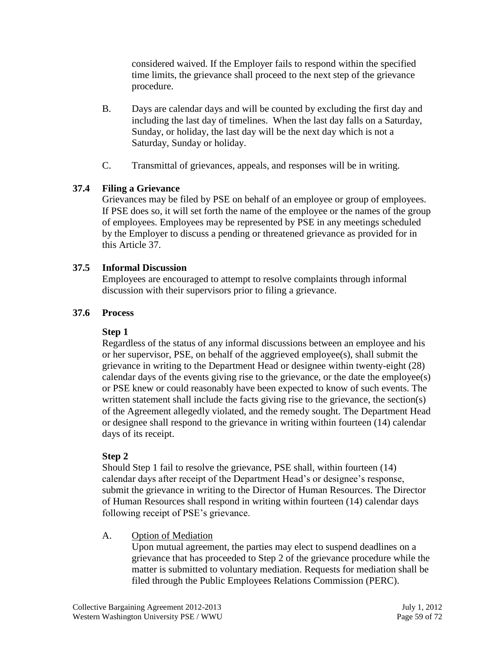considered waived. If the Employer fails to respond within the specified time limits, the grievance shall proceed to the next step of the grievance procedure.

- B. Days are calendar days and will be counted by excluding the first day and including the last day of timelines. When the last day falls on a Saturday, Sunday, or holiday, the last day will be the next day which is not a Saturday, Sunday or holiday.
- C. Transmittal of grievances, appeals, and responses will be in writing.

## **37.4 Filing a Grievance**

Grievances may be filed by PSE on behalf of an employee or group of employees. If PSE does so, it will set forth the name of the employee or the names of the group of employees. Employees may be represented by PSE in any meetings scheduled by the Employer to discuss a pending or threatened grievance as provided for in this Article 37.

## **37.5 Informal Discussion**

Employees are encouraged to attempt to resolve complaints through informal discussion with their supervisors prior to filing a grievance.

## **37.6 Process**

## **Step 1**

Regardless of the status of any informal discussions between an employee and his or her supervisor, PSE, on behalf of the aggrieved employee(s), shall submit the grievance in writing to the Department Head or designee within twenty-eight (28) calendar days of the events giving rise to the grievance, or the date the employee(s) or PSE knew or could reasonably have been expected to know of such events. The written statement shall include the facts giving rise to the grievance, the section(s) of the Agreement allegedly violated, and the remedy sought. The Department Head or designee shall respond to the grievance in writing within fourteen (14) calendar days of its receipt.

## **Step 2**

Should Step 1 fail to resolve the grievance, PSE shall, within fourteen (14) calendar days after receipt of the Department Head's or designee's response, submit the grievance in writing to the Director of Human Resources. The Director of Human Resources shall respond in writing within fourteen (14) calendar days following receipt of PSE's grievance.

A. Option of Mediation

Upon mutual agreement, the parties may elect to suspend deadlines on a grievance that has proceeded to Step 2 of the grievance procedure while the matter is submitted to voluntary mediation. Requests for mediation shall be filed through the Public Employees Relations Commission (PERC).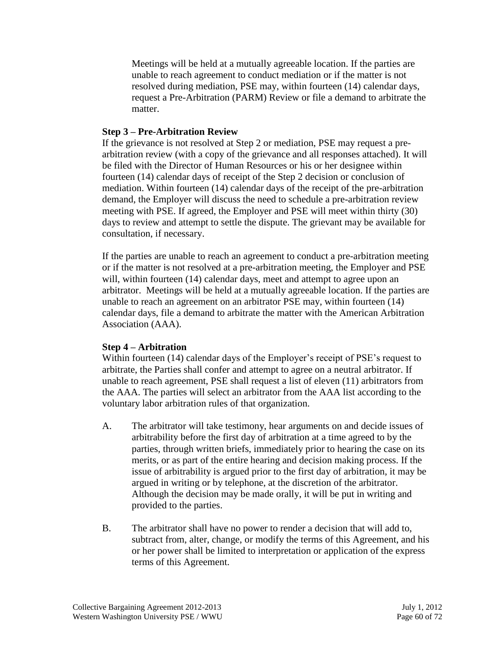Meetings will be held at a mutually agreeable location. If the parties are unable to reach agreement to conduct mediation or if the matter is not resolved during mediation, PSE may, within fourteen (14) calendar days, request a Pre-Arbitration (PARM) Review or file a demand to arbitrate the matter.

#### **Step 3 – Pre-Arbitration Review**

If the grievance is not resolved at Step 2 or mediation, PSE may request a prearbitration review (with a copy of the grievance and all responses attached). It will be filed with the Director of Human Resources or his or her designee within fourteen (14) calendar days of receipt of the Step 2 decision or conclusion of mediation. Within fourteen (14) calendar days of the receipt of the pre-arbitration demand, the Employer will discuss the need to schedule a pre-arbitration review meeting with PSE. If agreed, the Employer and PSE will meet within thirty (30) days to review and attempt to settle the dispute. The grievant may be available for consultation, if necessary.

If the parties are unable to reach an agreement to conduct a pre-arbitration meeting or if the matter is not resolved at a pre-arbitration meeting, the Employer and PSE will, within fourteen (14) calendar days, meet and attempt to agree upon an arbitrator. Meetings will be held at a mutually agreeable location. If the parties are unable to reach an agreement on an arbitrator PSE may, within fourteen (14) calendar days, file a demand to arbitrate the matter with the American Arbitration Association (AAA).

## **Step 4 – Arbitration**

Within fourteen (14) calendar days of the Employer's receipt of PSE's request to arbitrate, the Parties shall confer and attempt to agree on a neutral arbitrator. If unable to reach agreement, PSE shall request a list of eleven (11) arbitrators from the AAA. The parties will select an arbitrator from the AAA list according to the voluntary labor arbitration rules of that organization.

- A. The arbitrator will take testimony, hear arguments on and decide issues of arbitrability before the first day of arbitration at a time agreed to by the parties, through written briefs, immediately prior to hearing the case on its merits, or as part of the entire hearing and decision making process. If the issue of arbitrability is argued prior to the first day of arbitration, it may be argued in writing or by telephone, at the discretion of the arbitrator. Although the decision may be made orally, it will be put in writing and provided to the parties.
- B. The arbitrator shall have no power to render a decision that will add to, subtract from, alter, change, or modify the terms of this Agreement, and his or her power shall be limited to interpretation or application of the express terms of this Agreement.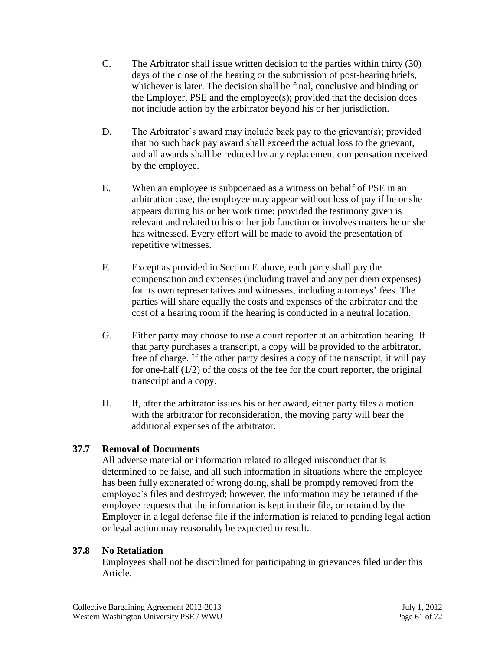- C. The Arbitrator shall issue written decision to the parties within thirty (30) days of the close of the hearing or the submission of post-hearing briefs, whichever is later. The decision shall be final, conclusive and binding on the Employer, PSE and the employee(s); provided that the decision does not include action by the arbitrator beyond his or her jurisdiction.
- D. The Arbitrator's award may include back pay to the grievant(s); provided that no such back pay award shall exceed the actual loss to the grievant, and all awards shall be reduced by any replacement compensation received by the employee.
- E. When an employee is subpoenaed as a witness on behalf of PSE in an arbitration case, the employee may appear without loss of pay if he or she appears during his or her work time; provided the testimony given is relevant and related to his or her job function or involves matters he or she has witnessed. Every effort will be made to avoid the presentation of repetitive witnesses.
- F. Except as provided in Section E above, each party shall pay the compensation and expenses (including travel and any per diem expenses) for its own representatives and witnesses, including attorneys' fees. The parties will share equally the costs and expenses of the arbitrator and the cost of a hearing room if the hearing is conducted in a neutral location.
- G. Either party may choose to use a court reporter at an arbitration hearing. If that party purchases a transcript, a copy will be provided to the arbitrator, free of charge. If the other party desires a copy of the transcript, it will pay for one-half (1/2) of the costs of the fee for the court reporter, the original transcript and a copy.
- H. If, after the arbitrator issues his or her award, either party files a motion with the arbitrator for reconsideration, the moving party will bear the additional expenses of the arbitrator.

# **37.7 Removal of Documents**

All adverse material or information related to alleged misconduct that is determined to be false, and all such information in situations where the employee has been fully exonerated of wrong doing, shall be promptly removed from the employee's files and destroyed; however, the information may be retained if the employee requests that the information is kept in their file, or retained by the Employer in a legal defense file if the information is related to pending legal action or legal action may reasonably be expected to result.

## **37.8 No Retaliation**

Employees shall not be disciplined for participating in grievances filed under this Article.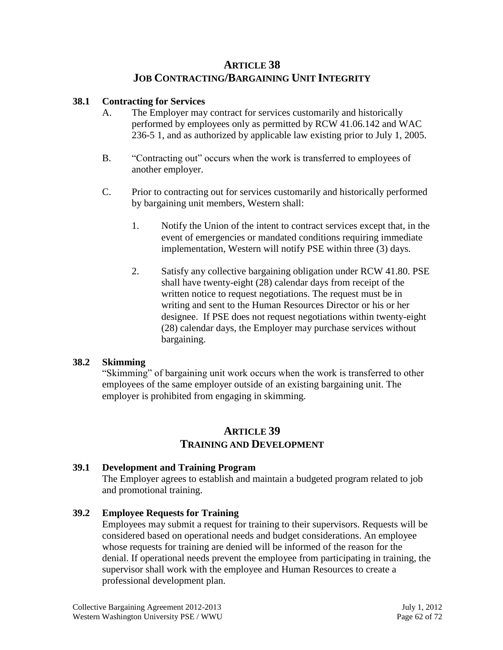# **ARTICLE 38 JOB CONTRACTING/BARGAINING UNIT INTEGRITY**

## **38.1 Contracting for Services**

- A. The Employer may contract for services customarily and historically performed by employees only as permitted by RCW 41.06.142 and WAC 236-5 1, and as authorized by applicable law existing prior to July 1, 2005.
- B. "Contracting out" occurs when the work is transferred to employees of another employer.
- C. Prior to contracting out for services customarily and historically performed by bargaining unit members, Western shall:
	- 1. Notify the Union of the intent to contract services except that, in the event of emergencies or mandated conditions requiring immediate implementation, Western will notify PSE within three (3) days.
	- 2. Satisfy any collective bargaining obligation under RCW 41.80. PSE shall have twenty-eight (28) calendar days from receipt of the written notice to request negotiations. The request must be in writing and sent to the Human Resources Director or his or her designee. If PSE does not request negotiations within twenty-eight (28) calendar days, the Employer may purchase services without bargaining.

## **38.2 Skimming**

"Skimming" of bargaining unit work occurs when the work is transferred to other employees of the same employer outside of an existing bargaining unit. The employer is prohibited from engaging in skimming.

# **ARTICLE 39 TRAINING AND DEVELOPMENT**

# **39.1 Development and Training Program**

The Employer agrees to establish and maintain a budgeted program related to job and promotional training.

## **39.2 Employee Requests for Training**

Employees may submit a request for training to their supervisors. Requests will be considered based on operational needs and budget considerations. An employee whose requests for training are denied will be informed of the reason for the denial. If operational needs prevent the employee from participating in training, the supervisor shall work with the employee and Human Resources to create a professional development plan.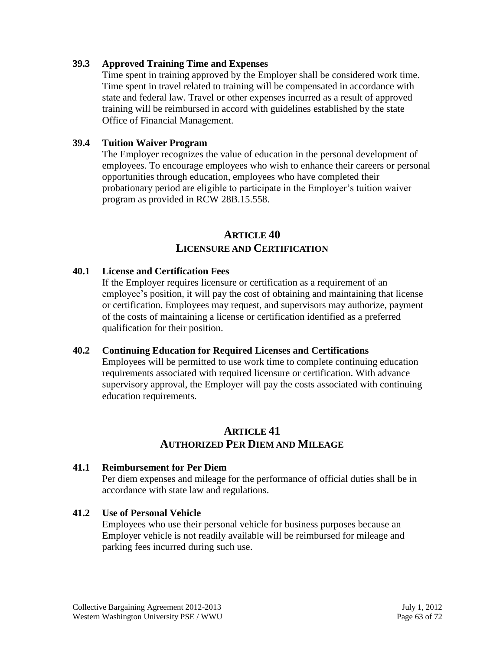#### **39.3 Approved Training Time and Expenses**

Time spent in training approved by the Employer shall be considered work time. Time spent in travel related to training will be compensated in accordance with state and federal law. Travel or other expenses incurred as a result of approved training will be reimbursed in accord with guidelines established by the state Office of Financial Management.

#### **39.4 Tuition Waiver Program**

The Employer recognizes the value of education in the personal development of employees. To encourage employees who wish to enhance their careers or personal opportunities through education, employees who have completed their probationary period are eligible to participate in the Employer's tuition waiver program as provided in RCW 28B.15.558.

### **ARTICLE 40 LICENSURE AND CERTIFICATION**

#### **40.1 License and Certification Fees**

If the Employer requires licensure or certification as a requirement of an employee's position, it will pay the cost of obtaining and maintaining that license or certification. Employees may request, and supervisors may authorize, payment of the costs of maintaining a license or certification identified as a preferred qualification for their position.

#### **40.2 Continuing Education for Required Licenses and Certifications**

Employees will be permitted to use work time to complete continuing education requirements associated with required licensure or certification. With advance supervisory approval, the Employer will pay the costs associated with continuing education requirements.

# **ARTICLE 41 AUTHORIZED PER DIEM AND MILEAGE**

#### **41.1 Reimbursement for Per Diem**

Per diem expenses and mileage for the performance of official duties shall be in accordance with state law and regulations.

#### **41.2 Use of Personal Vehicle**

Employees who use their personal vehicle for business purposes because an Employer vehicle is not readily available will be reimbursed for mileage and parking fees incurred during such use.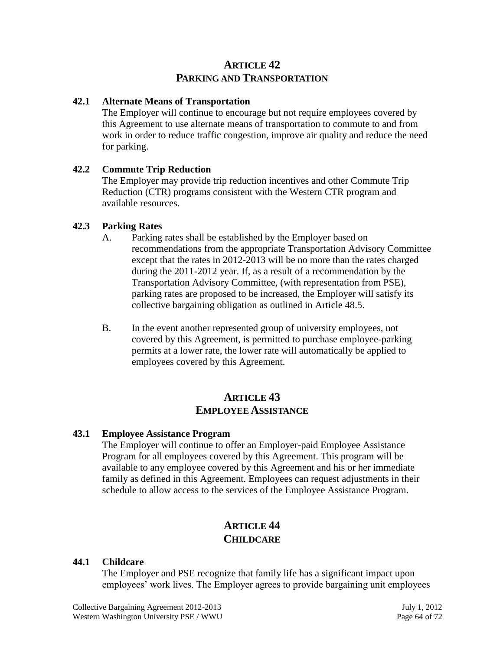# **ARTICLE 42 PARKING AND TRANSPORTATION**

### **42.1 Alternate Means of Transportation**

The Employer will continue to encourage but not require employees covered by this Agreement to use alternate means of transportation to commute to and from work in order to reduce traffic congestion, improve air quality and reduce the need for parking.

### **42.2 Commute Trip Reduction**

The Employer may provide trip reduction incentives and other Commute Trip Reduction (CTR) programs consistent with the Western CTR program and available resources.

### **42.3 Parking Rates**

- A. Parking rates shall be established by the Employer based on recommendations from the appropriate Transportation Advisory Committee except that the rates in 2012-2013 will be no more than the rates charged during the 2011-2012 year. If, as a result of a recommendation by the Transportation Advisory Committee, (with representation from PSE), parking rates are proposed to be increased, the Employer will satisfy its collective bargaining obligation as outlined in Article 48.5.
- B. In the event another represented group of university employees, not covered by this Agreement, is permitted to purchase employee-parking permits at a lower rate, the lower rate will automatically be applied to employees covered by this Agreement.

# **ARTICLE 43 EMPLOYEE ASSISTANCE**

### **43.1 Employee Assistance Program**

The Employer will continue to offer an Employer-paid Employee Assistance Program for all employees covered by this Agreement. This program will be available to any employee covered by this Agreement and his or her immediate family as defined in this Agreement. Employees can request adjustments in their schedule to allow access to the services of the Employee Assistance Program.

# **ARTICLE 44 CHILDCARE**

### **44.1 Childcare**

The Employer and PSE recognize that family life has a significant impact upon employees' work lives. The Employer agrees to provide bargaining unit employees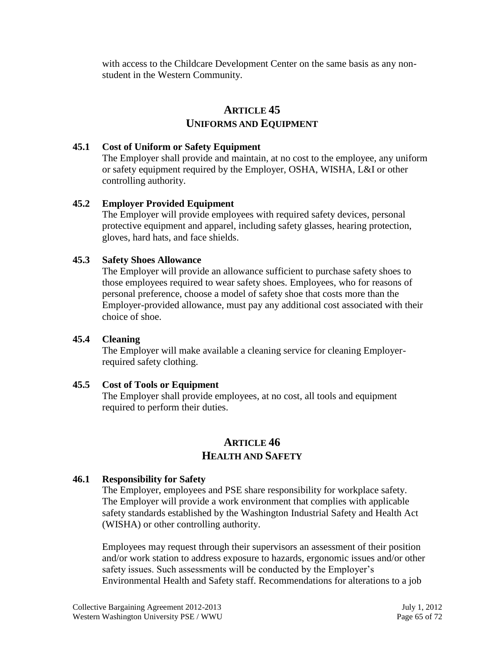with access to the Childcare Development Center on the same basis as any nonstudent in the Western Community.

# **ARTICLE 45 UNIFORMS AND EQUIPMENT**

### **45.1 Cost of Uniform or Safety Equipment**

The Employer shall provide and maintain, at no cost to the employee, any uniform or safety equipment required by the Employer, OSHA, WISHA, L&I or other controlling authority.

## **45.2 Employer Provided Equipment**

The Employer will provide employees with required safety devices, personal protective equipment and apparel, including safety glasses, hearing protection, gloves, hard hats, and face shields.

## **45.3 Safety Shoes Allowance**

The Employer will provide an allowance sufficient to purchase safety shoes to those employees required to wear safety shoes. Employees, who for reasons of personal preference, choose a model of safety shoe that costs more than the Employer-provided allowance, must pay any additional cost associated with their choice of shoe.

### **45.4 Cleaning**

The Employer will make available a cleaning service for cleaning Employerrequired safety clothing.

### **45.5 Cost of Tools or Equipment**

The Employer shall provide employees, at no cost, all tools and equipment required to perform their duties.

# **ARTICLE 46 HEALTH AND SAFETY**

## **46.1 Responsibility for Safety**

The Employer, employees and PSE share responsibility for workplace safety. The Employer will provide a work environment that complies with applicable safety standards established by the Washington Industrial Safety and Health Act (WISHA) or other controlling authority.

Employees may request through their supervisors an assessment of their position and/or work station to address exposure to hazards, ergonomic issues and/or other safety issues. Such assessments will be conducted by the Employer's Environmental Health and Safety staff. Recommendations for alterations to a job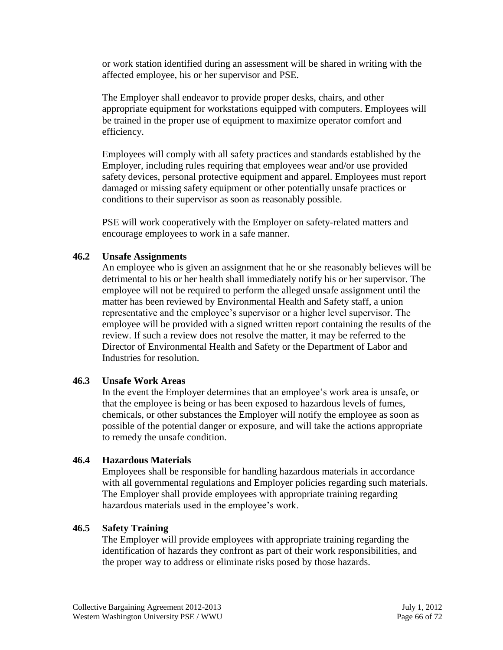or work station identified during an assessment will be shared in writing with the affected employee, his or her supervisor and PSE.

The Employer shall endeavor to provide proper desks, chairs, and other appropriate equipment for workstations equipped with computers. Employees will be trained in the proper use of equipment to maximize operator comfort and efficiency.

Employees will comply with all safety practices and standards established by the Employer, including rules requiring that employees wear and/or use provided safety devices, personal protective equipment and apparel. Employees must report damaged or missing safety equipment or other potentially unsafe practices or conditions to their supervisor as soon as reasonably possible.

PSE will work cooperatively with the Employer on safety-related matters and encourage employees to work in a safe manner.

## **46.2 Unsafe Assignments**

An employee who is given an assignment that he or she reasonably believes will be detrimental to his or her health shall immediately notify his or her supervisor. The employee will not be required to perform the alleged unsafe assignment until the matter has been reviewed by Environmental Health and Safety staff, a union representative and the employee's supervisor or a higher level supervisor. The employee will be provided with a signed written report containing the results of the review. If such a review does not resolve the matter, it may be referred to the Director of Environmental Health and Safety or the Department of Labor and Industries for resolution.

## **46.3 Unsafe Work Areas**

In the event the Employer determines that an employee's work area is unsafe, or that the employee is being or has been exposed to hazardous levels of fumes, chemicals, or other substances the Employer will notify the employee as soon as possible of the potential danger or exposure, and will take the actions appropriate to remedy the unsafe condition.

### **46.4 Hazardous Materials**

Employees shall be responsible for handling hazardous materials in accordance with all governmental regulations and Employer policies regarding such materials. The Employer shall provide employees with appropriate training regarding hazardous materials used in the employee's work.

## **46.5 Safety Training**

The Employer will provide employees with appropriate training regarding the identification of hazards they confront as part of their work responsibilities, and the proper way to address or eliminate risks posed by those hazards.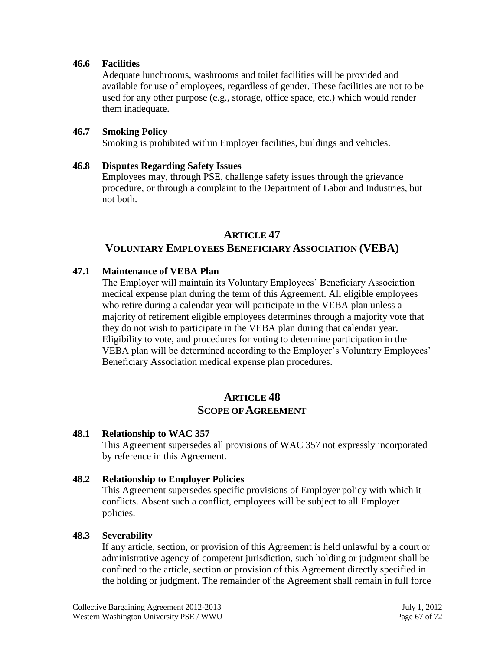#### **46.6 Facilities**

Adequate lunchrooms, washrooms and toilet facilities will be provided and available for use of employees, regardless of gender. These facilities are not to be used for any other purpose (e.g., storage, office space, etc.) which would render them inadequate.

#### **46.7 Smoking Policy**

Smoking is prohibited within Employer facilities, buildings and vehicles.

#### **46.8 Disputes Regarding Safety Issues**

Employees may, through PSE, challenge safety issues through the grievance procedure, or through a complaint to the Department of Labor and Industries, but not both.

### **ARTICLE 47**

## **VOLUNTARY EMPLOYEES BENEFICIARY ASSOCIATION (VEBA)**

### **47.1 Maintenance of VEBA Plan**

The Employer will maintain its Voluntary Employees' Beneficiary Association medical expense plan during the term of this Agreement. All eligible employees who retire during a calendar year will participate in the VEBA plan unless a majority of retirement eligible employees determines through a majority vote that they do not wish to participate in the VEBA plan during that calendar year. Eligibility to vote, and procedures for voting to determine participation in the VEBA plan will be determined according to the Employer's Voluntary Employees' Beneficiary Association medical expense plan procedures.

# **ARTICLE 48 SCOPE OF AGREEMENT**

#### **48.1 Relationship to WAC 357**

This Agreement supersedes all provisions of WAC 357 not expressly incorporated by reference in this Agreement.

### **48.2 Relationship to Employer Policies**

This Agreement supersedes specific provisions of Employer policy with which it conflicts. Absent such a conflict, employees will be subject to all Employer policies.

#### **48.3 Severability**

If any article, section, or provision of this Agreement is held unlawful by a court or administrative agency of competent jurisdiction, such holding or judgment shall be confined to the article, section or provision of this Agreement directly specified in the holding or judgment. The remainder of the Agreement shall remain in full force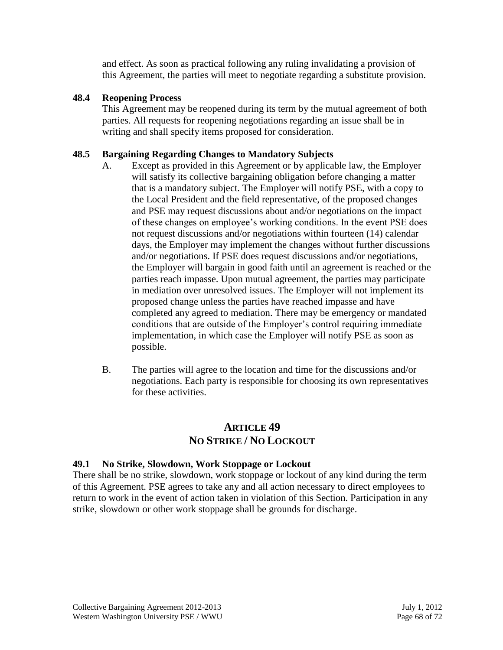and effect. As soon as practical following any ruling invalidating a provision of this Agreement, the parties will meet to negotiate regarding a substitute provision.

## **48.4 Reopening Process**

This Agreement may be reopened during its term by the mutual agreement of both parties. All requests for reopening negotiations regarding an issue shall be in writing and shall specify items proposed for consideration.

## **48.5 Bargaining Regarding Changes to Mandatory Subjects**

- A. Except as provided in this Agreement or by applicable law, the Employer will satisfy its collective bargaining obligation before changing a matter that is a mandatory subject. The Employer will notify PSE, with a copy to the Local President and the field representative, of the proposed changes and PSE may request discussions about and/or negotiations on the impact of these changes on employee's working conditions. In the event PSE does not request discussions and/or negotiations within fourteen (14) calendar days, the Employer may implement the changes without further discussions and/or negotiations. If PSE does request discussions and/or negotiations, the Employer will bargain in good faith until an agreement is reached or the parties reach impasse. Upon mutual agreement, the parties may participate in mediation over unresolved issues. The Employer will not implement its proposed change unless the parties have reached impasse and have completed any agreed to mediation. There may be emergency or mandated conditions that are outside of the Employer's control requiring immediate implementation, in which case the Employer will notify PSE as soon as possible.
- B. The parties will agree to the location and time for the discussions and/or negotiations. Each party is responsible for choosing its own representatives for these activities.

# **ARTICLE 49 NO STRIKE / NO LOCKOUT**

### **49.1 No Strike, Slowdown, Work Stoppage or Lockout**

There shall be no strike, slowdown, work stoppage or lockout of any kind during the term of this Agreement. PSE agrees to take any and all action necessary to direct employees to return to work in the event of action taken in violation of this Section. Participation in any strike, slowdown or other work stoppage shall be grounds for discharge.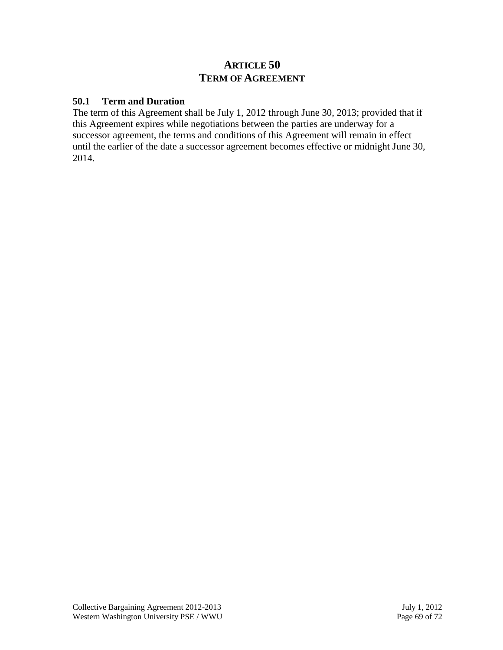# **ARTICLE 50 TERM OF AGREEMENT**

### **50.1 Term and Duration**

The term of this Agreement shall be July 1, 2012 through June 30, 2013; provided that if this Agreement expires while negotiations between the parties are underway for a successor agreement, the terms and conditions of this Agreement will remain in effect until the earlier of the date a successor agreement becomes effective or midnight June 30, 2014.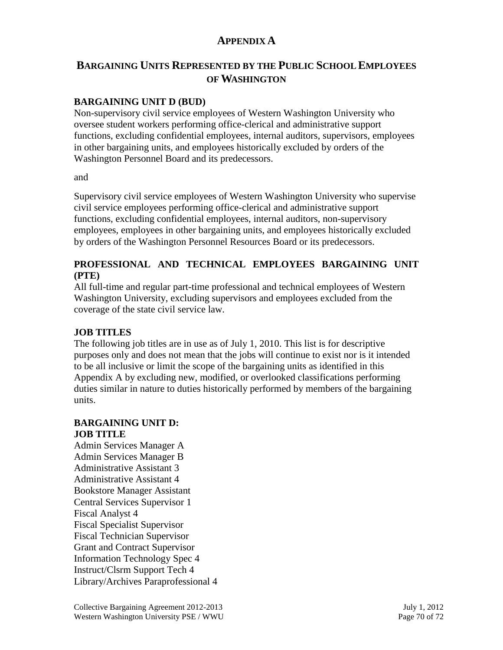# **APPENDIX A**

# **BARGAINING UNITS REPRESENTED BY THE PUBLIC SCHOOL EMPLOYEES OF WASHINGTON**

## **BARGAINING UNIT D (BUD)**

Non-supervisory civil service employees of Western Washington University who oversee student workers performing office-clerical and administrative support functions, excluding confidential employees, internal auditors, supervisors, employees in other bargaining units, and employees historically excluded by orders of the Washington Personnel Board and its predecessors.

#### and

Supervisory civil service employees of Western Washington University who supervise civil service employees performing office-clerical and administrative support functions, excluding confidential employees, internal auditors, non-supervisory employees, employees in other bargaining units, and employees historically excluded by orders of the Washington Personnel Resources Board or its predecessors.

### **PROFESSIONAL AND TECHNICAL EMPLOYEES BARGAINING UNIT (PTE)**

All full-time and regular part-time professional and technical employees of Western Washington University, excluding supervisors and employees excluded from the coverage of the state civil service law.

### **JOB TITLES**

The following job titles are in use as of July 1, 2010. This list is for descriptive purposes only and does not mean that the jobs will continue to exist nor is it intended to be all inclusive or limit the scope of the bargaining units as identified in this Appendix A by excluding new, modified, or overlooked classifications performing duties similar in nature to duties historically performed by members of the bargaining units.

#### **BARGAINING UNIT D: JOB TITLE**

Admin Services Manager A Admin Services Manager B Administrative Assistant 3 Administrative Assistant 4 Bookstore Manager Assistant Central Services Supervisor 1 Fiscal Analyst 4 Fiscal Specialist Supervisor Fiscal Technician Supervisor Grant and Contract Supervisor Information Technology Spec 4 Instruct/Clsrm Support Tech 4 Library/Archives Paraprofessional 4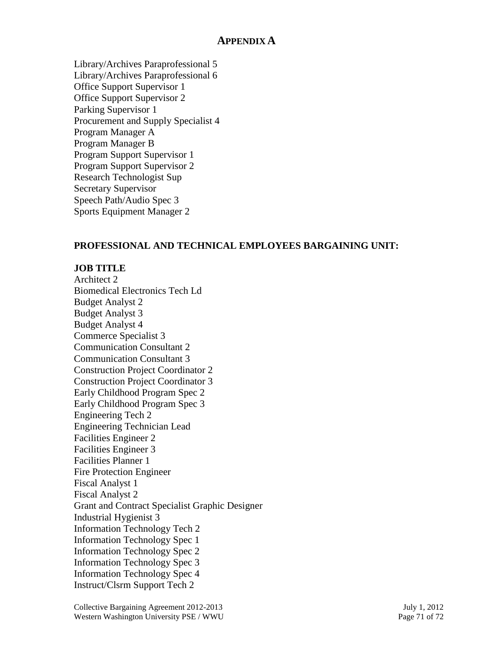## **APPENDIX A**

Library/Archives Paraprofessional 5 Library/Archives Paraprofessional 6 Office Support Supervisor 1 Office Support Supervisor 2 Parking Supervisor 1 Procurement and Supply Specialist 4 Program Manager A Program Manager B Program Support Supervisor 1 Program Support Supervisor 2 Research Technologist Sup Secretary Supervisor Speech Path/Audio Spec 3 Sports Equipment Manager 2

## **PROFESSIONAL AND TECHNICAL EMPLOYEES BARGAINING UNIT:**

### **JOB TITLE**

Architect 2 Biomedical Electronics Tech Ld Budget Analyst 2 Budget Analyst 3 Budget Analyst 4 Commerce Specialist 3 Communication Consultant 2 Communication Consultant 3 Construction Project Coordinator 2 Construction Project Coordinator 3 Early Childhood Program Spec 2 Early Childhood Program Spec 3 Engineering Tech 2 Engineering Technician Lead Facilities Engineer 2 Facilities Engineer 3 Facilities Planner 1 Fire Protection Engineer Fiscal Analyst 1 Fiscal Analyst 2 Grant and Contract Specialist Graphic Designer Industrial Hygienist 3 Information Technology Tech 2 Information Technology Spec 1 Information Technology Spec 2 Information Technology Spec 3 Information Technology Spec 4 Instruct/Clsrm Support Tech 2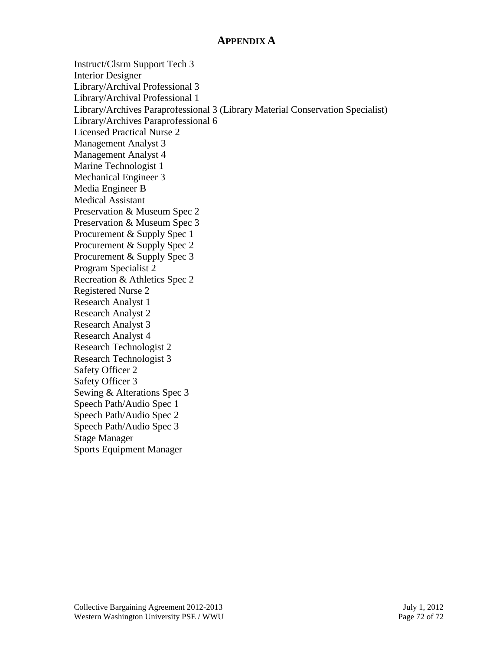# **APPENDIX A**

Instruct/Clsrm Support Tech 3 Interior Designer Library/Archival Professional 3 Library/Archival Professional 1 Library/Archives Paraprofessional 3 (Library Material Conservation Specialist) Library/Archives Paraprofessional 6 Licensed Practical Nurse 2 Management Analyst 3 Management Analyst 4 Marine Technologist 1 Mechanical Engineer 3 Media Engineer B Medical Assistant Preservation & Museum Spec 2 Preservation & Museum Spec 3 Procurement & Supply Spec 1 Procurement & Supply Spec 2 Procurement & Supply Spec 3 Program Specialist 2 Recreation & Athletics Spec 2 Registered Nurse 2 Research Analyst 1 Research Analyst 2 Research Analyst 3 Research Analyst 4 Research Technologist 2 Research Technologist 3 Safety Officer 2 Safety Officer 3 Sewing & Alterations Spec 3 Speech Path/Audio Spec 1 Speech Path/Audio Spec 2 Speech Path/Audio Spec 3 Stage Manager Sports Equipment Manager